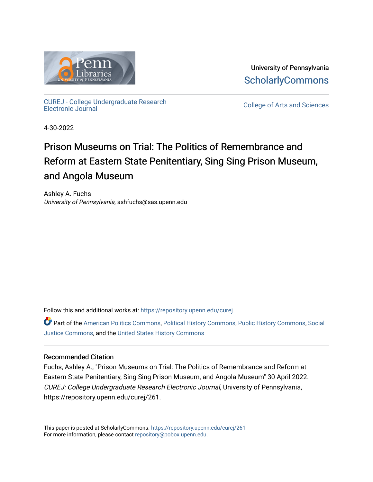

University of Pennsylvania **ScholarlyCommons** 

[CUREJ - College Undergraduate Research](https://repository.upenn.edu/curej) 

College of Arts and Sciences

4-30-2022

# Prison Museums on Trial: The Politics of Remembrance and Reform at Eastern State Penitentiary, Sing Sing Prison Museum, and Angola Museum

Ashley A. Fuchs University of Pennsylvania, ashfuchs@sas.upenn.edu

Follow this and additional works at: [https://repository.upenn.edu/curej](https://repository.upenn.edu/curej?utm_source=repository.upenn.edu%2Fcurej%2F261&utm_medium=PDF&utm_campaign=PDFCoverPages)

Part of the [American Politics Commons,](https://network.bepress.com/hgg/discipline/387?utm_source=repository.upenn.edu%2Fcurej%2F261&utm_medium=PDF&utm_campaign=PDFCoverPages) [Political History Commons,](https://network.bepress.com/hgg/discipline/505?utm_source=repository.upenn.edu%2Fcurej%2F261&utm_medium=PDF&utm_campaign=PDFCoverPages) [Public History Commons](https://network.bepress.com/hgg/discipline/1292?utm_source=repository.upenn.edu%2Fcurej%2F261&utm_medium=PDF&utm_campaign=PDFCoverPages), [Social](https://network.bepress.com/hgg/discipline/1432?utm_source=repository.upenn.edu%2Fcurej%2F261&utm_medium=PDF&utm_campaign=PDFCoverPages) [Justice Commons](https://network.bepress.com/hgg/discipline/1432?utm_source=repository.upenn.edu%2Fcurej%2F261&utm_medium=PDF&utm_campaign=PDFCoverPages), and the [United States History Commons](https://network.bepress.com/hgg/discipline/495?utm_source=repository.upenn.edu%2Fcurej%2F261&utm_medium=PDF&utm_campaign=PDFCoverPages)

## Recommended Citation

Fuchs, Ashley A., "Prison Museums on Trial: The Politics of Remembrance and Reform at Eastern State Penitentiary, Sing Sing Prison Museum, and Angola Museum" 30 April 2022. CUREJ: College Undergraduate Research Electronic Journal, University of Pennsylvania, https://repository.upenn.edu/curej/261.

This paper is posted at ScholarlyCommons.<https://repository.upenn.edu/curej/261> For more information, please contact [repository@pobox.upenn.edu.](mailto:repository@pobox.upenn.edu)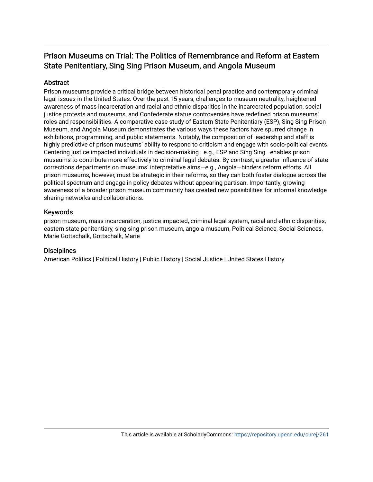# Prison Museums on Trial: The Politics of Remembrance and Reform at Eastern State Penitentiary, Sing Sing Prison Museum, and Angola Museum

# Abstract

Prison museums provide a critical bridge between historical penal practice and contemporary criminal legal issues in the United States. Over the past 15 years, challenges to museum neutrality, heightened awareness of mass incarceration and racial and ethnic disparities in the incarcerated population, social justice protests and museums, and Confederate statue controversies have redefined prison museums' roles and responsibilities. A comparative case study of Eastern State Penitentiary (ESP), Sing Sing Prison Museum, and Angola Museum demonstrates the various ways these factors have spurred change in exhibitions, programming, and public statements. Notably, the composition of leadership and staff is highly predictive of prison museums' ability to respond to criticism and engage with socio-political events. Centering justice impacted individuals in decision-making—e.g., ESP and Sing Sing—enables prison museums to contribute more effectively to criminal legal debates. By contrast, a greater influence of state corrections departments on museums' interpretative aims—e.g., Angola—hinders reform efforts. All prison museums, however, must be strategic in their reforms, so they can both foster dialogue across the political spectrum and engage in policy debates without appearing partisan. Importantly, growing awareness of a broader prison museum community has created new possibilities for informal knowledge sharing networks and collaborations.

## Keywords

prison museum, mass incarceration, justice impacted, criminal legal system, racial and ethnic disparities, eastern state penitentiary, sing sing prison museum, angola museum, Political Science, Social Sciences, Marie Gottschalk, Gottschalk, Marie

## **Disciplines**

American Politics | Political History | Public History | Social Justice | United States History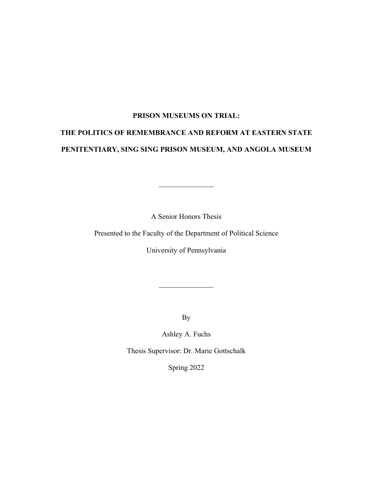## **PRISON MUSEUMS ON TRIAL:**

# **THE POLITICS OF REMEMBRANCE AND REFORM AT EASTERN STATE PENITENTIARY, SING SING PRISON MUSEUM, AND ANGOLA MUSEUM**

A Senior Honors Thesis

Presented to the Faculty of the Department of Political Science

University of Pennsylvania

By

Ashley A. Fuchs

Thesis Supervisor: Dr. Marie Gottschalk

Spring 2022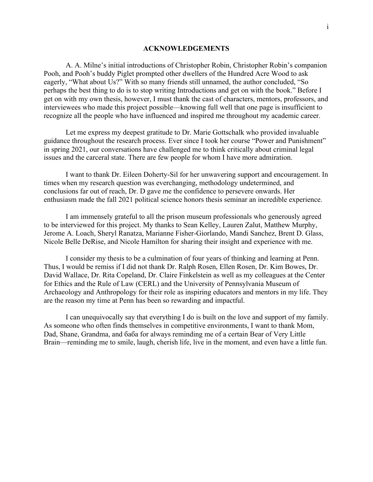#### **ACKNOWLEDGEMENTS**

A. A. Milne's initial introductions of Christopher Robin, Christopher Robin's companion Pooh, and Pooh's buddy Piglet prompted other dwellers of the Hundred Acre Wood to ask eagerly, "What about Us?" With so many friends still unnamed, the author concluded, "So perhaps the best thing to do is to stop writing Introductions and get on with the book." Before I get on with my own thesis, however, I must thank the cast of characters, mentors, professors, and interviewees who made this project possible—knowing full well that one page is insufficient to recognize all the people who have influenced and inspired me throughout my academic career.

Let me express my deepest gratitude to Dr. Marie Gottschalk who provided invaluable guidance throughout the research process. Ever since I took her course "Power and Punishment" in spring 2021, our conversations have challenged me to think critically about criminal legal issues and the carceral state. There are few people for whom I have more admiration.

I want to thank Dr. Eileen Doherty-Sil for her unwavering support and encouragement. In times when my research question was everchanging, methodology undetermined, and conclusions far out of reach, Dr. D gave me the confidence to persevere onwards. Her enthusiasm made the fall 2021 political science honors thesis seminar an incredible experience.

I am immensely grateful to all the prison museum professionals who generously agreed to be interviewed for this project. My thanks to Sean Kelley, Lauren Zalut, Matthew Murphy, Jerome A. Loach, Sheryl Ranatza, Marianne Fisher-Giorlando, Mandi Sanchez, Brent D. Glass, Nicole Belle DeRise, and Nicole Hamilton for sharing their insight and experience with me.

I consider my thesis to be a culmination of four years of thinking and learning at Penn. Thus, I would be remiss if I did not thank Dr. Ralph Rosen, Ellen Rosen, Dr. Kim Bowes, Dr. David Wallace, Dr. Rita Copeland, Dr. Claire Finkelstein as well as my colleagues at the Center for Ethics and the Rule of Law (CERL) and the University of Pennsylvania Museum of Archaeology and Anthropology for their role as inspiring educators and mentors in my life. They are the reason my time at Penn has been so rewarding and impactful.

I can unequivocally say that everything I do is built on the love and support of my family. As someone who often finds themselves in competitive environments, I want to thank Mom, Dad, Shane, Grandma, and баба for always reminding me of a certain Bear of Very Little Brain—reminding me to smile, laugh, cherish life, live in the moment, and even have a little fun.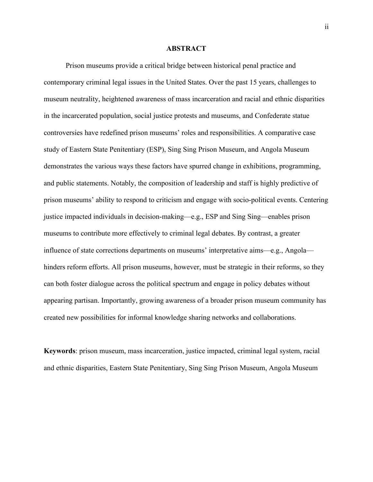### **ABSTRACT**

Prison museums provide a critical bridge between historical penal practice and contemporary criminal legal issues in the United States. Over the past 15 years, challenges to museum neutrality, heightened awareness of mass incarceration and racial and ethnic disparities in the incarcerated population, social justice protests and museums, and Confederate statue controversies have redefined prison museums' roles and responsibilities. A comparative case study of Eastern State Penitentiary (ESP), Sing Sing Prison Museum, and Angola Museum demonstrates the various ways these factors have spurred change in exhibitions, programming, and public statements. Notably, the composition of leadership and staff is highly predictive of prison museums' ability to respond to criticism and engage with socio-political events. Centering justice impacted individuals in decision-making—e.g., ESP and Sing Sing—enables prison museums to contribute more effectively to criminal legal debates. By contrast, a greater influence of state corrections departments on museums' interpretative aims—e.g., Angola hinders reform efforts. All prison museums, however, must be strategic in their reforms, so they can both foster dialogue across the political spectrum and engage in policy debates without appearing partisan. Importantly, growing awareness of a broader prison museum community has created new possibilities for informal knowledge sharing networks and collaborations.

**Keywords**: prison museum, mass incarceration, justice impacted, criminal legal system, racial and ethnic disparities, Eastern State Penitentiary, Sing Sing Prison Museum, Angola Museum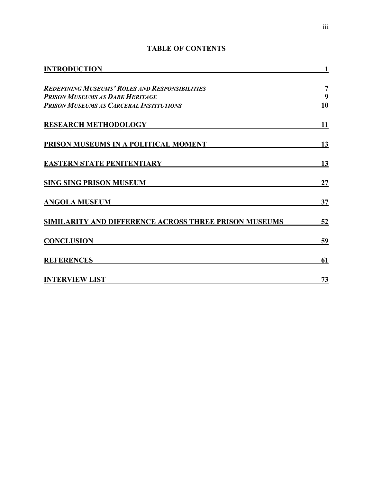| <b>INTRODUCTION</b>                                                                                                                                                |           |
|--------------------------------------------------------------------------------------------------------------------------------------------------------------------|-----------|
| <b>REDEFINING MUSEUMS' ROLES AND RESPONSIBILITIES</b>                                                                                                              | 7         |
| <b>PRISON MUSEUMS AS DARK HERITAGE</b>                                                                                                                             | 9         |
| <b>PRISON MUSEUMS AS CARCERAL INSTITUTIONS</b>                                                                                                                     | 10        |
| <b>RESEARCH METHODOLOGY</b><br>PRISON MUSEUMS IN A POLITICAL MOMENT<br><b>EASTERN STATE PENITENTIARY</b><br><b>SING SING PRISON MUSEUM</b><br><b>ANGOLA MUSEUM</b> | 11        |
|                                                                                                                                                                    | 13        |
|                                                                                                                                                                    | 13        |
|                                                                                                                                                                    | 27        |
|                                                                                                                                                                    | 37        |
| SIMILARITY AND DIFFERENCE ACROSS THREE PRISON MUSEUMS                                                                                                              | <u>52</u> |
| <b>CONCLUSION</b>                                                                                                                                                  | 59        |
| <b>REFERENCES</b>                                                                                                                                                  | 61        |
| <b>INTERVIEW LIST</b>                                                                                                                                              | 73        |

# **TABLE OF CONTENTS**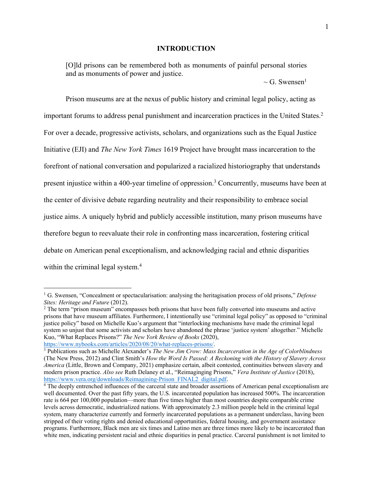### **INTRODUCTION**

[O]ld prisons can be remembered both as monuments of painful personal stories and as monuments of power and justice.

 $\sim$  G. Swensen<sup>1</sup>

Prison museums are at the nexus of public history and criminal legal policy, acting as important forums to address penal punishment and incarceration practices in the United States.<sup>2</sup> For over a decade, progressive activists, scholars, and organizations such as the Equal Justice Initiative (EJI) and *The New York Times* 1619 Project have brought mass incarceration to the forefront of national conversation and popularized a racialized historiography that understands present injustice within a 400-year timeline of oppression.3 Concurrently, museums have been at the center of divisive debate regarding neutrality and their responsibility to embrace social justice aims. A uniquely hybrid and publicly accessible institution, many prison museums have therefore begun to reevaluate their role in confronting mass incarceration, fostering critical debate on American penal exceptionalism, and acknowledging racial and ethnic disparities within the criminal legal system.<sup>4</sup>

<sup>1</sup> G. Swensen, "Concealment or spectacularisation: analysing the heritagisation process of old prisons," *Defense Sites: Heritage and Future* (2012).

<sup>&</sup>lt;sup>2</sup> The term "prison museum" encompasses both prisons that have been fully converted into museums and active prisons that have museum affiliates. Furthermore, I intentionally use "criminal legal policy" as opposed to "criminal justice policy" based on Michelle Kuo's argument that "interlocking mechanisms have made the criminal legal system so unjust that some activists and scholars have abandoned the phrase 'justice system' altogether." Michelle Kuo, "What Replaces Prisons?" *The New York Review of Books* (2020),

https://www.nybooks.com/articles/2020/08/20/what-replaces-prisons/. 3 Publications such as Michelle Alexander's *The New Jim Crow: Mass Incarceration in the Age of Colorblindness* (The New Press, 2012) and Clint Smith's *How the Word Is Passed: A Reckoning with the History of Slavery Across America* (Little, Brown and Company, 2021) emphasize certain, albeit contested, continuities between slavery and modern prison practice. *Also see* Ruth Delaney et al., "Reimaginging Prisons," *Vera Institute of Justice* (2018), https://www.vera.org/downloads/Reimagining-Prison\_FINAL2\_digital.pdf.

<sup>4</sup> The deeply entrenched influences of the carceral state and broader assertions of American penal exceptionalism are well documented. Over the past fifty years, the U.S. incarcerated population has increased 500%. The incarceration rate is 664 per 100,000 population—more than five times higher than most countries despite comparable crime levels across democratic, industrialized nations. With approximately 2.3 million people held in the criminal legal system, many characterize currently and formerly incarcerated populations as a permanent underclass, having been stripped of their voting rights and denied educational opportunities, federal housing, and government assistance programs. Furthermore, Black men are six times and Latino men are three times more likely to be incarcerated than white men, indicating persistent racial and ethnic disparities in penal practice. Carceral punishment is not limited to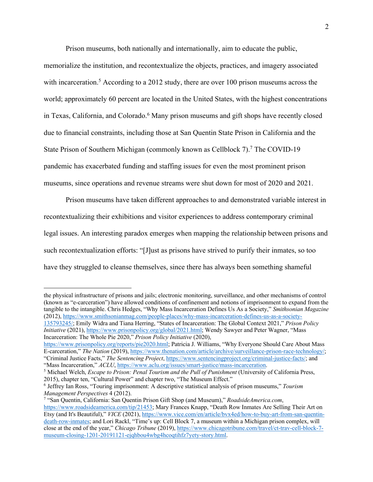Prison museums, both nationally and internationally, aim to educate the public,

memorialize the institution, and recontextualize the objects, practices, and imagery associated with incarceration.<sup>5</sup> According to a 2012 study, there are over 100 prison museums across the world; approximately 60 percent are located in the United States, with the highest concentrations in Texas, California, and Colorado.<sup>6</sup> Many prison museums and gift shops have recently closed due to financial constraints, including those at San Quentin State Prison in California and the State Prison of Southern Michigan (commonly known as Cellblock 7).<sup>7</sup> The COVID-19 pandemic has exacerbated funding and staffing issues for even the most prominent prison museums, since operations and revenue streams were shut down for most of 2020 and 2021.

Prison museums have taken different approaches to and demonstrated variable interest in recontextualizing their exhibitions and visitor experiences to address contemporary criminal legal issues. An interesting paradox emerges when mapping the relationship between prisons and such recontextualization efforts: "[J]ust as prisons have strived to purify their inmates, so too have they struggled to cleanse themselves, since there has always been something shameful

the physical infrastructure of prisons and jails; electronic monitoring, surveillance, and other mechanisms of control (known as "e-carceration") have allowed conditions of confinement and notions of imprisonment to expand from the tangible to the intangible. Chris Hedges, "Why Mass Incarceration Defines Us As a Society," *Smithsonian Magazine* (2012), https://www.smithsonianmag.com/people-places/why-mass-incarceration-defines-us-as-a-society-135793245/; Emily Widra and Tiana Herring, "States of Incarceration: The Global Context 2021," *Prison Policy* 

*Initiative* (2021), https://www.prisonpolicy.org/global/2021.html; Wendy Sawyer and Peter Wagner, "Mass Incarceration: The Whole Pie 2020," *Prison Policy Initiative* (2020),

https://www.prisonpolicy.org/reports/pie2020.html; Patricia J. Williams, "Why Everyone Should Care About Mass E-carceration," *The Nation* (2019), https://www.thenation.com/article/archive/surveillance-prison-race-technology/; "Criminal Justice Facts," *The Sentencing Project*, https://www.sentencingproject.org/criminal-justice-facts/; and "Mass Incarceration," *ACLU*, https://www.aclu.org/issues/smart-justice/mass-incarceration.

<sup>5</sup> Michael Welch, *Escape to Prison: Penal Tourism and the Pull of Punishment* (University of California Press, 2015), chapter ten, "Cultural Power" and chapter two, "The Museum Effect."

<sup>6</sup> Jeffrey Ian Ross, "Touring imprisonment: A descriptive statistical analysis of prison museums," *Tourism Management Perspectives* 4 (2012).<br><sup>7</sup> "San Quentin, California: San Quentin Prison Gift Shop (and Museum)," *RoadsideAmerica.com*,

https://www.roadsideamerica.com/tip/21453; Mary Frances Knapp, "Death Row Inmates Are Selling Their Art on Etsy (and It's Beautiful)," *VICE* (2021), https://www.vice.com/en/article/bvx4ed/how-to-buy-art-from-san-quentindeath-row-inmates; and Lori Rackl, "Time's up: Cell Block 7, a museum within a Michigan prison complex, will close at the end of the year," *Chicago Tribune* (2019), https://www.chicagotribune.com/travel/ct-trav-cell-block-7 museum-closing-1201-20191121-ejqhbou4wbg4hcoqtihfz7yety-story.html.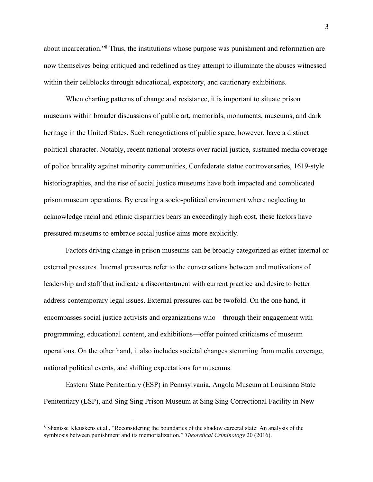about incarceration."8 Thus, the institutions whose purpose was punishment and reformation are now themselves being critiqued and redefined as they attempt to illuminate the abuses witnessed within their cellblocks through educational, expository, and cautionary exhibitions.

When charting patterns of change and resistance, it is important to situate prison museums within broader discussions of public art, memorials, monuments, museums, and dark heritage in the United States. Such renegotiations of public space, however, have a distinct political character. Notably, recent national protests over racial justice, sustained media coverage of police brutality against minority communities, Confederate statue controversaries, 1619-style historiographies, and the rise of social justice museums have both impacted and complicated prison museum operations. By creating a socio-political environment where neglecting to acknowledge racial and ethnic disparities bears an exceedingly high cost, these factors have pressured museums to embrace social justice aims more explicitly.

Factors driving change in prison museums can be broadly categorized as either internal or external pressures. Internal pressures refer to the conversations between and motivations of leadership and staff that indicate a discontentment with current practice and desire to better address contemporary legal issues. External pressures can be twofold. On the one hand, it encompasses social justice activists and organizations who—through their engagement with programming, educational content, and exhibitions—offer pointed criticisms of museum operations. On the other hand, it also includes societal changes stemming from media coverage, national political events, and shifting expectations for museums.

Eastern State Penitentiary (ESP) in Pennsylvania, Angola Museum at Louisiana State Penitentiary (LSP), and Sing Sing Prison Museum at Sing Sing Correctional Facility in New

<sup>8</sup> Shanisse Kleuskens et al., "Reconsidering the boundaries of the shadow carceral state: An analysis of the symbiosis between punishment and its memorialization," *Theoretical Criminology* 20 (2016).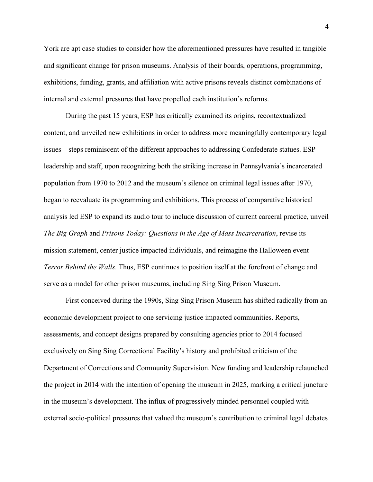York are apt case studies to consider how the aforementioned pressures have resulted in tangible and significant change for prison museums. Analysis of their boards, operations, programming, exhibitions, funding, grants, and affiliation with active prisons reveals distinct combinations of internal and external pressures that have propelled each institution's reforms.

During the past 15 years, ESP has critically examined its origins, recontextualized content, and unveiled new exhibitions in order to address more meaningfully contemporary legal issues—steps reminiscent of the different approaches to addressing Confederate statues. ESP leadership and staff, upon recognizing both the striking increase in Pennsylvania's incarcerated population from 1970 to 2012 and the museum's silence on criminal legal issues after 1970, began to reevaluate its programming and exhibitions. This process of comparative historical analysis led ESP to expand its audio tour to include discussion of current carceral practice, unveil *The Big Graph* and *Prisons Today: Questions in the Age of Mass Incarceration*, revise its mission statement, center justice impacted individuals, and reimagine the Halloween event *Terror Behind the Walls*. Thus, ESP continues to position itself at the forefront of change and serve as a model for other prison museums, including Sing Sing Prison Museum.

First conceived during the 1990s, Sing Sing Prison Museum has shifted radically from an economic development project to one servicing justice impacted communities. Reports, assessments, and concept designs prepared by consulting agencies prior to 2014 focused exclusively on Sing Sing Correctional Facility's history and prohibited criticism of the Department of Corrections and Community Supervision. New funding and leadership relaunched the project in 2014 with the intention of opening the museum in 2025, marking a critical juncture in the museum's development. The influx of progressively minded personnel coupled with external socio-political pressures that valued the museum's contribution to criminal legal debates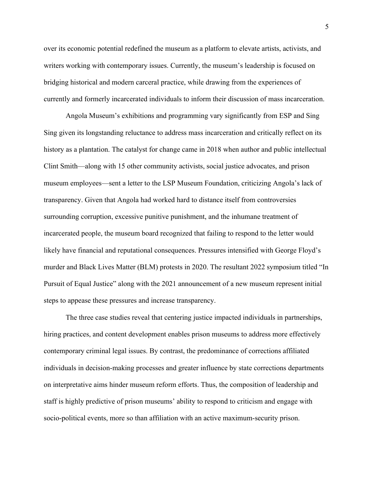over its economic potential redefined the museum as a platform to elevate artists, activists, and writers working with contemporary issues. Currently, the museum's leadership is focused on bridging historical and modern carceral practice, while drawing from the experiences of currently and formerly incarcerated individuals to inform their discussion of mass incarceration.

Angola Museum's exhibitions and programming vary significantly from ESP and Sing Sing given its longstanding reluctance to address mass incarceration and critically reflect on its history as a plantation. The catalyst for change came in 2018 when author and public intellectual Clint Smith—along with 15 other community activists, social justice advocates, and prison museum employees—sent a letter to the LSP Museum Foundation, criticizing Angola's lack of transparency. Given that Angola had worked hard to distance itself from controversies surrounding corruption, excessive punitive punishment, and the inhumane treatment of incarcerated people, the museum board recognized that failing to respond to the letter would likely have financial and reputational consequences. Pressures intensified with George Floyd's murder and Black Lives Matter (BLM) protests in 2020. The resultant 2022 symposium titled "In Pursuit of Equal Justice" along with the 2021 announcement of a new museum represent initial steps to appease these pressures and increase transparency.

The three case studies reveal that centering justice impacted individuals in partnerships, hiring practices, and content development enables prison museums to address more effectively contemporary criminal legal issues. By contrast, the predominance of corrections affiliated individuals in decision-making processes and greater influence by state corrections departments on interpretative aims hinder museum reform efforts. Thus, the composition of leadership and staff is highly predictive of prison museums' ability to respond to criticism and engage with socio-political events, more so than affiliation with an active maximum-security prison.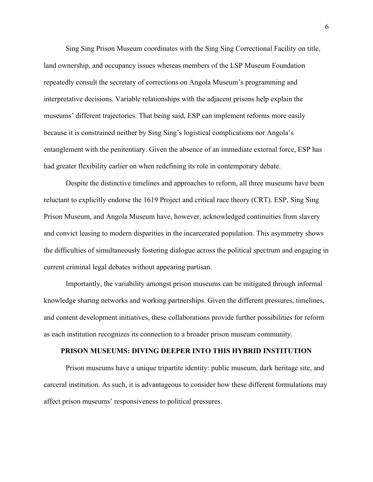Sing Sing Prison Museum coordinates with the Sing Sing Correctional Facility on title, land ownership, and occupancy issues whereas members of the LSP Museum Foundation repeatedly consult the secretary of corrections on Angola Museum's programming and interpretative decisions. Variable relationships with the adjacent prisons help explain the museums' different trajectories. That being said, ESP can implement reforms more easily because it is constrained neither by Sing Sing's logistical complications nor Angola's entanglement with the penitentiary. Given the absence of an immediate external force, ESP has had greater flexibility earlier on when redefining its role in contemporary debate.

Despite the distinctive timelines and approaches to reform, all three museums have been reluctant to explicitly endorse the 1619 Project and critical race theory (CRT). ESP, Sing Sing Prison Museum, and Angola Museum have, however, acknowledged continuities from slavery and convict leasing to modern disparities in the incarcerated population. This asymmetry shows the difficulties of simultaneously fostering dialogue across the political spectrum and engaging in current criminal legal debates without appearing partisan.

Importantly, the variability amongst prison museums can be mitigated through informal knowledge sharing networks and working partnerships. Given the different pressures, timelines, and content development initiatives, these collaborations provide further possibilities for reform as each institution recognizes its connection to a broader prison museum community.

### **PRISON MUSEUMS: DIVING DEEPER INTO THIS HYBRID INSTITUTION**

Prison museums have a unique tripartite identity: public museum, dark heritage site, and carceral institution. As such, it is advantageous to consider how these different formulations may affect prison museums' responsiveness to political pressures.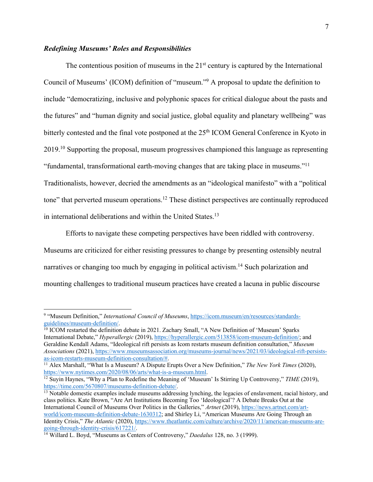### *Redefining Museums' Roles and Responsibilities*

The contentious position of museums in the  $21<sup>st</sup>$  century is captured by the International Council of Museums' (ICOM) definition of "museum."9 A proposal to update the definition to include "democratizing, inclusive and polyphonic spaces for critical dialogue about the pasts and the futures" and "human dignity and social justice, global equality and planetary wellbeing" was bitterly contested and the final vote postponed at the 25<sup>th</sup> ICOM General Conference in Kyoto in 2019.<sup>10</sup> Supporting the proposal, museum progressives championed this language as representing "fundamental, transformational earth-moving changes that are taking place in museums."11 Traditionalists, however, decried the amendments as an "ideological manifesto" with a "political tone" that perverted museum operations.<sup>12</sup> These distinct perspectives are continually reproduced in international deliberations and within the United States.<sup>13</sup>

Efforts to navigate these competing perspectives have been riddled with controversy. Museums are criticized for either resisting pressures to change by presenting ostensibly neutral narratives or changing too much by engaging in political activism.14 Such polarization and mounting challenges to traditional museum practices have created a lacuna in public discourse

<sup>9</sup> "Museum Definition," *International Council of Museums*, https://icom.museum/en/resources/standardsguidelines/museum-definition/.<br><sup>10</sup> ICOM restarted the definition debate in 2021. Zachary Small, "A New Definition of 'Museum' Sparks

International Debate," *Hyperallergic* (2019), https://hyperallergic.com/513858/icom-museum-definition/; and Geraldine Kendall Adams, "Ideological rift persists as Icom restarts museum definition consultation," *Museum Associations* (2021), https://www.museumsassociation.org/museums-journal/news/2021/03/ideological-rift-persists-<br>as-icom-restarts-museum-definition-consultation/#.

<sup>&</sup>lt;sup>11</sup> Alex Marshall, "What Is a Museum? A Dispute Erupts Over a New Definition," *The New York Times* (2020), https://www.nytimes.com/2020/08/06/arts/what-is-a-museum.html.

 $\frac{12 \text{ Suyin Haynes}}{12 \text{ Suyin Haynes}}$  "Why a Plan to Redefine the Meaning of 'Museum' Is Stirring Up Controversy," *TIME* (2019), https://time.com/5670807/museums-definition-debate/.<br><sup>13</sup> Notable domestic examples include museums addressing lynching, the legacies of enslavement, racial history, and

class politics. Kate Brown, "Are Art Institutions Becoming Too 'Ideological'? A Debate Breaks Out at the International Council of Museums Over Politics in the Galleries," *Artnet* (2019), https://news.artnet.com/artworld/icom-museum-definition-debate-1630312; and Shirley Li, "American Museums Are Going Through an Identity Crisis," *The Atlantic* (2020), https://www.theatlantic.com/culture/archive/2020/11/american-museums-aregoing-through-identity-crisis/617221/.

<sup>14</sup> Willard L. Boyd, "Museums as Centers of Controversy," *Daedalus* 128, no. 3 (1999).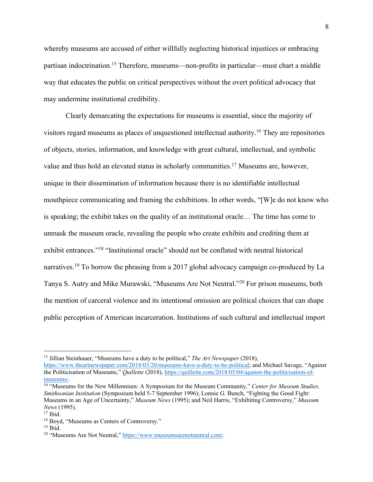whereby museums are accused of either willfully neglecting historical injustices or embracing partisan indoctrination.15 Therefore, museums—non-profits in particular—must chart a middle way that educates the public on critical perspectives without the overt political advocacy that may undermine institutional credibility.

Clearly demarcating the expectations for museums is essential, since the majority of visitors regard museums as places of unquestioned intellectual authority.16 They are repositories of objects, stories, information, and knowledge with great cultural, intellectual, and symbolic value and thus hold an elevated status in scholarly communities.<sup>17</sup> Museums are, however, unique in their dissemination of information because there is no identifiable intellectual mouthpiece communicating and framing the exhibitions. In other words, "[W]e do not know who is speaking; the exhibit takes on the quality of an institutional oracle… The time has come to unmask the museum oracle, revealing the people who create exhibits and crediting them at exhibit entrances."18 "Institutional oracle" should not be conflated with neutral historical narratives.<sup>19</sup> To borrow the phrasing from a 2017 global advocacy campaign co-produced by La Tanya S. Autry and Mike Murawski, "Museums Are Not Neutral."20 For prison museums, both the mention of carceral violence and its intentional omission are political choices that can shape public perception of American incarceration. Institutions of such cultural and intellectual import

<sup>15</sup> Jillian Steinhauer, "Museums have a duty to be political," *The Art Newspaper* (2018),

https://www.theartnewspaper.com/2018/03/20/museums-have-a-duty-to-be-political; and Michael Savage, "Against the Politicisation of Museums," *Quillette* (2018), https://quillette.com/2018/05/04/against-the-politicisation-ofmuseums/. 16 "Museums for the New Millennium: A Symposium for the Museum Community," *Center for Museum Studies,* 

*Smithsonian Institution* (Symposium held 5-7 September 1996); Lonnie G. Bunch, "Fighting the Good Fight: Museums in an Age of Uncertainty," *Museum News* (1995); and Neil Harris, "Exhibiting Controversy," *Museum News* (1995).

<sup>&</sup>lt;sup>18</sup> Boyd, "Museums as Centers of Controversy."

<sup>19</sup> Ibid.

<sup>20</sup> "Museums Are Not Neutral," https://www.museumsarenotneutral.com/.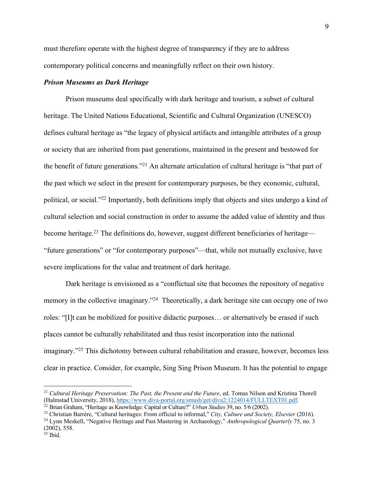must therefore operate with the highest degree of transparency if they are to address contemporary political concerns and meaningfully reflect on their own history.

### *Prison Museums as Dark Heritage*

Prison museums deal specifically with dark heritage and tourism, a subset of cultural heritage. The United Nations Educational, Scientific and Cultural Organization (UNESCO) defines cultural heritage as "the legacy of physical artifacts and intangible attributes of a group or society that are inherited from past generations, maintained in the present and bestowed for the benefit of future generations."21 An alternate articulation of cultural heritage is "that part of the past which we select in the present for contemporary purposes, be they economic, cultural, political, or social."22 Importantly, both definitions imply that objects and sites undergo a kind of cultural selection and social construction in order to assume the added value of identity and thus become heritage.<sup>23</sup> The definitions do, however, suggest different beneficiaries of heritage— "future generations" or "for contemporary purposes"—that, while not mutually exclusive, have severe implications for the value and treatment of dark heritage.

Dark heritage is envisioned as a "conflictual site that becomes the repository of negative memory in the collective imaginary."<sup>24</sup> Theoretically, a dark heritage site can occupy one of two roles: "[I]t can be mobilized for positive didactic purposes… or alternatively be erased if such places cannot be culturally rehabilitated and thus resist incorporation into the national imaginary."25 This dichotomy between cultural rehabilitation and erasure, however, becomes less clear in practice. Consider, for example, Sing Sing Prison Museum. It has the potential to engage

<sup>&</sup>lt;sup>21</sup> Cultural Heritage Preservation: The Past, the Present and the Future, ed. Tomas Nilson and Kristina Thorell (Halmstad University, 2018), https://www.diva-portal.org/smash/get/diva2:1224014/FULLTEXT01.pdf.

<sup>22</sup> Brian Graham, "Heritage as Knowledge: Capital or Culture?" *Urban Studies* 39, no. 5/6 (2002). 23 Christian Barrère, "Cultural heritages: From official to informal," *City, Culture and Society, Elsevier* (2016).

<sup>&</sup>lt;sup>24</sup> Lynn Meskell, "Negative Heritage and Past Mastering in Archaeology," Anthropological Quarterly 75, no. 3 (2002), 558.

 $25$  Ibid.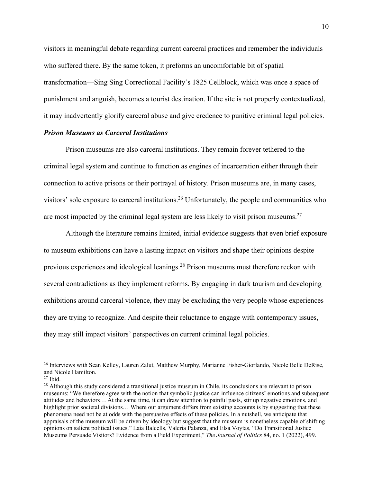visitors in meaningful debate regarding current carceral practices and remember the individuals who suffered there. By the same token, it preforms an uncomfortable bit of spatial transformation—Sing Sing Correctional Facility's 1825 Cellblock, which was once a space of punishment and anguish, becomes a tourist destination. If the site is not properly contextualized, it may inadvertently glorify carceral abuse and give credence to punitive criminal legal policies.

### *Prison Museums as Carceral Institutions*

Prison museums are also carceral institutions. They remain forever tethered to the criminal legal system and continue to function as engines of incarceration either through their connection to active prisons or their portrayal of history. Prison museums are, in many cases, visitors' sole exposure to carceral institutions.<sup>26</sup> Unfortunately, the people and communities who are most impacted by the criminal legal system are less likely to visit prison museums.<sup>27</sup>

Although the literature remains limited, initial evidence suggests that even brief exposure to museum exhibitions can have a lasting impact on visitors and shape their opinions despite previous experiences and ideological leanings.28 Prison museums must therefore reckon with several contradictions as they implement reforms. By engaging in dark tourism and developing exhibitions around carceral violence, they may be excluding the very people whose experiences they are trying to recognize. And despite their reluctance to engage with contemporary issues, they may still impact visitors' perspectives on current criminal legal policies.

<sup>&</sup>lt;sup>26</sup> Interviews with Sean Kelley, Lauren Zalut, Matthew Murphy, Marianne Fisher-Giorlando, Nicole Belle DeRise, and Nicole Hamilton.

 $27$  Ibid.

<sup>&</sup>lt;sup>28</sup> Although this study considered a transitional justice museum in Chile, its conclusions are relevant to prison museums: "We therefore agree with the notion that symbolic justice can influence citizens' emotions and subsequent attitudes and behaviors… At the same time, it can draw attention to painful pasts, stir up negative emotions, and highlight prior societal divisions... Where our argument differs from existing accounts is by suggesting that these phenomena need not be at odds with the persuasive effects of these policies. In a nutshell, we anticipate that appraisals of the museum will be driven by ideology but suggest that the museum is nonetheless capable of shifting opinions on salient political issues." Laia Balcells, Valeria Palanza, and Elsa Voytas, "Do Transitional Justice Museums Persuade Visitors? Evidence from a Field Experiment," *The Journal of Politics* 84, no. 1 (2022), 499.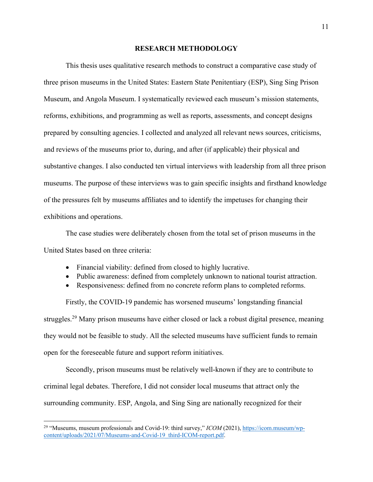### **RESEARCH METHODOLOGY**

This thesis uses qualitative research methods to construct a comparative case study of three prison museums in the United States: Eastern State Penitentiary (ESP), Sing Sing Prison Museum, and Angola Museum. I systematically reviewed each museum's mission statements, reforms, exhibitions, and programming as well as reports, assessments, and concept designs prepared by consulting agencies. I collected and analyzed all relevant news sources, criticisms, and reviews of the museums prior to, during, and after (if applicable) their physical and substantive changes. I also conducted ten virtual interviews with leadership from all three prison museums. The purpose of these interviews was to gain specific insights and firsthand knowledge of the pressures felt by museums affiliates and to identify the impetuses for changing their exhibitions and operations.

The case studies were deliberately chosen from the total set of prison museums in the United States based on three criteria:

- Financial viability: defined from closed to highly lucrative.
- Public awareness: defined from completely unknown to national tourist attraction.
- Responsiveness: defined from no concrete reform plans to completed reforms.

Firstly, the COVID-19 pandemic has worsened museums' longstanding financial struggles.<sup>29</sup> Many prison museums have either closed or lack a robust digital presence, meaning they would not be feasible to study. All the selected museums have sufficient funds to remain open for the foreseeable future and support reform initiatives.

Secondly, prison museums must be relatively well-known if they are to contribute to criminal legal debates. Therefore, I did not consider local museums that attract only the surrounding community. ESP, Angola, and Sing Sing are nationally recognized for their

<sup>&</sup>lt;sup>29</sup> "Museums, museum professionals and Covid-19: third survey," *ICOM* (2021), https://icom.museum/wpcontent/uploads/2021/07/Museums-and-Covid-19\_third-ICOM-report.pdf.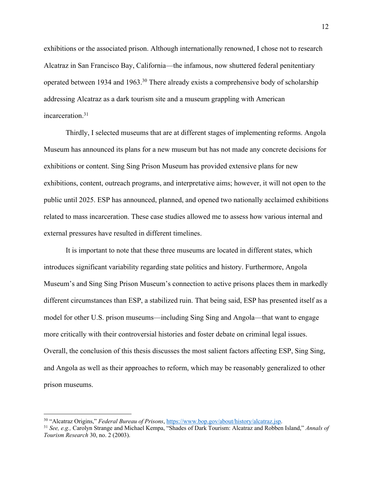exhibitions or the associated prison. Although internationally renowned, I chose not to research Alcatraz in San Francisco Bay, California—the infamous, now shuttered federal penitentiary operated between 1934 and 1963.30 There already exists a comprehensive body of scholarship addressing Alcatraz as a dark tourism site and a museum grappling with American incarceration. 31

Thirdly, I selected museums that are at different stages of implementing reforms. Angola Museum has announced its plans for a new museum but has not made any concrete decisions for exhibitions or content. Sing Sing Prison Museum has provided extensive plans for new exhibitions, content, outreach programs, and interpretative aims; however, it will not open to the public until 2025. ESP has announced, planned, and opened two nationally acclaimed exhibitions related to mass incarceration. These case studies allowed me to assess how various internal and external pressures have resulted in different timelines.

It is important to note that these three museums are located in different states, which introduces significant variability regarding state politics and history. Furthermore, Angola Museum's and Sing Sing Prison Museum's connection to active prisons places them in markedly different circumstances than ESP, a stabilized ruin. That being said, ESP has presented itself as a model for other U.S. prison museums—including Sing Sing and Angola—that want to engage more critically with their controversial histories and foster debate on criminal legal issues. Overall, the conclusion of this thesis discusses the most salient factors affecting ESP, Sing Sing, and Angola as well as their approaches to reform, which may be reasonably generalized to other prison museums.

<sup>&</sup>lt;sup>30</sup> "Alcatraz Origins," *Federal Bureau of Prisons*, https://www.bop.gov/about/history/alcatraz.jsp.<br><sup>31</sup> See, e.g., Carolyn Strange and Michael Kempa, "Shades of Dark Tourism: Alcatraz and Robben Island," Annals of *Tourism Research* 30, no. 2 (2003).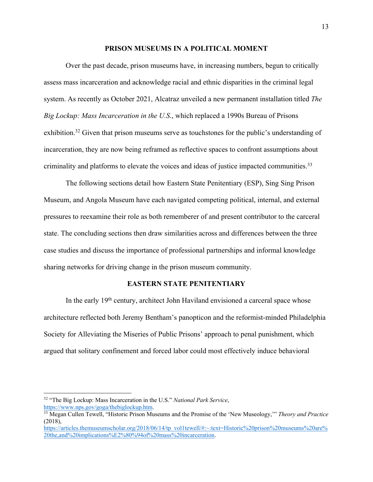#### **PRISON MUSEUMS IN A POLITICAL MOMENT**

Over the past decade, prison museums have, in increasing numbers, begun to critically assess mass incarceration and acknowledge racial and ethnic disparities in the criminal legal system. As recently as October 2021, Alcatraz unveiled a new permanent installation titled *The Big Lockup: Mass Incarceration in the U.S*., which replaced a 1990s Bureau of Prisons exhibition.<sup>32</sup> Given that prison museums serve as touchstones for the public's understanding of incarceration, they are now being reframed as reflective spaces to confront assumptions about criminality and platforms to elevate the voices and ideas of justice impacted communities.<sup>33</sup>

The following sections detail how Eastern State Penitentiary (ESP), Sing Sing Prison Museum, and Angola Museum have each navigated competing political, internal, and external pressures to reexamine their role as both rememberer of and present contributor to the carceral state. The concluding sections then draw similarities across and differences between the three case studies and discuss the importance of professional partnerships and informal knowledge sharing networks for driving change in the prison museum community.

### **EASTERN STATE PENITENTIARY**

In the early 19<sup>th</sup> century, architect John Haviland envisioned a carceral space whose architecture reflected both Jeremy Bentham's panopticon and the reformist-minded Philadelphia Society for Alleviating the Miseries of Public Prisons' approach to penal punishment, which argued that solitary confinement and forced labor could most effectively induce behavioral

<sup>32</sup> "The Big Lockup: Mass Incarceration in the U.S." *National Park Service*,

https://www.nps.gov/goga/thebiglockup.htm. 33 Megan Cullen Tewell, "Historic Prison Museums and the Promise of the 'New Museology,'" *Theory and Practice*   $(2018)$ ,

https://articles.themuseumscholar.org/2018/06/14/tp\_vol1tewell/#:~:text=Historic%20prison%20museums%20are% 20the,and%20implications%E2%80%94of%20mass%20incarceration.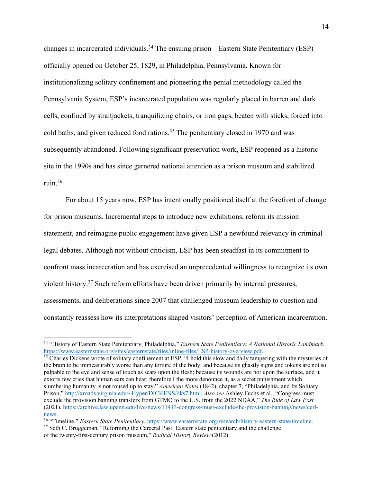changes in incarcerated individuals.<sup>34</sup> The ensuing prison—Eastern State Penitentiary (ESP) officially opened on October 25, 1829, in Philadelphia, Pennsylvania. Known for institutionalizing solitary confinement and pioneering the penial methodology called the Pennsylvania System, ESP's incarcerated population was regularly placed in barren and dark cells, confined by straitjackets, tranquilizing chairs, or iron gags, beaten with sticks, forced into cold baths, and given reduced food rations.<sup>35</sup> The penitentiary closed in 1970 and was subsequently abandoned. Following significant preservation work, ESP reopened as a historic site in the 1990s and has since garnered national attention as a prison museum and stabilized ruin.36

For about 15 years now, ESP has intentionally positioned itself at the forefront of change for prison museums. Incremental steps to introduce new exhibitions, reform its mission statement, and reimagine public engagement have given ESP a newfound relevancy in criminal legal debates. Although not without criticism, ESP has been steadfast in its commitment to confront mass incarceration and has exercised an unprecedented willingness to recognize its own violent history.37 Such reform efforts have been driven primarily by internal pressures, assessments, and deliberations since 2007 that challenged museum leadership to question and constantly reassess how its interpretations shaped visitors' perception of American incarceration.

 $\frac{35}{35}$  Charles Dickens wrote of solitary confinement at ESP, "I hold this slow and daily tampering with the mysteries of the brain to be immeasurably worse than any torture of the body: and because its ghastly signs and tokens are not so palpable to the eye and sense of touch as scars upon the flesh; because its wounds are not upon the surface, and it extorts few cries that human ears can hear; therefore I the more denounce it, as a secret punishment which slumbering humanity is not roused up to stay." *American Notes* (1842), chapter 7, "Philadelphia, and Its Solitary Prison," http://xroads.virginia.edu/~Hyper/DICKENS/dks7.html. *Also see* Ashley Fuchs et al., "Congress must exclude the provision banning transfers from GTMO to the U.S. from the 2022 NDAA," *The Rule of Law Post* (2021), https://archive.law.upenn.edu/live/news/11413-congress-must-exclude-the-provision-banning/news/cerlnews.

<sup>&</sup>lt;sup>34</sup> "History of Eastern State Penitentiary, Philadelphia," *Eastern State Penitentiary: A National Historic Landmark*, https://www.easternstate.org/sites/easternstate/files/inline-files/ESP-history-overview.pdf.

<sup>&</sup>lt;sup>36</sup> "Timeline," *Eastern State Penitentiary*, https://www.easternstate.org/research/history-eastern-state/timeline. <sup>37</sup> Seth C. Bruggeman, "Reforming the Carceral Past: Eastern state penitentiary and the challenge of the twenty-first-century prison museum," *Radical History Review* (2012).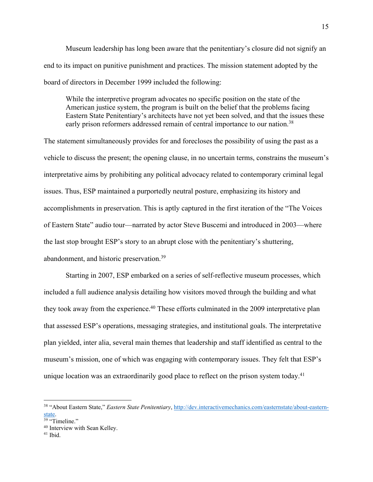Museum leadership has long been aware that the penitentiary's closure did not signify an end to its impact on punitive punishment and practices. The mission statement adopted by the board of directors in December 1999 included the following:

While the interpretive program advocates no specific position on the state of the American justice system, the program is built on the belief that the problems facing Eastern State Penitentiary's architects have not yet been solved, and that the issues these early prison reformers addressed remain of central importance to our nation.<sup>38</sup>

The statement simultaneously provides for and forecloses the possibility of using the past as a vehicle to discuss the present; the opening clause, in no uncertain terms, constrains the museum's interpretative aims by prohibiting any political advocacy related to contemporary criminal legal issues. Thus, ESP maintained a purportedly neutral posture, emphasizing its history and accomplishments in preservation. This is aptly captured in the first iteration of the "The Voices of Eastern State" audio tour—narrated by actor Steve Buscemi and introduced in 2003—where the last stop brought ESP's story to an abrupt close with the penitentiary's shuttering, abandonment, and historic preservation.39

Starting in 2007, ESP embarked on a series of self-reflective museum processes, which included a full audience analysis detailing how visitors moved through the building and what they took away from the experience.<sup>40</sup> These efforts culminated in the 2009 interpretative plan that assessed ESP's operations, messaging strategies, and institutional goals. The interpretative plan yielded, inter alia, several main themes that leadership and staff identified as central to the museum's mission, one of which was engaging with contemporary issues. They felt that ESP's unique location was an extraordinarily good place to reflect on the prison system today.<sup>41</sup>

<sup>38</sup> "About Eastern State," *Eastern State Penitentiary*, http://dev.interactivemechanics.com/easternstate/about-eastern- $\frac{\text{state}}{39}$  "Timeline."

<sup>&</sup>lt;sup>40</sup> Interview with Sean Kelley.

<sup>41</sup> Ibid.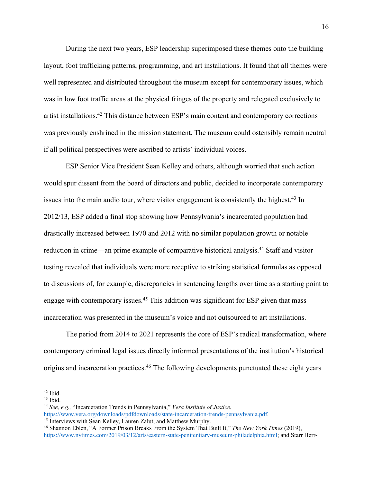During the next two years, ESP leadership superimposed these themes onto the building layout, foot trafficking patterns, programming, and art installations. It found that all themes were well represented and distributed throughout the museum except for contemporary issues, which was in low foot traffic areas at the physical fringes of the property and relegated exclusively to artist installations.42 This distance between ESP's main content and contemporary corrections was previously enshrined in the mission statement. The museum could ostensibly remain neutral if all political perspectives were ascribed to artists' individual voices.

ESP Senior Vice President Sean Kelley and others, although worried that such action would spur dissent from the board of directors and public, decided to incorporate contemporary issues into the main audio tour, where visitor engagement is consistently the highest.<sup>43</sup> In 2012/13, ESP added a final stop showing how Pennsylvania's incarcerated population had drastically increased between 1970 and 2012 with no similar population growth or notable reduction in crime—an prime example of comparative historical analysis.44 Staff and visitor testing revealed that individuals were more receptive to striking statistical formulas as opposed to discussions of, for example, discrepancies in sentencing lengths over time as a starting point to engage with contemporary issues.<sup>45</sup> This addition was significant for ESP given that mass incarceration was presented in the museum's voice and not outsourced to art installations.

The period from 2014 to 2021 represents the core of ESP's radical transformation, where contemporary criminal legal issues directly informed presentations of the institution's historical origins and incarceration practices.<sup>46</sup> The following developments punctuated these eight years

 $42$  Ibid.

 $43$  Ibid.

<sup>44</sup> *See, e.g.,* "Incarceration Trends in Pennsylvania," *Vera Institute of Justice*, https://www.vera.org/downloads/pdfdownloads/state-incarceration-trends-pennsylvania.pdf. 45 Interviews with Sean Kelley, Lauren Zalut, and Matthew Murphy.

<sup>46</sup> Shannon Eblen, "A Former Prison Breaks From the System That Built It," *The New York Times* (2019), https://www.nytimes.com/2019/03/12/arts/eastern-state-penitentiary-museum-philadelphia.html; and Starr Herr-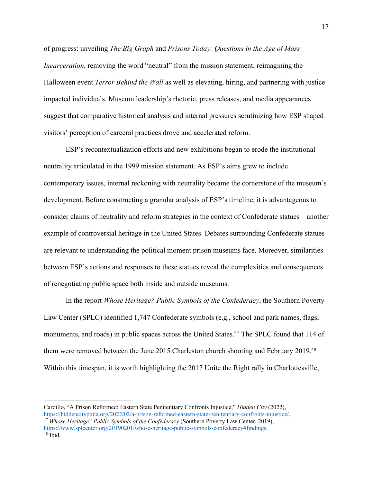of progress: unveiling *The Big Graph* and *Prisons Today: Questions in the Age of Mass Incarceration*, removing the word "neutral" from the mission statement, reimagining the Halloween event *Terror Behind the Wall* as well as elevating, hiring, and partnering with justice impacted individuals. Museum leadership's rhetoric, press releases, and media appearances suggest that comparative historical analysis and internal pressures scrutinizing how ESP shaped visitors' perception of carceral practices drove and accelerated reform.

ESP's recontextualization efforts and new exhibitions began to erode the institutional neutrality articulated in the 1999 mission statement. As ESP's aims grew to include contemporary issues, internal reckoning with neutrality became the cornerstone of the museum's development. Before constructing a granular analysis of ESP's timeline, it is advantageous to consider claims of neutrality and reform strategies in the context of Confederate statues—another example of controversial heritage in the United States. Debates surrounding Confederate statues are relevant to understanding the political moment prison museums face. Moreover, similarities between ESP's actions and responses to these statues reveal the complexities and consequences of renegotiating public space both inside and outside museums.

In the report *Whose Heritage? Public Symbols of the Confederacy*, the Southern Poverty Law Center (SPLC) identified 1,747 Confederate symbols (e.g., school and park names, flags, monuments, and roads) in public spaces across the United States.<sup>47</sup> The SPLC found that 114 of them were removed between the June 2015 Charleston church shooting and February 2019.<sup>48</sup> Within this timespan, it is worth highlighting the 2017 Unite the Right rally in Charlottesville,

Cardillo, "A Prison Reformed: Eastern State Penitentiary Confronts Injustice," *Hidden City* (2022), <sup>47</sup> Whose Heritage? Public Symbols of the Confederacy (Southern Poverty Law Center, 2019), https://www.splcenter.org/20190201/whose-heritage-public-symbols-confederacy#findings.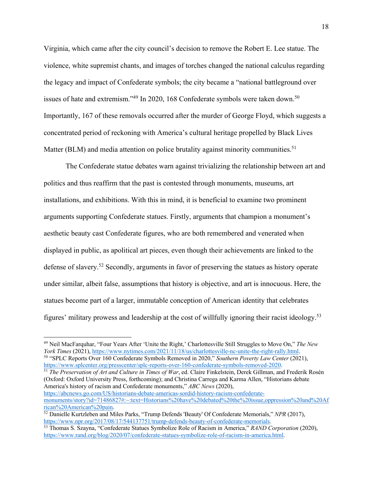Virginia, which came after the city council's decision to remove the Robert E. Lee statue. The violence, white supremist chants, and images of torches changed the national calculus regarding the legacy and impact of Confederate symbols; the city became a "national battleground over issues of hate and extremism."<sup>49</sup> In 2020, 168 Confederate symbols were taken down.<sup>50</sup> Importantly, 167 of these removals occurred after the murder of George Floyd, which suggests a concentrated period of reckoning with America's cultural heritage propelled by Black Lives Matter (BLM) and media attention on police brutality against minority communities.<sup>51</sup>

The Confederate statue debates warn against trivializing the relationship between art and politics and thus reaffirm that the past is contested through monuments, museums, art installations, and exhibitions. With this in mind, it is beneficial to examine two prominent arguments supporting Confederate statues. Firstly, arguments that champion a monument's aesthetic beauty cast Confederate figures, who are both remembered and venerated when displayed in public, as apolitical art pieces, even though their achievements are linked to the defense of slavery.52 Secondly, arguments in favor of preserving the statues as history operate under similar, albeit false, assumptions that history is objective, and art is innocuous. Here, the statues become part of a larger, immutable conception of American identity that celebrates figures' military prowess and leadership at the cost of willfully ignoring their racist ideology.53

https://www.splcenter.org/presscenter/splc-reports-over-160-confederate-symbols-removed-2020. 51 *The Preservation of Art and Culture in Times of War*, ed. Claire Finkelstein, Derek Gillman, and Frederik Rosén (Oxford: Oxford University Press, forthcoming); and Christina Carrega and Karma Allen, "Historians debate America's history of racism and Confederate monuments," *ABC News* (2020), https://abcnews.go.com/US/historians-debate-americas-sordid-history-racism-confederatemonuments/story?id=71486827#:~:text=Historians%20have%20debated%20the%20issue,oppression%20and%20Af rican%20American%20pain.

<sup>&</sup>lt;sup>49</sup> Neil MacFarquhar, "Four Years After 'Unite the Right,' Charlottesville Still Struggles to Move On," *The New York Times* (2021), https://www.nytimes.com/2021/11/18/us/charlottesville-nc-unite-the-right-rally.html. <sup>50</sup> "SPLC Reports Over 160 Confederate Symbols Removed in 2020," *Southern Poverty Law Center* (2021),

<sup>&</sup>lt;sup>52</sup> Danielle Kurtzleben and Miles Parks, "Trump Defends 'Beauty' Of Confederate Memorials," *NPR* (2017), https://www.npr.org/2017/08/17/544137751/trump-defends-beauty-of-confederate-memorials.

<sup>&</sup>lt;sup>53</sup> Thomas S. Szayna, "Confederate Statues Symbolize Role of Racism in America," *RAND Corporation* (2020), https://www.rand.org/blog/2020/07/confederate-statues-symbolize-role-of-racism-in-america.html.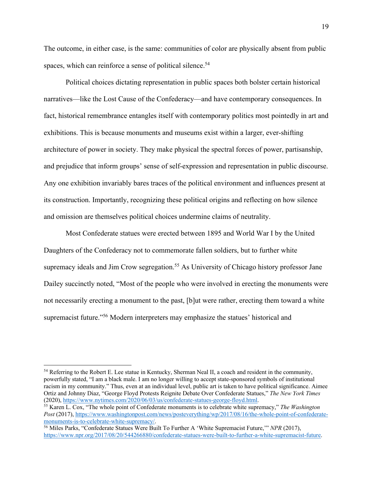The outcome, in either case, is the same: communities of color are physically absent from public spaces, which can reinforce a sense of political silence.<sup>54</sup>

Political choices dictating representation in public spaces both bolster certain historical narratives—like the Lost Cause of the Confederacy—and have contemporary consequences. In fact, historical remembrance entangles itself with contemporary politics most pointedly in art and exhibitions. This is because monuments and museums exist within a larger, ever-shifting architecture of power in society. They make physical the spectral forces of power, partisanship, and prejudice that inform groups' sense of self-expression and representation in public discourse. Any one exhibition invariably bares traces of the political environment and influences present at its construction. Importantly, recognizing these political origins and reflecting on how silence and omission are themselves political choices undermine claims of neutrality.

Most Confederate statues were erected between 1895 and World War I by the United Daughters of the Confederacy not to commemorate fallen soldiers, but to further white supremacy ideals and Jim Crow segregation.<sup>55</sup> As University of Chicago history professor Jane Dailey succinctly noted, "Most of the people who were involved in erecting the monuments were not necessarily erecting a monument to the past, [b]ut were rather, erecting them toward a white supremacist future."56 Modern interpreters may emphasize the statues' historical and

<sup>&</sup>lt;sup>54</sup> Referring to the Robert E. Lee statue in Kentucky, Sherman Neal II, a coach and resident in the community, powerfully stated, "I am a black male. I am no longer willing to accept state-sponsored symbols of institutional racism in my community." Thus, even at an individual level, public art is taken to have political significance. Aimee Ortiz and Johnny Diaz, "George Floyd Protests Reignite Debate Over Confederate Statues," *The New York Times*  (2020), https://www.nytimes.com/2020/06/03/us/confederate-statues-george-floyd.html.

<sup>55</sup> Karen L. Cox, "The whole point of Confederate monuments is to celebrate white supremacy," *The Washington Post* (2017), https://www.washingtonpost.com/news/posteverything/wp/2017/08/16/the-whole-point-of-confederate-<br>monuments-is-to-celebrate-white-supremacy/

<sup>&</sup>lt;sup>56</sup> Miles Parks, "Confederate Statues Were Built To Further A 'White Supremacist Future," *NPR* (2017), https://www.npr.org/2017/08/20/544266880/confederate-statues-were-built-to-further-a-white-supremacist-future.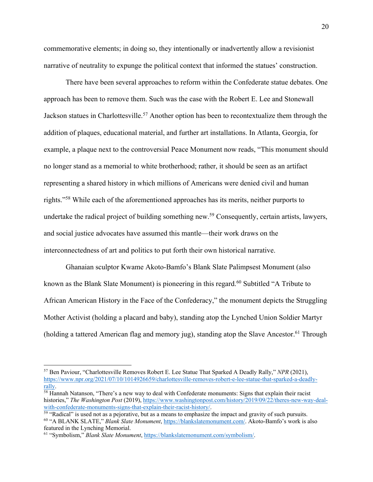commemorative elements; in doing so, they intentionally or inadvertently allow a revisionist narrative of neutrality to expunge the political context that informed the statues' construction.

There have been several approaches to reform within the Confederate statue debates. One approach has been to remove them. Such was the case with the Robert E. Lee and Stonewall Jackson statues in Charlottesville.<sup>57</sup> Another option has been to recontextualize them through the addition of plaques, educational material, and further art installations. In Atlanta, Georgia, for example, a plaque next to the controversial Peace Monument now reads, "This monument should no longer stand as a memorial to white brotherhood; rather, it should be seen as an artifact representing a shared history in which millions of Americans were denied civil and human rights."58 While each of the aforementioned approaches has its merits, neither purports to undertake the radical project of building something new.<sup>59</sup> Consequently, certain artists, lawyers, and social justice advocates have assumed this mantle—their work draws on the interconnectedness of art and politics to put forth their own historical narrative.

Ghanaian sculptor Kwame Akoto-Bamfo's Blank Slate Palimpsest Monument (also known as the Blank Slate Monument) is pioneering in this regard.<sup>60</sup> Subtitled "A Tribute to African American History in the Face of the Confederacy," the monument depicts the Struggling Mother Activist (holding a placard and baby), standing atop the Lynched Union Soldier Martyr (holding a tattered American flag and memory jug), standing atop the Slave Ancestor.<sup>61</sup> Through

<sup>57</sup> Ben Paviour, "Charlottesville Removes Robert E. Lee Statue That Sparked A Deadly Rally," *NPR* (2021), https://www.npr.org/2021/07/10/1014926659/charlottesville-removes-robert-e-lee-statue-that-sparked-a-deadlyrally.<br><sup>58</sup> Hannah Natanson, "There's a new way to deal with Confederate monuments: Signs that explain their racist

histories," *The Washington Post* (2019), https://www.washingtonpost.com/history/2019/09/22/theres-new-way-dealwith-confederate-monuments-signs-that-explain-their-racist-history/.<br><sup>59</sup> "Radical" is used not as a pejorative, but as a means to emphasize the impact and gravity of such pursuits.

<sup>60</sup> "A BLANK SLATE," *Blank Slate Monument*, https://blankslatemonument.com/. Akoto-Bamfo's work is also featured in the Lynching Memorial.

<sup>61</sup> "Symbolism," *Blank Slate Monument*, https://blankslatemonument.com/symbolism/.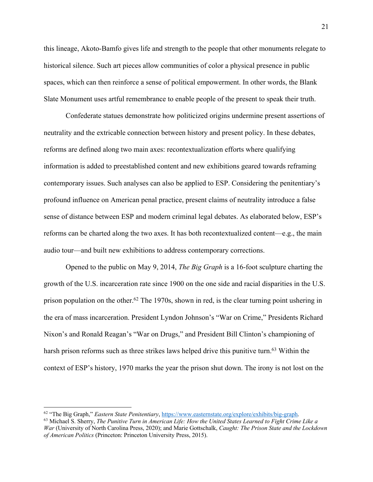this lineage, Akoto-Bamfo gives life and strength to the people that other monuments relegate to historical silence. Such art pieces allow communities of color a physical presence in public spaces, which can then reinforce a sense of political empowerment. In other words, the Blank Slate Monument uses artful remembrance to enable people of the present to speak their truth.

Confederate statues demonstrate how politicized origins undermine present assertions of neutrality and the extricable connection between history and present policy. In these debates, reforms are defined along two main axes: recontextualization efforts where qualifying information is added to preestablished content and new exhibitions geared towards reframing contemporary issues. Such analyses can also be applied to ESP. Considering the penitentiary's profound influence on American penal practice, present claims of neutrality introduce a false sense of distance between ESP and modern criminal legal debates. As elaborated below, ESP's reforms can be charted along the two axes. It has both recontextualized content—e.g., the main audio tour—and built new exhibitions to address contemporary corrections.

Opened to the public on May 9, 2014, *The Big Graph* is a 16-foot sculpture charting the growth of the U.S. incarceration rate since 1900 on the one side and racial disparities in the U.S. prison population on the other.<sup>62</sup> The 1970s, shown in red, is the clear turning point ushering in the era of mass incarceration. President Lyndon Johnson's "War on Crime," Presidents Richard Nixon's and Ronald Reagan's "War on Drugs," and President Bill Clinton's championing of harsh prison reforms such as three strikes laws helped drive this punitive turn.<sup>63</sup> Within the context of ESP's history, 1970 marks the year the prison shut down. The irony is not lost on the

<sup>62</sup> "The Big Graph," *Eastern State Penitentiary*, https://www.easternstate.org/explore/exhibits/big-graph.

<sup>63</sup> Michael S. Sherry, *The Punitive Turn in American Life: How the United States Learned to Fight Crime Like a War* (University of North Carolina Press, 2020); and Marie Gottschalk, *Caught: The Prison State and the Lockdown of American Politics* (Princeton: Princeton University Press, 2015).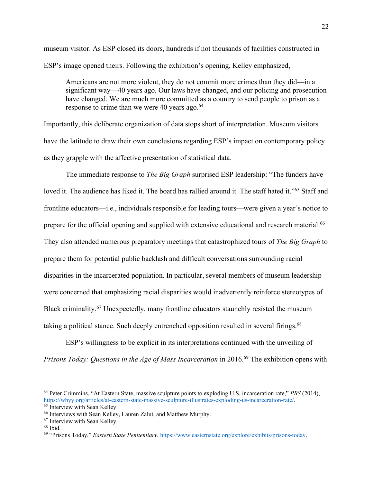museum visitor. As ESP closed its doors, hundreds if not thousands of facilities constructed in ESP's image opened theirs. Following the exhibition's opening, Kelley emphasized,

Americans are not more violent, they do not commit more crimes than they did—in a significant way—40 years ago. Our laws have changed, and our policing and prosecution have changed. We are much more committed as a country to send people to prison as a response to crime than we were 40 years ago. $64$ 

Importantly, this deliberate organization of data stops short of interpretation. Museum visitors have the latitude to draw their own conclusions regarding ESP's impact on contemporary policy as they grapple with the affective presentation of statistical data.

The immediate response to *The Big Graph* surprised ESP leadership: "The funders have loved it. The audience has liked it. The board has rallied around it. The staff hated it."<sup>65</sup> Staff and frontline educators—i.e., individuals responsible for leading tours—were given a year's notice to prepare for the official opening and supplied with extensive educational and research material.<sup>66</sup> They also attended numerous preparatory meetings that catastrophized tours of *The Big Graph* to prepare them for potential public backlash and difficult conversations surrounding racial disparities in the incarcerated population. In particular, several members of museum leadership were concerned that emphasizing racial disparities would inadvertently reinforce stereotypes of Black criminality.<sup>67</sup> Unexpectedly, many frontline educators staunchly resisted the museum taking a political stance. Such deeply entrenched opposition resulted in several firings.<sup>68</sup>

ESP's willingness to be explicit in its interpretations continued with the unveiling of *Prisons Today: Questions in the Age of Mass Incarceration* in 2016.<sup>69</sup> The exhibition opens with

<sup>64</sup> Peter Crimmins, "At Eastern State, massive sculpture points to exploding U.S. incarceration rate," *PBS* (2014), https://whyy.org/articles/at-eastern-state-massive-sculpture-illustrates-exploding-us-incarceration-rate/. 65 Interview with Sean Kelley.

<sup>66</sup> Interviews with Sean Kelley, Lauren Zalut, and Matthew Murphy.

<sup>67</sup> Interview with Sean Kelley.

<sup>68</sup> Ibid.

<sup>69</sup> "Prisons Today," *Eastern State Penitentiary*, https://www.easternstate.org/explore/exhibits/prisons-today.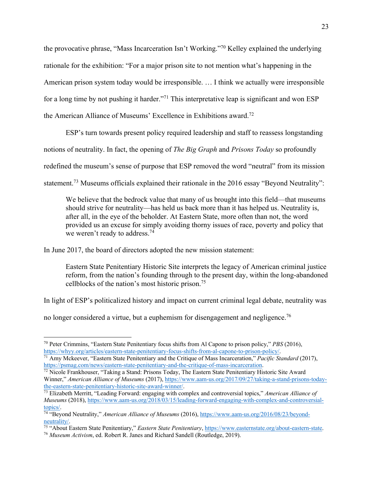the provocative phrase, "Mass Incarceration Isn't Working."70 Kelley explained the underlying rationale for the exhibition: "For a major prison site to not mention what's happening in the American prison system today would be irresponsible. … I think we actually were irresponsible for a long time by not pushing it harder."71 This interpretative leap is significant and won ESP the American Alliance of Museums' Excellence in Exhibitions award.72

ESP's turn towards present policy required leadership and staff to reassess longstanding notions of neutrality. In fact, the opening of *The Big Graph* and *Prisons Today* so profoundly redefined the museum's sense of purpose that ESP removed the word "neutral" from its mission statement.<sup>73</sup> Museums officials explained their rationale in the 2016 essay "Beyond Neutrality":

We believe that the bedrock value that many of us brought into this field—that museums should strive for neutrality—has held us back more than it has helped us. Neutrality is, after all, in the eye of the beholder. At Eastern State, more often than not, the word provided us an excuse for simply avoiding thorny issues of race, poverty and policy that we weren't ready to address.<sup>74</sup>

In June 2017, the board of directors adopted the new mission statement:

Eastern State Penitentiary Historic Site interprets the legacy of American criminal justice reform, from the nation's founding through to the present day, within the long-abandoned cellblocks of the nation's most historic prison.75

In light of ESP's politicalized history and impact on current criminal legal debate, neutrality was

no longer considered a virtue, but a euphemism for disengagement and negligence.<sup>76</sup>

<sup>70</sup> Peter Crimmins, "Eastern State Penitentiary focus shifts from Al Capone to prison policy," *PBS* (2016), https://whyy.org/articles/eastern-state-penitentiary-focus-shifts-from-al-capone-to-prison-policy/.

<sup>71</sup> Amy Mckeever, "Eastern State Penitentiary and the Critique of Mass Incarceration," *Pacific Standard* (2017), https://psmag.com/news/eastern-state-penitentiary-and-the-critique-of-mass-incarceration.<br><sup>72</sup> Nicole Frankhouser, "Taking a Stand: Prisons Today, The Eastern State Penitentiary Historic Site Award

Winner," *American Alliance of Museums* (2017), https://www.aam-us.org/2017/09/27/taking-a-stand-prisons-todaythe-eastern-state-penitentiary-historic-site-award-winner/.

<sup>73</sup> Elizabeth Merritt, "Leading Forward: engaging with complex and controversial topics," *American Alliance of Museums* (2018), https://www.aam-us.org/2018/03/15/leading-forward-engaging-with-complex-and-controversial-

topics/.<br><sup>74</sup> "Beyond Neutrality," *American Alliance of Museums* (2016), https://www.aam-us.org/2016/08/23/beyond-<br>neutrality/.

<sup>&</sup>lt;sup>75</sup> "About Eastern State Penitentiary," *Eastern State Penitentiary*, https://www.easternstate.org/about-eastern-state. <sup>76</sup> *Museum Activism*, ed. Robert R. Janes and Richard Sandell (Routledge, 2019).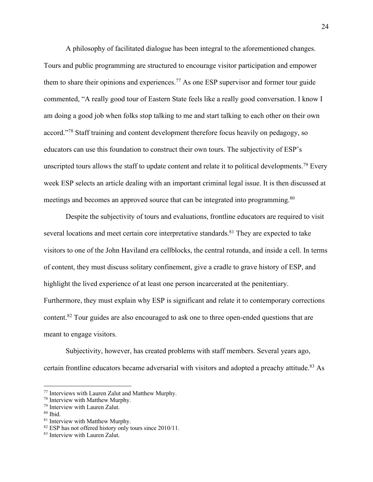A philosophy of facilitated dialogue has been integral to the aforementioned changes. Tours and public programming are structured to encourage visitor participation and empower them to share their opinions and experiences.<sup>77</sup> As one ESP supervisor and former tour guide commented, "A really good tour of Eastern State feels like a really good conversation. I know I am doing a good job when folks stop talking to me and start talking to each other on their own accord."78 Staff training and content development therefore focus heavily on pedagogy, so educators can use this foundation to construct their own tours. The subjectivity of ESP's unscripted tours allows the staff to update content and relate it to political developments.<sup>79</sup> Every week ESP selects an article dealing with an important criminal legal issue. It is then discussed at meetings and becomes an approved source that can be integrated into programming.<sup>80</sup>

Despite the subjectivity of tours and evaluations, frontline educators are required to visit several locations and meet certain core interpretative standards.<sup>81</sup> They are expected to take visitors to one of the John Haviland era cellblocks, the central rotunda, and inside a cell. In terms of content, they must discuss solitary confinement, give a cradle to grave history of ESP, and highlight the lived experience of at least one person incarcerated at the penitentiary. Furthermore, they must explain why ESP is significant and relate it to contemporary corrections content.<sup>82</sup> Tour guides are also encouraged to ask one to three open-ended questions that are meant to engage visitors.

Subjectivity, however, has created problems with staff members. Several years ago, certain frontline educators became adversarial with visitors and adopted a preachy attitude.<sup>83</sup> As

<sup>&</sup>lt;sup>77</sup> Interviews with Lauren Zalut and Matthew Murphy.<br><sup>78</sup> Interview with Matthew Murphy.

 $79$  Interview with Lauren Zalut.<br> $80$  Ibid.

<sup>&</sup>lt;sup>81</sup> Interview with Matthew Murphy.

<sup>&</sup>lt;sup>82</sup> ESP has not offered history only tours since 2010/11.

<sup>83</sup> Interview with Lauren Zalut.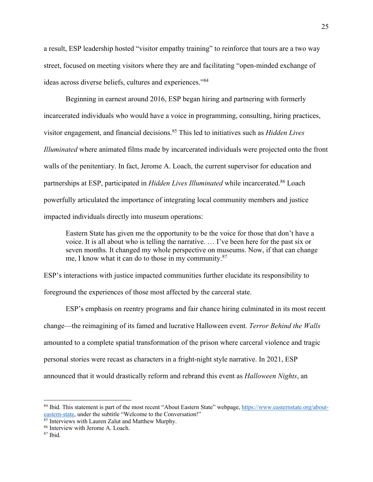a result, ESP leadership hosted "visitor empathy training" to reinforce that tours are a two way street, focused on meeting visitors where they are and facilitating "open-minded exchange of ideas across diverse beliefs, cultures and experiences."84

Beginning in earnest around 2016, ESP began hiring and partnering with formerly incarcerated individuals who would have a voice in programming, consulting, hiring practices, visitor engagement, and financial decisions.85 This led to initiatives such as *Hidden Lives Illuminated* where animated films made by incarcerated individuals were projected onto the front walls of the penitentiary. In fact, Jerome A. Loach, the current supervisor for education and partnerships at ESP, participated in *Hidden Lives Illuminated* while incarcerated. <sup>86</sup> Loach powerfully articulated the importance of integrating local community members and justice impacted individuals directly into museum operations:

Eastern State has given me the opportunity to be the voice for those that don't have a voice. It is all about who is telling the narrative. … I've been here for the past six or seven months. It changed my whole perspective on museums. Now, if that can change me, I know what it can do to those in my community.87

ESP's interactions with justice impacted communities further elucidate its responsibility to foreground the experiences of those most affected by the carceral state.

ESP's emphasis on reentry programs and fair chance hiring culminated in its most recent change—the reimagining of its famed and lucrative Halloween event. *Terror Behind the Walls* amounted to a complete spatial transformation of the prison where carceral violence and tragic personal stories were recast as characters in a fright-night style narrative. In 2021, ESP announced that it would drastically reform and rebrand this event as *Halloween Nights*, an

<sup>&</sup>lt;sup>84</sup> Ibid. This statement is part of the most recent "About Eastern State" webpage, https://www.easternstate.org/abouteastern-state, under the subtitle "Welcome to the Conversation!" 85 Interviews with Lauren Zalut and Matthew Murphy.

<sup>86</sup> Interview with Jerome A. Loach.

 $87$  Ibid.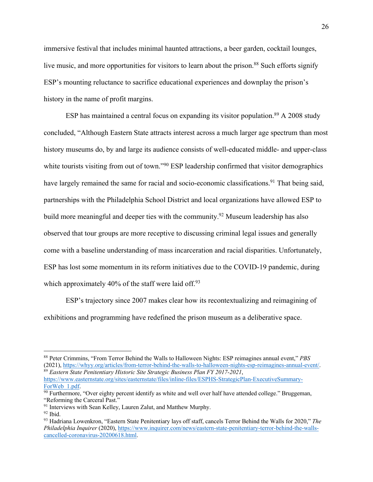immersive festival that includes minimal haunted attractions, a beer garden, cocktail lounges, live music, and more opportunities for visitors to learn about the prison.<sup>88</sup> Such efforts signify ESP's mounting reluctance to sacrifice educational experiences and downplay the prison's history in the name of profit margins.

ESP has maintained a central focus on expanding its visitor population.<sup>89</sup> A 2008 study concluded, "Although Eastern State attracts interest across a much larger age spectrum than most history museums do, by and large its audience consists of well-educated middle- and upper-class white tourists visiting from out of town."<sup>90</sup> ESP leadership confirmed that visitor demographics have largely remained the same for racial and socio-economic classifications.<sup>91</sup> That being said, partnerships with the Philadelphia School District and local organizations have allowed ESP to build more meaningful and deeper ties with the community.<sup>92</sup> Museum leadership has also observed that tour groups are more receptive to discussing criminal legal issues and generally come with a baseline understanding of mass incarceration and racial disparities. Unfortunately, ESP has lost some momentum in its reform initiatives due to the COVID-19 pandemic, during which approximately 40% of the staff were laid off.<sup>93</sup>

ESP's trajectory since 2007 makes clear how its recontextualizing and reimagining of exhibitions and programming have redefined the prison museum as a deliberative space.

<sup>88</sup> Peter Crimmins, "From Terror Behind the Walls to Halloween Nights: ESP reimagines annual event," *PBS* (2021), https://whyy.org/articles/from-terror-behind-the-walls-to-halloween-nights-esp-reimagines-annual-event/. <sup>89</sup> *Eastern State Penitentiary Historic Site Strategic Business Plan FY 2017-2021*, https://www.easternstate.org/sites/easternstate/files/inline-files/ESPHS-StrategicPlan-ExecutiveSummary-

ForWeb 1.pdf.<br><sup>90</sup> Furthermore, "Over eighty percent identify as white and well over half have attended college." Bruggeman,

<sup>&</sup>quot;Reforming the Carceral Past."

 $91$  Interviews with Sean Kelley, Lauren Zalut, and Matthew Murphy.

 $92$  Ibid.

<sup>93</sup> Hadriana Lowenkron, "Eastern State Penitentiary lays off staff, cancels Terror Behind the Walls for 2020," *The Philadelphia Inquirer* (2020), https://www.inquirer.com/news/eastern-state-penitentiary-terror-behind-the-wallscancelled-coronavirus-20200618.html.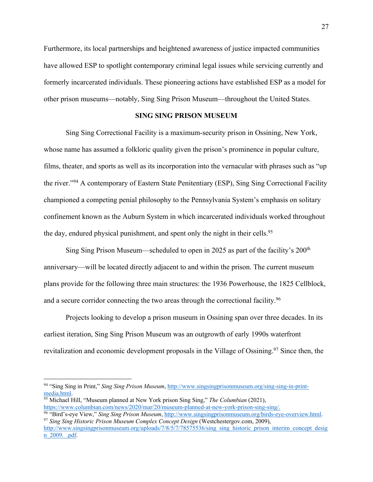Furthermore, its local partnerships and heightened awareness of justice impacted communities have allowed ESP to spotlight contemporary criminal legal issues while servicing currently and formerly incarcerated individuals. These pioneering actions have established ESP as a model for other prison museums—notably, Sing Sing Prison Museum—throughout the United States.

### **SING SING PRISON MUSEUM**

Sing Sing Correctional Facility is a maximum-security prison in Ossining, New York, whose name has assumed a folkloric quality given the prison's prominence in popular culture, films, theater, and sports as well as its incorporation into the vernacular with phrases such as "up the river."94 A contemporary of Eastern State Penitentiary (ESP), Sing Sing Correctional Facility championed a competing penial philosophy to the Pennsylvania System's emphasis on solitary confinement known as the Auburn System in which incarcerated individuals worked throughout the day, endured physical punishment, and spent only the night in their cells.<sup>95</sup>

Sing Sing Prison Museum—scheduled to open in 2025 as part of the facility's 200<sup>th</sup> anniversary—will be located directly adjacent to and within the prison. The current museum plans provide for the following three main structures: the 1936 Powerhouse, the 1825 Cellblock, and a secure corridor connecting the two areas through the correctional facility.<sup>96</sup>

Projects looking to develop a prison museum in Ossining span over three decades. In its earliest iteration, Sing Sing Prison Museum was an outgrowth of early 1990s waterfront revitalization and economic development proposals in the Village of Ossining.<sup>97</sup> Since then, the

<sup>94</sup> "Sing Sing in Print," *Sing Sing Prison Museum*, http://www.singsingprisonmuseum.org/sing-sing-in-printmedia.html. 95 Michael Hill, "Museum planned at New York prison Sing Sing," *The Columbian* (2021),

https://www.columbian.com/news/2020/mar/20/museum-planned-at-new-york-prison-sing-sing/.

<sup>96</sup> "Bird's-eye View," *Sing Sing Prison Museum*, http://www.singsingprisonmuseum.org/birds-eye-overview.html. 97 *Sing Sing Historic Prison Museum Complex Concept Design* (Westchestergov.com, 2009),

http://www.singsingprisonmuseum.org/uploads/7/8/5/7/78575536/sing\_sing\_historic\_prison\_interim\_concept\_desig n\_2009.\_.pdf.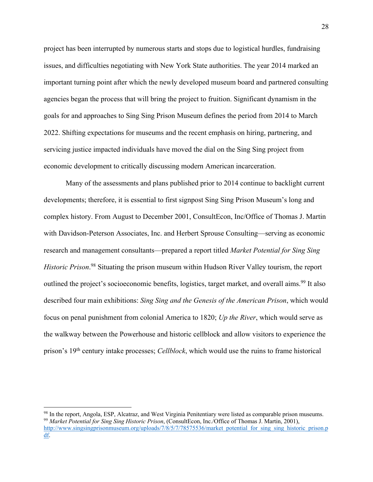project has been interrupted by numerous starts and stops due to logistical hurdles, fundraising issues, and difficulties negotiating with New York State authorities. The year 2014 marked an important turning point after which the newly developed museum board and partnered consulting agencies began the process that will bring the project to fruition. Significant dynamism in the goals for and approaches to Sing Sing Prison Museum defines the period from 2014 to March 2022. Shifting expectations for museums and the recent emphasis on hiring, partnering, and servicing justice impacted individuals have moved the dial on the Sing Sing project from economic development to critically discussing modern American incarceration.

Many of the assessments and plans published prior to 2014 continue to backlight current developments; therefore, it is essential to first signpost Sing Sing Prison Museum's long and complex history. From August to December 2001, ConsultEcon, Inc/Office of Thomas J. Martin with Davidson-Peterson Associates, Inc. and Herbert Sprouse Consulting—serving as economic research and management consultants—prepared a report titled *Market Potential for Sing Sing Historic Prison*. <sup>98</sup> Situating the prison museum within Hudson River Valley tourism, the report outlined the project's socioeconomic benefits, logistics, target market, and overall aims.<sup>99</sup> It also described four main exhibitions: *Sing Sing and the Genesis of the American Prison*, which would focus on penal punishment from colonial America to 1820; *Up the River*, which would serve as the walkway between the Powerhouse and historic cellblock and allow visitors to experience the prison's 19th century intake processes; *Cellblock*, which would use the ruins to frame historical

<sup>&</sup>lt;sup>98</sup> In the report, Angola, ESP, Alcatraz, and West Virginia Penitentiary were listed as comparable prison museums.<br><sup>99</sup> Market Potential for Sing Sing Historic Prison, (ConsultEcon, Inc./Office of Thomas J. Martin, 2001), http://www.singsingprisonmuseum.org/uploads/7/8/5/7/78575536/market\_potential\_for\_sing\_sing\_historic\_prison.p df.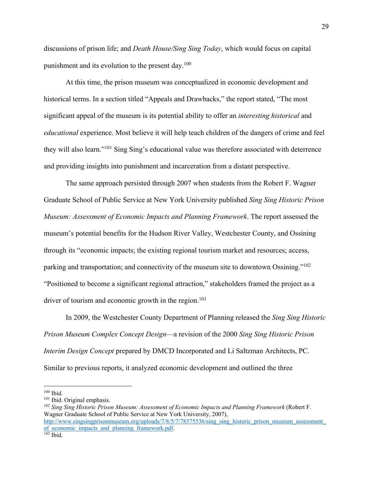discussions of prison life; and *Death House/Sing Sing Today*, which would focus on capital punishment and its evolution to the present day.<sup>100</sup>

At this time, the prison museum was conceptualized in economic development and historical terms. In a section titled "Appeals and Drawbacks," the report stated, "The most significant appeal of the museum is its potential ability to offer an *interesting historical* and *educational* experience. Most believe it will help teach children of the dangers of crime and feel they will also learn."101 Sing Sing's educational value was therefore associated with deterrence and providing insights into punishment and incarceration from a distant perspective.

The same approach persisted through 2007 when students from the Robert F. Wagner Graduate School of Public Service at New York University published *Sing Sing Historic Prison Museum: Assessment of Economic Impacts and Planning Framework*. The report assessed the museum's potential benefits for the Hudson River Valley, Westchester County, and Ossining through its "economic impacts; the existing regional tourism market and resources; access, parking and transportation; and connectivity of the museum site to downtown Ossining."<sup>102</sup> "Positioned to become a significant regional attraction," stakeholders framed the project as a driver of tourism and economic growth in the region.<sup>103</sup>

In 2009, the Westchester County Department of Planning released the *Sing Sing Historic Prison Museum Complex Concept Design*—a revision of the 2000 *Sing Sing Historic Prison Interim Design Concept* prepared by DMCD Incorporated and Li Saltzman Architects, PC. Similar to previous reports, it analyzed economic development and outlined the three

<sup>100</sup> Ibid.

http://www.singsingprisonmuseum.org/uploads/7/8/5/7/78575536/sing\_sing\_historic\_prison\_museum\_assessment of economic\_impacts\_and\_planning\_framework.pdf. 103 Ibid.

<sup>101</sup> Ibid. Original emphasis.

<sup>102</sup> *Sing Sing Historic Prison Museum: Assessment of Economic Impacts and Planning Framework* (Robert F. Wagner Graduate School of Public Service at New York University, 2007),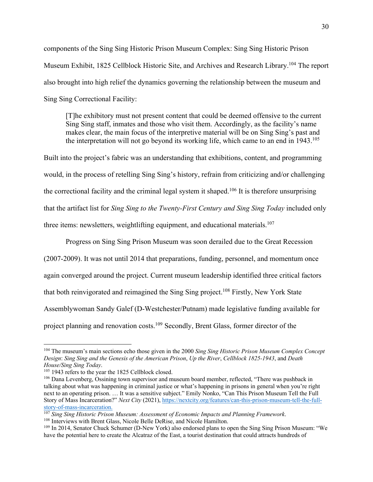components of the Sing Sing Historic Prison Museum Complex: Sing Sing Historic Prison Museum Exhibit, 1825 Cellblock Historic Site, and Archives and Research Library.<sup>104</sup> The report also brought into high relief the dynamics governing the relationship between the museum and Sing Sing Correctional Facility:

[T]he exhibitory must not present content that could be deemed offensive to the current Sing Sing staff, inmates and those who visit them. Accordingly, as the facility's name makes clear, the main focus of the interpretive material will be on Sing Sing's past and the interpretation will not go beyond its working life, which came to an end in 1943. 105

Built into the project's fabric was an understanding that exhibitions, content, and programming would, in the process of retelling Sing Sing's history, refrain from criticizing and/or challenging the correctional facility and the criminal legal system it shaped.<sup>106</sup> It is therefore unsurprising that the artifact list for *Sing Sing to the Twenty-First Century and Sing Sing Today* included only three items: newsletters, weightlifting equipment, and educational materials.<sup>107</sup>

Progress on Sing Sing Prison Museum was soon derailed due to the Great Recession (2007-2009). It was not until 2014 that preparations, funding, personnel, and momentum once again converged around the project. Current museum leadership identified three critical factors that both reinvigorated and reimagined the Sing Sing project.<sup>108</sup> Firstly, New York State Assemblywoman Sandy Galef (D-Westchester/Putnam) made legislative funding available for project planning and renovation costs.109 Secondly, Brent Glass, former director of the

<sup>104</sup> The museum's main sections echo those given in the 2000 *Sing Sing Historic Prison Museum Complex Concept Design*: *Sing Sing and the Genesis of the American Prison*, *Up the River*, *Cellblock 1825‐1943*, and *Death House/Sing Sing Today*.

<sup>&</sup>lt;sup>105</sup> 1943 refers to the year the 1825 Cellblock closed.

<sup>&</sup>lt;sup>106</sup> Dana Levenberg, Ossining town supervisor and museum board member, reflected, "There was pushback in talking about what was happening in criminal justice or what's happening in prisons in general when you're right next to an operating prison. … It was a sensitive subject." Emily Nonko, "Can This Prison Museum Tell the Full Story of Mass Incarceration?" *Next City* (2021), https://nextcity.org/features/can-this-prison-museum-tell-the-fullstory-of-mass-incarceration.

<sup>107</sup> *Sing Sing Historic Prison Museum: Assessment of Economic Impacts and Planning Framework*. <sup>108</sup> Interviews with Brent Glass, Nicole Belle DeRise, and Nicole Hamilton.

<sup>&</sup>lt;sup>109</sup> In 2014, Senator Chuck Schumer (D-New York) also endorsed plans to open the Sing Sing Prison Museum: "We have the potential here to create the Alcatraz of the East, a tourist destination that could attracts hundreds of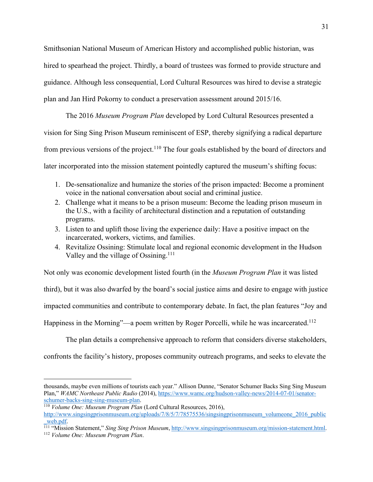Smithsonian National Museum of American History and accomplished public historian, was hired to spearhead the project. Thirdly, a board of trustees was formed to provide structure and guidance. Although less consequential, Lord Cultural Resources was hired to devise a strategic plan and Jan Hird Pokorny to conduct a preservation assessment around 2015/16.

The 2016 *Museum Program Plan* developed by Lord Cultural Resources presented a vision for Sing Sing Prison Museum reminiscent of ESP, thereby signifying a radical departure from previous versions of the project.<sup>110</sup> The four goals established by the board of directors and later incorporated into the mission statement pointedly captured the museum's shifting focus:

- 1. De-sensationalize and humanize the stories of the prison impacted: Become a prominent voice in the national conversation about social and criminal justice.
- 2. Challenge what it means to be a prison museum: Become the leading prison museum in the U.S., with a facility of architectural distinction and a reputation of outstanding programs.
- 3. Listen to and uplift those living the experience daily: Have a positive impact on the incarcerated, workers, victims, and families.
- 4. Revitalize Ossining: Stimulate local and regional economic development in the Hudson Valley and the village of Ossining.<sup>111</sup>

Not only was economic development listed fourth (in the *Museum Program Plan* it was listed third), but it was also dwarfed by the board's social justice aims and desire to engage with justice impacted communities and contribute to contemporary debate. In fact, the plan features "Joy and Happiness in the Morning"—a poem written by Roger Porcelli, while he was incarcerated.<sup>112</sup>

The plan details a comprehensive approach to reform that considers diverse stakeholders,

confronts the facility's history, proposes community outreach programs, and seeks to elevate the

thousands, maybe even millions of tourists each year." Allison Dunne, "Senator Schumer Backs Sing Sing Museum Plan," *WAMC Northeast Public Radio* (2014), https://www.wamc.org/hudson-valley-news/2014-07-01/senatorschumer-backs-sing-sing-museum-plan. 110 *Volume One: Museum Program Plan* (Lord Cultural Resources, 2016),

http://www.singsingprisonmuseum.org/uploads/7/8/5/7/78575536/singsingprisonmuseum\_volumeone\_2016\_public \_web.pdf. 111 "Mission Statement," *Sing Sing Prison Museum*, http://www.singsingprisonmuseum.org/mission-statement.html. 112 *Volume One: Museum Program Plan*.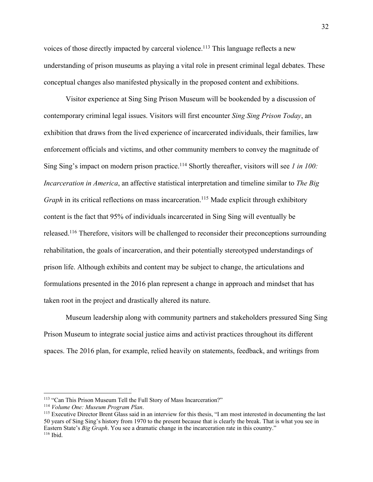voices of those directly impacted by carceral violence.<sup>113</sup> This language reflects a new understanding of prison museums as playing a vital role in present criminal legal debates. These conceptual changes also manifested physically in the proposed content and exhibitions.

Visitor experience at Sing Sing Prison Museum will be bookended by a discussion of contemporary criminal legal issues. Visitors will first encounter *Sing Sing Prison Today*, an exhibition that draws from the lived experience of incarcerated individuals, their families, law enforcement officials and victims, and other community members to convey the magnitude of Sing Sing's impact on modern prison practice.<sup>114</sup> Shortly thereafter, visitors will see *1 in 100: Incarceration in America*, an affective statistical interpretation and timeline similar to *The Big Graph* in its critical reflections on mass incarceration.<sup>115</sup> Made explicit through exhibitory content is the fact that 95% of individuals incarcerated in Sing Sing will eventually be released.<sup>116</sup> Therefore, visitors will be challenged to reconsider their preconceptions surrounding rehabilitation, the goals of incarceration, and their potentially stereotyped understandings of prison life. Although exhibits and content may be subject to change, the articulations and formulations presented in the 2016 plan represent a change in approach and mindset that has taken root in the project and drastically altered its nature.

Museum leadership along with community partners and stakeholders pressured Sing Sing Prison Museum to integrate social justice aims and activist practices throughout its different spaces. The 2016 plan, for example, relied heavily on statements, feedback, and writings from

<sup>113</sup> "Can This Prison Museum Tell the Full Story of Mass Incarceration?"

<sup>114</sup> *Volume One: Museum Program Plan*.

<sup>&</sup>lt;sup>115</sup> Executive Director Brent Glass said in an interview for this thesis, "I am most interested in documenting the last 50 years of Sing Sing's history from 1970 to the present because that is clearly the break. That is what you see in Eastern State's *Big Graph*. You see a dramatic change in the incarceration rate in this country."  $116$  Ibid.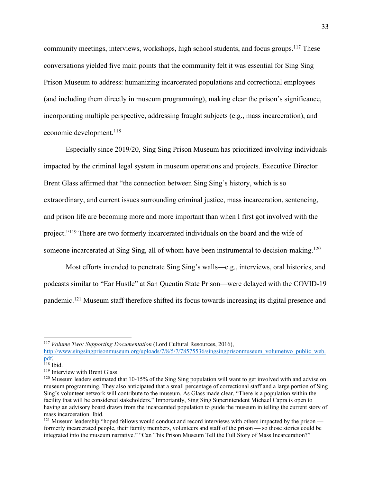community meetings, interviews, workshops, high school students, and focus groups.<sup>117</sup> These conversations yielded five main points that the community felt it was essential for Sing Sing Prison Museum to address: humanizing incarcerated populations and correctional employees (and including them directly in museum programming), making clear the prison's significance, incorporating multiple perspective, addressing fraught subjects (e.g., mass incarceration), and economic development.<sup>118</sup>

Especially since 2019/20, Sing Sing Prison Museum has prioritized involving individuals impacted by the criminal legal system in museum operations and projects. Executive Director Brent Glass affirmed that "the connection between Sing Sing's history, which is so extraordinary, and current issues surrounding criminal justice, mass incarceration, sentencing, and prison life are becoming more and more important than when I first got involved with the project."119 There are two formerly incarcerated individuals on the board and the wife of someone incarcerated at Sing Sing, all of whom have been instrumental to decision-making.<sup>120</sup>

Most efforts intended to penetrate Sing Sing's walls—e.g., interviews, oral histories, and podcasts similar to "Ear Hustle" at San Quentin State Prison—were delayed with the COVID-19 pandemic.<sup>121</sup> Museum staff therefore shifted its focus towards increasing its digital presence and

<sup>117</sup> *Volume Two: Supporting Documentation* (Lord Cultural Resources, 2016),

http://www.singsingprisonmuseum.org/uploads/7/8/5/7/78575536/singsingprisonmuseum\_volumetwo\_public\_web.  $\frac{\text{pdf}}{118}$  Ibid.

<sup>&</sup>lt;sup>119</sup> Interview with Brent Glass.

 $120$  Museum leaders estimated that 10-15% of the Sing Sing population will want to get involved with and advise on museum programming. They also anticipated that a small percentage of correctional staff and a large portion of Sing Sing's volunteer network will contribute to the museum. As Glass made clear, "There is a population within the facility that will be considered stakeholders." Importantly, Sing Sing Superintendent Michael Capra is open to having an advisory board drawn from the incarcerated population to guide the museum in telling the current story of mass incarceration. Ibid.

<sup>&</sup>lt;sup>121</sup> Museum leadership "hoped fellows would conduct and record interviews with others impacted by the prison formerly incarcerated people, their family members, volunteers and staff of the prison — so those stories could be integrated into the museum narrative." "Can This Prison Museum Tell the Full Story of Mass Incarceration?"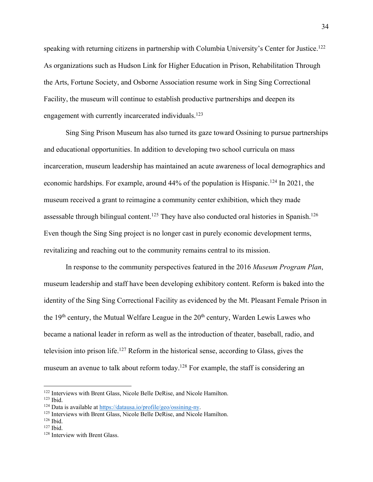speaking with returning citizens in partnership with Columbia University's Center for Justice.<sup>122</sup> As organizations such as Hudson Link for Higher Education in Prison, Rehabilitation Through the Arts, Fortune Society, and Osborne Association resume work in Sing Sing Correctional Facility, the museum will continue to establish productive partnerships and deepen its engagement with currently incarcerated individuals.<sup>123</sup>

Sing Sing Prison Museum has also turned its gaze toward Ossining to pursue partnerships and educational opportunities. In addition to developing two school curricula on mass incarceration, museum leadership has maintained an acute awareness of local demographics and economic hardships. For example, around 44% of the population is Hispanic.124 In 2021, the museum received a grant to reimagine a community center exhibition, which they made assessable through bilingual content.<sup>125</sup> They have also conducted oral histories in Spanish.<sup>126</sup> Even though the Sing Sing project is no longer cast in purely economic development terms, revitalizing and reaching out to the community remains central to its mission.

In response to the community perspectives featured in the 2016 *Museum Program Plan*, museum leadership and staff have been developing exhibitory content. Reform is baked into the identity of the Sing Sing Correctional Facility as evidenced by the Mt. Pleasant Female Prison in the  $19<sup>th</sup>$  century, the Mutual Welfare League in the  $20<sup>th</sup>$  century, Warden Lewis Lawes who became a national leader in reform as well as the introduction of theater, baseball, radio, and television into prison life.127 Reform in the historical sense, according to Glass, gives the museum an avenue to talk about reform today.<sup>128</sup> For example, the staff is considering an

<sup>122</sup> Interviews with Brent Glass, Nicole Belle DeRise, and Nicole Hamilton.

<sup>&</sup>lt;sup>123</sup> Ibid.<br><sup>124</sup> Data is available at https://datausa.io/profile/geo/ossining-ny.

<sup>&</sup>lt;sup>125</sup> Interviews with Brent Glass, Nicole Belle DeRise, and Nicole Hamilton.

<sup>126</sup> Ibid.

<sup>127</sup> Ibid.

<sup>&</sup>lt;sup>128</sup> Interview with Brent Glass.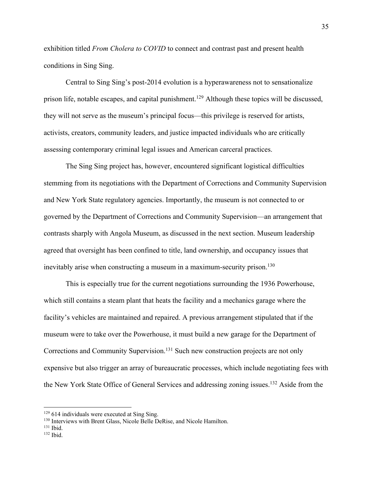exhibition titled *From Cholera to COVID* to connect and contrast past and present health conditions in Sing Sing.

Central to Sing Sing's post-2014 evolution is a hyperawareness not to sensationalize prison life, notable escapes, and capital punishment.<sup>129</sup> Although these topics will be discussed, they will not serve as the museum's principal focus—this privilege is reserved for artists, activists, creators, community leaders, and justice impacted individuals who are critically assessing contemporary criminal legal issues and American carceral practices.

The Sing Sing project has, however, encountered significant logistical difficulties stemming from its negotiations with the Department of Corrections and Community Supervision and New York State regulatory agencies. Importantly, the museum is not connected to or governed by the Department of Corrections and Community Supervision—an arrangement that contrasts sharply with Angola Museum, as discussed in the next section. Museum leadership agreed that oversight has been confined to title, land ownership, and occupancy issues that inevitably arise when constructing a museum in a maximum-security prison.<sup>130</sup>

This is especially true for the current negotiations surrounding the 1936 Powerhouse, which still contains a steam plant that heats the facility and a mechanics garage where the facility's vehicles are maintained and repaired. A previous arrangement stipulated that if the museum were to take over the Powerhouse, it must build a new garage for the Department of Corrections and Community Supervision.<sup>131</sup> Such new construction projects are not only expensive but also trigger an array of bureaucratic processes, which include negotiating fees with the New York State Office of General Services and addressing zoning issues.<sup>132</sup> Aside from the

 $129$  614 individuals were executed at Sing Sing.

<sup>130</sup> Interviews with Brent Glass, Nicole Belle DeRise, and Nicole Hamilton.

<sup>131</sup> Ibid.

<sup>132</sup> Ibid.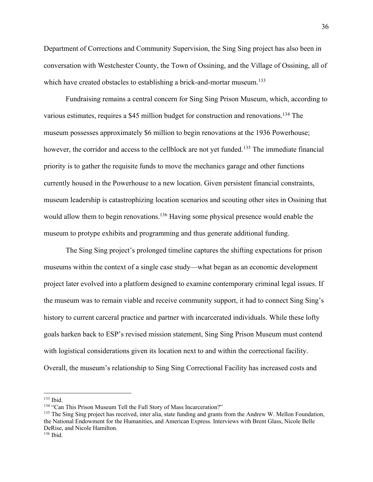Department of Corrections and Community Supervision, the Sing Sing project has also been in conversation with Westchester County, the Town of Ossining, and the Village of Ossining, all of which have created obstacles to establishing a brick-and-mortar museum.<sup>133</sup>

Fundraising remains a central concern for Sing Sing Prison Museum, which, according to various estimates, requires a \$45 million budget for construction and renovations.<sup>134</sup> The museum possesses approximately \$6 million to begin renovations at the 1936 Powerhouse; however, the corridor and access to the cellblock are not yet funded.<sup>135</sup> The immediate financial priority is to gather the requisite funds to move the mechanics garage and other functions currently housed in the Powerhouse to a new location. Given persistent financial constraints, museum leadership is catastrophizing location scenarios and scouting other sites in Ossining that would allow them to begin renovations.<sup>136</sup> Having some physical presence would enable the museum to protype exhibits and programming and thus generate additional funding.

The Sing Sing project's prolonged timeline captures the shifting expectations for prison museums within the context of a single case study—what began as an economic development project later evolved into a platform designed to examine contemporary criminal legal issues. If the museum was to remain viable and receive community support, it had to connect Sing Sing's history to current carceral practice and partner with incarcerated individuals. While these lofty goals harken back to ESP's revised mission statement, Sing Sing Prison Museum must contend with logistical considerations given its location next to and within the correctional facility. Overall, the museum's relationship to Sing Sing Correctional Facility has increased costs and

<sup>133</sup> Ibid.

<sup>&</sup>lt;sup>134</sup> "Can This Prison Museum Tell the Full Story of Mass Incarceration?"

<sup>&</sup>lt;sup>135</sup> The Sing Sing project has received, inter alia, state funding and grants from the Andrew W. Mellon Foundation, the National Endowment for the Humanities, and American Express. Interviews with Brent Glass, Nicole Belle DeRise, and Nicole Hamilton.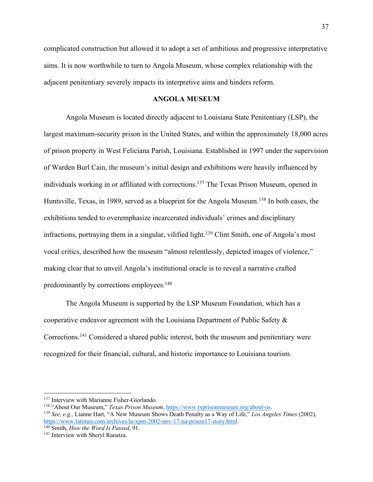complicated construction but allowed it to adopt a set of ambitious and progressive interpretative aims. It is now worthwhile to turn to Angola Museum, whose complex relationship with the adjacent penitentiary severely impacts its interpretive aims and hinders reform.

## **ANGOLA MUSEUM**

Angola Museum is located directly adjacent to Louisiana State Penitentiary (LSP), the largest maximum-security prison in the United States, and within the approximately 18,000 acres of prison property in West Feliciana Parish, Louisiana. Established in 1997 under the supervision of Warden Burl Cain, the museum's initial design and exhibitions were heavily influenced by individuals working in or affiliated with corrections.137 The Texas Prison Museum, opened in Huntsville, Texas, in 1989, served as a blueprint for the Angola Museum.<sup>138</sup> In both cases, the exhibitions tended to overemphasize incarcerated individuals' crimes and disciplinary infractions, portraying them in a singular, vilified light.<sup>139</sup> Clint Smith, one of Angola's most vocal critics, described how the museum "almost relentlessly, depicted images of violence," making clear that to unveil Angola's institutional oracle is to reveal a narrative crafted predominantly by corrections employees.<sup>140</sup>

The Angola Museum is supported by the LSP Museum Foundation, which has a cooperative endeavor agreement with the Louisiana Department of Public Safety & Corrections.141 Considered a shared public interest, both the museum and penitentiary were recognized for their financial, cultural, and historic importance to Louisiana tourism.

<sup>&</sup>lt;sup>137</sup> Interview with Marianne Fisher-Giorlando.<br><sup>138</sup> "About Our Museum," *Texas Prison Museum*, <u>https://www.txprisonmuseum.org/about-us</u>.<br><sup>139</sup> See, e.g., Lianne Hart, "A New Museum Shows Death Penalty as a Way of Life," https://www.latimes.com/archives/la-xpm-2002-nov-17-na-prison17-story.html. 140 Smith, *How the Word Is Passed*, 91.

<sup>&</sup>lt;sup>141</sup> Interview with Sheryl Ranatza.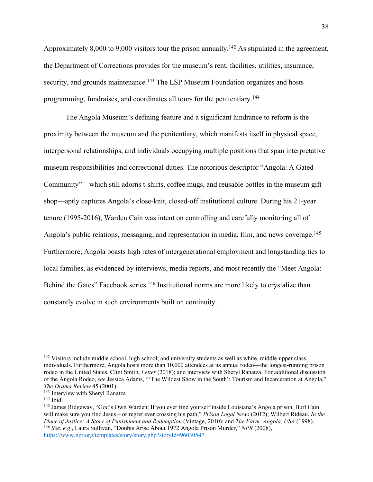Approximately 8,000 to 9,000 visitors tour the prison annually.<sup>142</sup> As stipulated in the agreement, the Department of Corrections provides for the museum's rent, facilities, utilities, insurance, security, and grounds maintenance.<sup>143</sup> The LSP Museum Foundation organizes and hosts programming, fundraises, and coordinates all tours for the penitentiary.144

The Angola Museum's defining feature and a significant hindrance to reform is the proximity between the museum and the penitentiary, which manifests itself in physical space, interpersonal relationships, and individuals occupying multiple positions that span interpretative museum responsibilities and correctional duties. The notorious descriptor "Angola: A Gated Community"—which still adorns t-shirts, coffee mugs, and reusable bottles in the museum gift shop—aptly captures Angola's close-knit, closed-off institutional culture. During his 21-year tenure (1995-2016), Warden Cain was intent on controlling and carefully monitoring all of Angola's public relations, messaging, and representation in media, film, and news coverage.<sup>145</sup> Furthermore, Angola boasts high rates of intergenerational employment and longstanding ties to local families, as evidenced by interviews, media reports, and most recently the "Meet Angola: Behind the Gates" Facebook series.<sup>146</sup> Institutional norms are more likely to crystalize than constantly evolve in such environments built on continuity.

https://www.npr.org/templates/story/story.php?storyId=96030547.

<sup>&</sup>lt;sup>142</sup> Visitors include middle school, high school, and university students as well as white, middle-upper class individuals. Furthermore, Angola hosts more than 10,000 attendees at its annual rodeo—the longest-running prison rodeo in the United States. Clint Smith, *Letter* (2018); and interview with Sheryl Ranatza. For additional discussion of the Angola Rodeo, *see* Jessica Adams, "'The Wildest Show in the South': Tourism and Incarceration at Angola," *The Drama Review* 45 (2001). 143 Interview with Sheryl Ranatza. 144 Ibid.

<sup>145</sup> James Ridgeway, "God's Own Warden: If you ever find yourself inside Louisiana's Angola prison, Burl Cain will make sure you find Jesus – or regret ever crossing his path," *Prison Legal News* (2012); Wilbert Rideau, *In the*  Place of Justice: A Story of Punishment and Redemption (Vintage, 2010); and The Farm: Angola, USA (1998).<br><sup>146</sup> See, e.g., Laura Sullivan, "Doubts Arise About 1972 Angola Prison Murder," NPR (2008),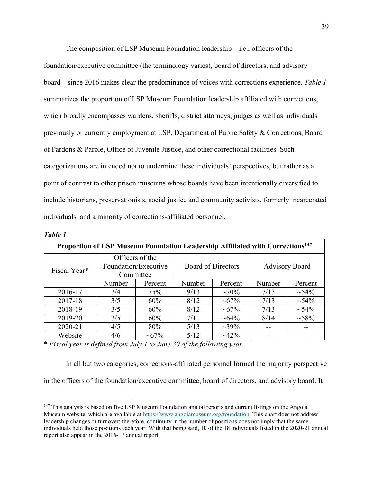The composition of LSP Museum Foundation leadership—i.e., officers of the foundation/executive committee (the terminology varies), board of directors, and advisory board—since 2016 makes clear the predominance of voices with corrections experience. *Table 1* summarizes the proportion of LSP Museum Foundation leadership affiliated with corrections, which broadly encompasses wardens, sheriffs, district attorneys, judges as well as individuals previously or currently employment at LSP, Department of Public Safety & Corrections, Board of Pardons & Parole, Office of Juvenile Justice, and other correctional facilities. Such categorizations are intended not to undermine these individuals' perspectives, but rather as a point of contrast to other prison museums whose boards have been intentionally diversified to include historians, preservationists, social justice and community activists, formerly incarcerated individuals, and a minority of corrections-affiliated personnel.

| Proportion of LSP Museum Foundation Leadership Affiliated with Corrections <sup>147</sup> |                                                      |             |                           |               |                       |           |
|-------------------------------------------------------------------------------------------|------------------------------------------------------|-------------|---------------------------|---------------|-----------------------|-----------|
| Fiscal Year*                                                                              | Officers of the<br>Foundation/Executive<br>Committee |             | <b>Board of Directors</b> |               | <b>Advisory Board</b> |           |
|                                                                                           | Number                                               | Percent     | Number                    | Percent       | Number                | Percent   |
| 2016-17                                                                                   | 3/4                                                  | 75%         | 9/13                      | $~10\%$       | 7/13                  | $~1.54\%$ |
| 2017-18                                                                                   | 3/5                                                  | 60%         | 8/12                      | $\sim 67\%$   | 7/13                  | $~1.54\%$ |
| 2018-19                                                                                   | 3/5                                                  | 60%         | 8/12                      | $\sim 67\%$   | 7/13                  | $~1.54\%$ |
| 2019-20                                                                                   | 3/5                                                  | 60%         | 7/11                      | $~10^{-64\%}$ | 8/14                  | $~1.58\%$ |
| 2020-21                                                                                   | 4/5                                                  | 80%         | 5/13                      | $\sim 39\%$   |                       |           |
| Website                                                                                   | 4/6                                                  | $\sim 67\%$ | 5/12                      | $\sim 42\%$   |                       |           |

*Table 1*

\* *Fiscal year is defined from July 1 to June 30 of the following year.*

In all but two categories, corrections-affiliated personnel formed the majority perspective

in the officers of the foundation/executive committee, board of directors, and advisory board. It

<sup>&</sup>lt;sup>147</sup> This analysis is based on five LSP Museum Foundation annual reports and current listings on the Angola Museum website, which are available at https://www.angolamuseum.org/foundation. This chart does not address leadership changes or turnover; therefore, continuity in the number of positions does not imply that the same individuals held those positions each year. With that being said, 10 of the 18 individuals listed in the 2020-21 annual report also appear in the 2016-17 annual report.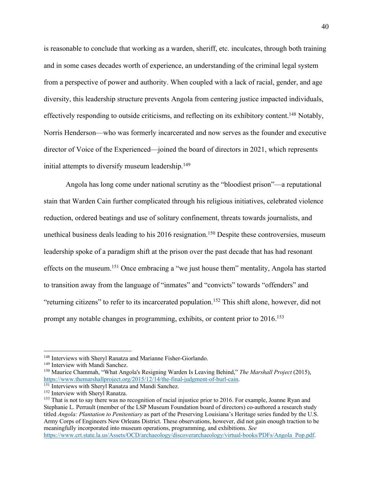is reasonable to conclude that working as a warden, sheriff, etc. inculcates, through both training and in some cases decades worth of experience, an understanding of the criminal legal system from a perspective of power and authority. When coupled with a lack of racial, gender, and age diversity, this leadership structure prevents Angola from centering justice impacted individuals, effectively responding to outside criticisms, and reflecting on its exhibitory content.<sup>148</sup> Notably, Norris Henderson—who was formerly incarcerated and now serves as the founder and executive director of Voice of the Experienced—joined the board of directors in 2021, which represents initial attempts to diversify museum leadership.<sup>149</sup>

Angola has long come under national scrutiny as the "bloodiest prison"—a reputational stain that Warden Cain further complicated through his religious initiatives, celebrated violence reduction, ordered beatings and use of solitary confinement, threats towards journalists, and unethical business deals leading to his  $2016$  resignation.<sup>150</sup> Despite these controversies, museum leadership spoke of a paradigm shift at the prison over the past decade that has had resonant effects on the museum.151 Once embracing a "we just house them" mentality, Angola has started to transition away from the language of "inmates" and "convicts" towards "offenders" and "returning citizens" to refer to its incarcerated population.<sup>152</sup> This shift alone, however, did not prompt any notable changes in programming, exhibits, or content prior to 2016.<sup>153</sup>

<sup>148</sup> Interviews with Sheryl Ranatza and Marianne Fisher-Giorlando.

<sup>&</sup>lt;sup>149</sup> Interview with Mandi Sanchez.

<sup>150</sup> Maurice Chammah, "What Angola's Resigning Warden Is Leaving Behind," *The Marshall Project* (2015), https://www.themarshallproject.org/2015/12/14/the-final-judgment-of-burl-cain. 151 Interviews with Sheryl Ranatza and Mandi Sanchez.

<sup>152</sup> Interview with Sheryl Ranatza.

<sup>&</sup>lt;sup>153</sup> That is not to say there was no recognition of racial injustice prior to 2016. For example, Joanne Ryan and Stephanie L. Perrault (member of the LSP Museum Foundation board of directors) co-authored a research study titled *Angola: Plantation to Penitentiary* as part of the Preserving Louisiana's Heritage series funded by the U.S. Army Corps of Engineers New Orleans District. These observations, however, did not gain enough traction to be meaningfully incorporated into museum operations, programming, and exhibitions. *See*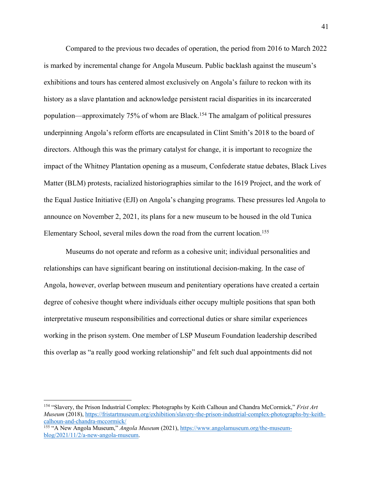Compared to the previous two decades of operation, the period from 2016 to March 2022 is marked by incremental change for Angola Museum. Public backlash against the museum's exhibitions and tours has centered almost exclusively on Angola's failure to reckon with its history as a slave plantation and acknowledge persistent racial disparities in its incarcerated population—approximately 75% of whom are Black.154 The amalgam of political pressures underpinning Angola's reform efforts are encapsulated in Clint Smith's 2018 to the board of directors. Although this was the primary catalyst for change, it is important to recognize the impact of the Whitney Plantation opening as a museum, Confederate statue debates, Black Lives Matter (BLM) protests, racialized historiographies similar to the 1619 Project, and the work of the Equal Justice Initiative (EJI) on Angola's changing programs. These pressures led Angola to announce on November 2, 2021, its plans for a new museum to be housed in the old Tunica Elementary School, several miles down the road from the current location.155

Museums do not operate and reform as a cohesive unit; individual personalities and relationships can have significant bearing on institutional decision-making. In the case of Angola, however, overlap between museum and penitentiary operations have created a certain degree of cohesive thought where individuals either occupy multiple positions that span both interpretative museum responsibilities and correctional duties or share similar experiences working in the prison system. One member of LSP Museum Foundation leadership described this overlap as "a really good working relationship" and felt such dual appointments did not

<sup>154</sup> "Slavery, the Prison Industrial Complex: Photographs by Keith Calhoun and Chandra McCormick," *Frist Art Museum* (2018), https://fristartmuseum.org/exhibition/slavery-the-prison-industrial-complex-photographs-by-keithcalhoun-and-chandra-mccormick/

<sup>155</sup> "A New Angola Museum," *Angola Museum* (2021), https://www.angolamuseum.org/the-museumblog/2021/11/2/a-new-angola-museum.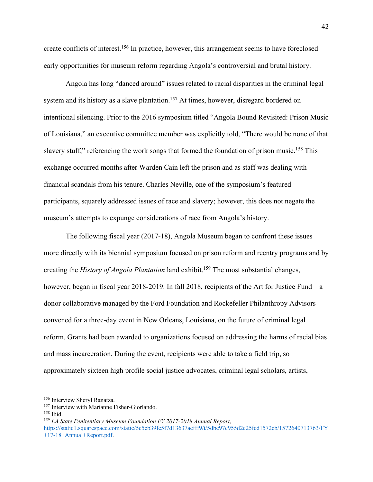create conflicts of interest.156 In practice, however, this arrangement seems to have foreclosed early opportunities for museum reform regarding Angola's controversial and brutal history.

Angola has long "danced around" issues related to racial disparities in the criminal legal system and its history as a slave plantation.<sup>157</sup> At times, however, disregard bordered on intentional silencing. Prior to the 2016 symposium titled "Angola Bound Revisited: Prison Music of Louisiana," an executive committee member was explicitly told, "There would be none of that slavery stuff," referencing the work songs that formed the foundation of prison music.<sup>158</sup> This exchange occurred months after Warden Cain left the prison and as staff was dealing with financial scandals from his tenure. Charles Neville, one of the symposium's featured participants, squarely addressed issues of race and slavery; however, this does not negate the museum's attempts to expunge considerations of race from Angola's history.

The following fiscal year (2017-18), Angola Museum began to confront these issues more directly with its biennial symposium focused on prison reform and reentry programs and by creating the *History of Angola Plantation* land exhibit. <sup>159</sup> The most substantial changes, however, began in fiscal year 2018-2019. In fall 2018, recipients of the Art for Justice Fund—a donor collaborative managed by the Ford Foundation and Rockefeller Philanthropy Advisors convened for a three-day event in New Orleans, Louisiana, on the future of criminal legal reform. Grants had been awarded to organizations focused on addressing the harms of racial bias and mass incarceration. During the event, recipients were able to take a field trip, so approximately sixteen high profile social justice advocates, criminal legal scholars, artists,

<sup>156</sup> Interview Sheryl Ranatza.

<sup>&</sup>lt;sup>157</sup> Interview with Marianne Fisher-Giorlando.

<sup>158</sup> Ibid.

<sup>159</sup> *LA State Penitentiary Museum Foundation FY 2017-2018 Annual Report*,

https://static1.squarespace.com/static/5c5cb39fe5f7d13637acfff9/t/5dbc97c955d2e25fcd1572eb/1572640713763/FY +17-18+Annual+Report.pdf.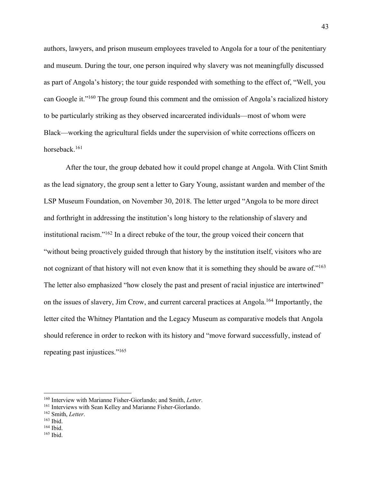authors, lawyers, and prison museum employees traveled to Angola for a tour of the penitentiary and museum. During the tour, one person inquired why slavery was not meaningfully discussed as part of Angola's history; the tour guide responded with something to the effect of, "Well, you can Google it."160 The group found this comment and the omission of Angola's racialized history to be particularly striking as they observed incarcerated individuals—most of whom were Black—working the agricultural fields under the supervision of white corrections officers on horseback.161

After the tour, the group debated how it could propel change at Angola. With Clint Smith as the lead signatory, the group sent a letter to Gary Young, assistant warden and member of the LSP Museum Foundation, on November 30, 2018. The letter urged "Angola to be more direct and forthright in addressing the institution's long history to the relationship of slavery and institutional racism."162 In a direct rebuke of the tour, the group voiced their concern that "without being proactively guided through that history by the institution itself, visitors who are not cognizant of that history will not even know that it is something they should be aware of."<sup>163</sup> The letter also emphasized "how closely the past and present of racial injustice are intertwined" on the issues of slavery, Jim Crow, and current carceral practices at Angola.164 Importantly, the letter cited the Whitney Plantation and the Legacy Museum as comparative models that Angola should reference in order to reckon with its history and "move forward successfully, instead of repeating past injustices."<sup>165</sup>

<sup>&</sup>lt;sup>160</sup> Interview with Marianne Fisher-Giorlando; and Smith, *Letter*.<br><sup>161</sup> Interviews with Sean Kelley and Marianne Fisher-Giorlando.<br><sup>162</sup> Smith, *Letter*.<br><sup>163</sup> Ibid.

<sup>164</sup> Ibid.

<sup>165</sup> Ibid.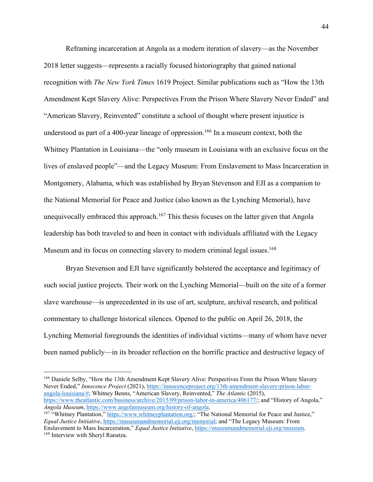Reframing incarceration at Angola as a modern iteration of slavery—as the November 2018 letter suggests—represents a racially focused historiography that gained national recognition with *The New York Times* 1619 Project. Similar publications such as "How the 13th Amendment Kept Slavery Alive: Perspectives From the Prison Where Slavery Never Ended" and "American Slavery, Reinvented" constitute a school of thought where present injustice is understood as part of a 400-year lineage of oppression.<sup>166</sup> In a museum context, both the Whitney Plantation in Louisiana—the "only museum in Louisiana with an exclusive focus on the lives of enslaved people"—and the Legacy Museum: From Enslavement to Mass Incarceration in Montgomery, Alabama, which was established by Bryan Stevenson and EJI as a companion to the National Memorial for Peace and Justice (also known as the Lynching Memorial), have unequivocally embraced this approach.<sup>167</sup> This thesis focuses on the latter given that Angola leadership has both traveled to and been in contact with individuals affiliated with the Legacy Museum and its focus on connecting slavery to modern criminal legal issues.<sup>168</sup>

Bryan Stevenson and EJI have significantly bolstered the acceptance and legitimacy of such social justice projects. Their work on the Lynching Memorial—built on the site of a former slave warehouse—is unprecedented in its use of art, sculpture, archival research, and political commentary to challenge historical silences. Opened to the public on April 26, 2018, the Lynching Memorial foregrounds the identities of individual victims—many of whom have never been named publicly—in its broader reflection on the horrific practice and destructive legacy of

<sup>166</sup> Daniele Selby, "How the 13th Amendment Kept Slavery Alive: Perspectives From the Prison Where Slavery Never Ended," *Innocence Project* (2021), https://innocenceproject.org/13th-amendment-slavery-prison-laborangola-louisiana/#; Whitney Benns, "American Slavery, Reinvented," *The Atlantic* (2015), https://www.theatlantic.com/business/archive/2015/09/prison-labor-in-america/406177/; and "History of Angola," *Angola Museum*, https://www.angolamuseum.org/history-of-angola.

<sup>&</sup>lt;sup>167</sup> "Whitney Plantation," https://www.whitneyplantation.org/; "The National Memorial for Peace and Justice," *Equal Justice Initiative*, https://museumandmemorial.eji.org/memorial; and "The Legacy Museum: From Enslavement to Mass Incarceration," *Equal Justice Initiative*, https://museumandmemorial.eji.org/museum.

<sup>&</sup>lt;sup>168</sup> Interview with Sheryl Ranatza.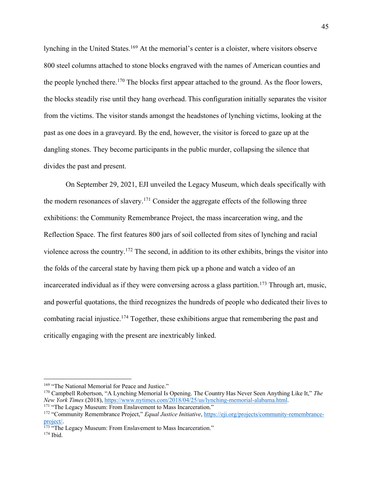lynching in the United States. <sup>169</sup> At the memorial's center is a cloister, where visitors observe 800 steel columns attached to stone blocks engraved with the names of American counties and the people lynched there.<sup>170</sup> The blocks first appear attached to the ground. As the floor lowers, the blocks steadily rise until they hang overhead. This configuration initially separates the visitor from the victims. The visitor stands amongst the headstones of lynching victims, looking at the past as one does in a graveyard. By the end, however, the visitor is forced to gaze up at the dangling stones. They become participants in the public murder, collapsing the silence that divides the past and present.

On September 29, 2021, EJI unveiled the Legacy Museum, which deals specifically with the modern resonances of slavery.171 Consider the aggregate effects of the following three exhibitions: the Community Remembrance Project, the mass incarceration wing, and the Reflection Space. The first features 800 jars of soil collected from sites of lynching and racial violence across the country.172 The second, in addition to its other exhibits, brings the visitor into the folds of the carceral state by having them pick up a phone and watch a video of an incarcerated individual as if they were conversing across a glass partition.<sup>173</sup> Through art, music, and powerful quotations, the third recognizes the hundreds of people who dedicated their lives to combating racial injustice.<sup>174</sup> Together, these exhibitions argue that remembering the past and critically engaging with the present are inextricably linked.

<sup>&</sup>lt;sup>169</sup> "The National Memorial for Peace and Justice."<br><sup>170</sup> Campbell Robertson, "A Lynching Memorial Is Opening. The Country Has Never Seen Anything Like It," *The* New York Times (2018), https://www.nytimes.com/2018/04/25/us/lynching-memorial-alabama.html.<br><sup>171</sup> "The Legacy Museum: From Enslavement to Mass Incarceration."<br><sup>172</sup> "Community Remembrance Project," *Equal Justice Initiati* 

project/.<br><sup>173</sup> "The Legacy Museum: From Enslavement to Mass Incarceration."

<sup>174</sup> Ibid.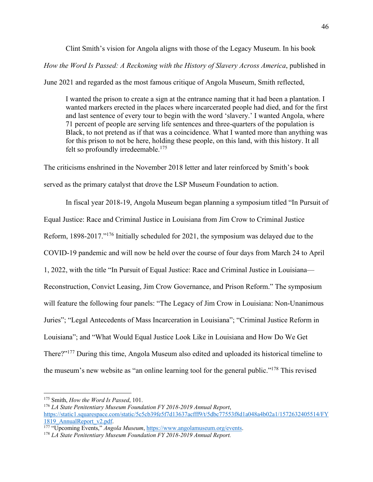Clint Smith's vision for Angola aligns with those of the Legacy Museum. In his book *How the Word Is Passed: A Reckoning with the History of Slavery Across America*, published in

June 2021 and regarded as the most famous critique of Angola Museum, Smith reflected,

I wanted the prison to create a sign at the entrance naming that it had been a plantation. I wanted markers erected in the places where incarcerated people had died, and for the first and last sentence of every tour to begin with the word 'slavery.' I wanted Angola, where 71 percent of people are serving life sentences and three-quarters of the population is Black, to not pretend as if that was a coincidence. What I wanted more than anything was for this prison to not be here, holding these people, on this land, with this history. It all felt so profoundly irredeemable. $175$ 

The criticisms enshrined in the November 2018 letter and later reinforced by Smith's book served as the primary catalyst that drove the LSP Museum Foundation to action.

In fiscal year 2018-19, Angola Museum began planning a symposium titled "In Pursuit of Equal Justice: Race and Criminal Justice in Louisiana from Jim Crow to Criminal Justice Reform, 1898-2017."176 Initially scheduled for 2021, the symposium was delayed due to the COVID-19 pandemic and will now be held over the course of four days from March 24 to April 1, 2022, with the title "In Pursuit of Equal Justice: Race and Criminal Justice in Louisiana— Reconstruction, Convict Leasing, Jim Crow Governance, and Prison Reform." The symposium will feature the following four panels: "The Legacy of Jim Crow in Louisiana: Non-Unanimous Juries"; "Legal Antecedents of Mass Incarceration in Louisiana"; "Criminal Justice Reform in Louisiana"; and "What Would Equal Justice Look Like in Louisiana and How Do We Get There?"177 During this time, Angola Museum also edited and uploaded its historical timeline to the museum's new website as "an online learning tool for the general public."<sup>178</sup> This revised

<sup>175</sup> Smith, *How the Word Is Passed*, 101.

<sup>176</sup> *LA State Penitentiary Museum Foundation FY 2018-2019 Annual Report*, https://static1.squarespace.com/static/5c5cb39fe5f7d13637acfff9/t/5dbc77553f8d1a048a4b02a1/1572632405514/FY 1819\_AnnualReport\_v2.pdf. 177 "Upcoming Events," *Angola Museum*, https://www.angolamuseum.org/events.

<sup>178</sup> *LA State Penitentiary Museum Foundation FY 2018-2019 Annual Report.*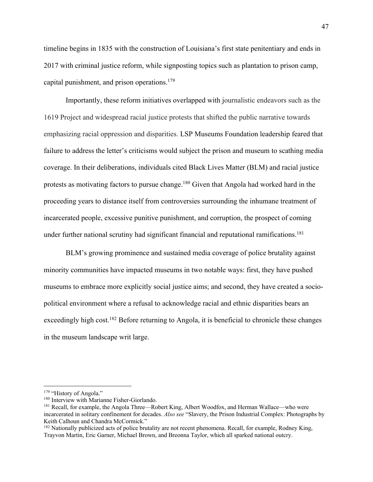timeline begins in 1835 with the construction of Louisiana's first state penitentiary and ends in 2017 with criminal justice reform, while signposting topics such as plantation to prison camp, capital punishment, and prison operations.<sup>179</sup>

Importantly, these reform initiatives overlapped with journalistic endeavors such as the 1619 Project and widespread racial justice protests that shifted the public narrative towards emphasizing racial oppression and disparities. LSP Museums Foundation leadership feared that failure to address the letter's criticisms would subject the prison and museum to scathing media coverage. In their deliberations, individuals cited Black Lives Matter (BLM) and racial justice protests as motivating factors to pursue change.<sup>180</sup> Given that Angola had worked hard in the proceeding years to distance itself from controversies surrounding the inhumane treatment of incarcerated people, excessive punitive punishment, and corruption, the prospect of coming under further national scrutiny had significant financial and reputational ramifications.<sup>181</sup>

BLM's growing prominence and sustained media coverage of police brutality against minority communities have impacted museums in two notable ways: first, they have pushed museums to embrace more explicitly social justice aims; and second, they have created a sociopolitical environment where a refusal to acknowledge racial and ethnic disparities bears an exceedingly high cost.<sup>182</sup> Before returning to Angola, it is beneficial to chronicle these changes in the museum landscape writ large.

<sup>&</sup>lt;sup>179</sup> "History of Angola."<br><sup>180</sup> Interview with Marianne Fisher-Giorlando.

<sup>&</sup>lt;sup>181</sup> Recall, for example, the Angola Three—Robert King, Albert Woodfox, and Herman Wallace—who were incarcerated in solitary confinement for decades. *Also see* "Slavery, the Prison Industrial Complex: Photographs by Keith Calhoun and Chandra McCormick."

<sup>&</sup>lt;sup>182</sup> Nationally publicized acts of police brutality are not recent phenomena. Recall, for example, Rodney King, Trayvon Martin, Eric Garner, Michael Brown, and Breonna Taylor, which all sparked national outcry.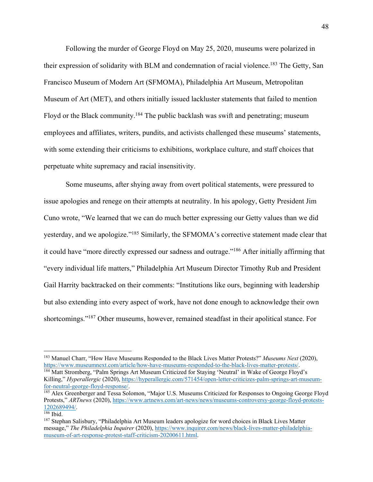Following the murder of George Floyd on May 25, 2020, museums were polarized in their expression of solidarity with BLM and condemnation of racial violence.<sup>183</sup> The Getty, San Francisco Museum of Modern Art (SFMOMA), Philadelphia Art Museum, Metropolitan Museum of Art (MET), and others initially issued lackluster statements that failed to mention Floyd or the Black community.<sup>184</sup> The public backlash was swift and penetrating; museum employees and affiliates, writers, pundits, and activists challenged these museums' statements, with some extending their criticisms to exhibitions, workplace culture, and staff choices that perpetuate white supremacy and racial insensitivity.

Some museums, after shying away from overt political statements, were pressured to issue apologies and renege on their attempts at neutrality. In his apology, Getty President Jim Cuno wrote, "We learned that we can do much better expressing our Getty values than we did yesterday, and we apologize."185 Similarly, the SFMOMA's corrective statement made clear that it could have "more directly expressed our sadness and outrage."186 After initially affirming that "every individual life matters," Philadelphia Art Museum Director Timothy Rub and President Gail Harrity backtracked on their comments: "Institutions like ours, beginning with leadership but also extending into every aspect of work, have not done enough to acknowledge their own shortcomings."187 Other museums, however, remained steadfast in their apolitical stance. For

<sup>&</sup>lt;sup>183</sup> Manuel Charr, "How Have Museums Responded to the Black Lives Matter Protests?" *Museums Next* (2020), https://www.museumnext.com/article/how-have-museums-responded-to-the-black-lives-matter-protests/.

<sup>&</sup>lt;sup>184</sup> Matt Stromberg, "Palm Springs Art Museum Criticized for Staying 'Neutral' in Wake of George Floyd's Killing," *Hyperallergic* (2020), https://hyperallergic.com/571454/open-letter-criticizes-palm-springs-art-museumfor-neutral-george-floyd-response/.<br><sup>185</sup> Alex Greenberger and Tessa Solomon, "Major U.S. Museums Criticized for Responses to Ongoing George Floyd

Protests," *ARTnews* (2020), https://www.artnews.com/art-news/news/museums-controversy-george-floyd-protests-1202689494/.<br><sup>186</sup> Ibid.

<sup>&</sup>lt;sup>187</sup> Stephan Salisbury, "Philadelphia Art Museum leaders apologize for word choices in Black Lives Matter message," The Philadelphia Inquirer (2020), https://www.inquirer.com/news/black-lives-matter-philadelphiamuseum-of-art-response-protest-staff-criticism-20200611.html.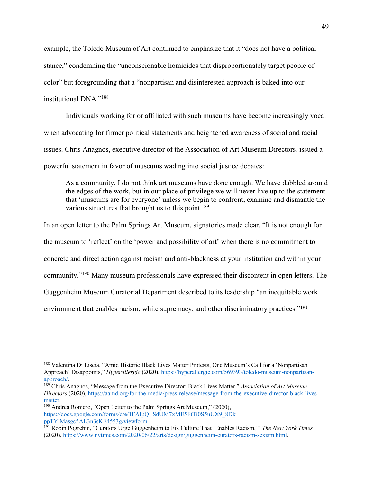example, the Toledo Museum of Art continued to emphasize that it "does not have a political stance," condemning the "unconscionable homicides that disproportionately target people of color" but foregrounding that a "nonpartisan and disinterested approach is baked into our institutional DNA."188

Individuals working for or affiliated with such museums have become increasingly vocal when advocating for firmer political statements and heightened awareness of social and racial issues. Chris Anagnos, executive director of the Association of Art Museum Directors*,* issued a powerful statement in favor of museums wading into social justice debates:

As a community, I do not think art museums have done enough. We have dabbled around the edges of the work, but in our place of privilege we will never live up to the statement that 'museums are for everyone' unless we begin to confront, examine and dismantle the various structures that brought us to this point.<sup>189</sup>

In an open letter to the Palm Springs Art Museum, signatories made clear, "It is not enough for the museum to 'reflect' on the 'power and possibility of art' when there is no commitment to concrete and direct action against racism and anti-blackness at your institution and within your community."190 Many museum professionals have expressed their discontent in open letters. The Guggenheim Museum Curatorial Department described to its leadership "an inequitable work environment that enables racism, white supremacy, and other discriminatory practices."<sup>191</sup>

<sup>188</sup> Valentina Di Liscia, "Amid Historic Black Lives Matter Protests, One Museum's Call for a 'Nonpartisan Approach' Disappoints," *Hyperallergic* (2020), https://hyperallergic.com/569393/toledo-museum-nonpartisanapproach/. 189 Chris Anagnos, "Message from the Executive Director: Black Lives Matter," *Association of Art Museum* 

*Directors* (2020), https://aamd.org/for-the-media/press-release/message-from-the-executive-director-black-lives- $\frac{\text{matter}}{\text{190}}$  Andrea Romero, "Open Letter to the Palm Springs Art Museum," (2020),

https://docs.google.com/forms/d/e/1FAIpQLSdUM7xME5FtTi0S5uUX9\_8Dk-<br>ppTYlMasgc5AL3n3sKE4553g/viewform.

<sup>&</sup>lt;sup>191</sup> Robin Pogrebin, "Curators Urge Guggenheim to Fix Culture That 'Enables Racism," *The New York Times* (2020), https://www.nytimes.com/2020/06/22/arts/design/guggenheim-curators-racism-sexism.html.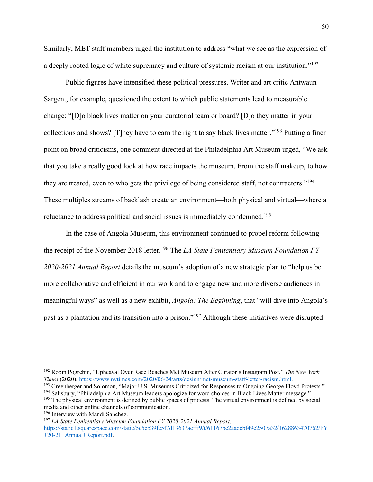Similarly, MET staff members urged the institution to address "what we see as the expression of a deeply rooted logic of white supremacy and culture of systemic racism at our institution."<sup>192</sup>

Public figures have intensified these political pressures. Writer and art critic Antwaun Sargent, for example, questioned the extent to which public statements lead to measurable change: "[D]o black lives matter on your curatorial team or board? [D]o they matter in your collections and shows? [T]hey have to earn the right to say black lives matter."193 Putting a finer point on broad criticisms, one comment directed at the Philadelphia Art Museum urged, "We ask that you take a really good look at how race impacts the museum. From the staff makeup, to how they are treated, even to who gets the privilege of being considered staff, not contractors."194 These multiples streams of backlash create an environment—both physical and virtual—where a reluctance to address political and social issues is immediately condemned.<sup>195</sup>

In the case of Angola Museum, this environment continued to propel reform following the receipt of the November 2018 letter.<sup>196</sup> The *LA State Penitentiary Museum Foundation FY 2020-2021 Annual Report* details the museum's adoption of a new strategic plan to "help us be more collaborative and efficient in our work and to engage new and more diverse audiences in meaningful ways" as well as a new exhibit, *Angola: The Beginning*, that "will dive into Angola's past as a plantation and its transition into a prison."197 Although these initiatives were disrupted

<sup>194</sup> Salisbury, "Philadelphia Art Museum leaders apologize for word choices in Black Lives Matter message."

<sup>&</sup>lt;sup>192</sup> Robin Pogrebin, "Upheaval Over Race Reaches Met Museum After Curator's Instagram Post," *The New York Times* (2020), https://www.nytimes.com/2020/06/24/arts/design/met-museum-staff-letter-racism.html.

<sup>&</sup>lt;sup>193</sup> Greenberger and Solomon, "Major U.S. Museums Criticized for Responses to Ongoing George Floyd Protests."

<sup>&</sup>lt;sup>195</sup> The physical environment is defined by public spaces of protests. The virtual environment is defined by social media and other online channels of communication.

<sup>&</sup>lt;sup>196</sup> Interview with Mandi Sanchez.

<sup>197</sup> *LA State Penitentiary Museum Foundation FY 2020-2021 Annual Report*, https://static1.squarespace.com/static/5c5cb39fe5f7d13637acfff9/t/61167be2aadcbf49e2507a32/1628863470762/FY +20-21+Annual+Report.pdf.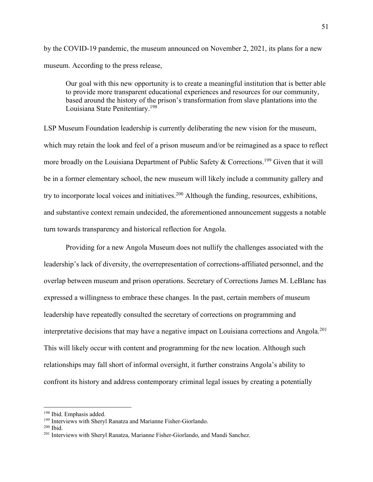by the COVID-19 pandemic, the museum announced on November 2, 2021, its plans for a new museum. According to the press release,

Our goal with this new opportunity is to create a meaningful institution that is better able to provide more transparent educational experiences and resources for our community, based around the history of the prison's transformation from slave plantations into the Louisiana State Penitentiary.198

LSP Museum Foundation leadership is currently deliberating the new vision for the museum, which may retain the look and feel of a prison museum and/or be reimagined as a space to reflect more broadly on the Louisiana Department of Public Safety & Corrections.<sup>199</sup> Given that it will be in a former elementary school, the new museum will likely include a community gallery and try to incorporate local voices and initiatives.<sup>200</sup> Although the funding, resources, exhibitions, and substantive context remain undecided, the aforementioned announcement suggests a notable turn towards transparency and historical reflection for Angola.

Providing for a new Angola Museum does not nullify the challenges associated with the leadership's lack of diversity, the overrepresentation of corrections-affiliated personnel, and the overlap between museum and prison operations. Secretary of Corrections James M. LeBlanc has expressed a willingness to embrace these changes. In the past, certain members of museum leadership have repeatedly consulted the secretary of corrections on programming and interpretative decisions that may have a negative impact on Louisiana corrections and Angola.<sup>201</sup> This will likely occur with content and programming for the new location. Although such relationships may fall short of informal oversight, it further constrains Angola's ability to confront its history and address contemporary criminal legal issues by creating a potentially

<sup>&</sup>lt;sup>198</sup> Ibid. Emphasis added.

<sup>199</sup> Interviews with Sheryl Ranatza and Marianne Fisher-Giorlando.

<sup>200</sup> Ibid.

<sup>201</sup> Interviews with Sheryl Ranatza, Marianne Fisher-Giorlando, and Mandi Sanchez.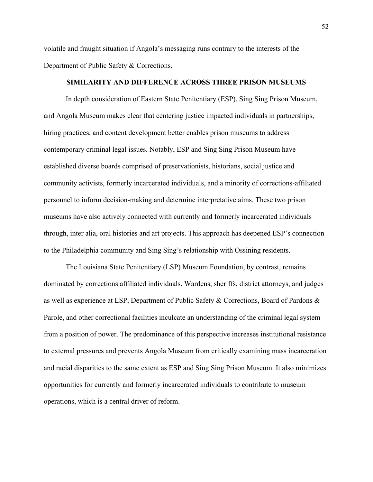volatile and fraught situation if Angola's messaging runs contrary to the interests of the Department of Public Safety & Corrections.

## **SIMILARITY AND DIFFERENCE ACROSS THREE PRISON MUSEUMS**

In depth consideration of Eastern State Penitentiary (ESP), Sing Sing Prison Museum, and Angola Museum makes clear that centering justice impacted individuals in partnerships, hiring practices, and content development better enables prison museums to address contemporary criminal legal issues. Notably, ESP and Sing Sing Prison Museum have established diverse boards comprised of preservationists, historians, social justice and community activists, formerly incarcerated individuals, and a minority of corrections-affiliated personnel to inform decision-making and determine interpretative aims. These two prison museums have also actively connected with currently and formerly incarcerated individuals through, inter alia, oral histories and art projects. This approach has deepened ESP's connection to the Philadelphia community and Sing Sing's relationship with Ossining residents.

The Louisiana State Penitentiary (LSP) Museum Foundation, by contrast, remains dominated by corrections affiliated individuals. Wardens, sheriffs, district attorneys, and judges as well as experience at LSP, Department of Public Safety & Corrections, Board of Pardons & Parole, and other correctional facilities inculcate an understanding of the criminal legal system from a position of power. The predominance of this perspective increases institutional resistance to external pressures and prevents Angola Museum from critically examining mass incarceration and racial disparities to the same extent as ESP and Sing Sing Prison Museum. It also minimizes opportunities for currently and formerly incarcerated individuals to contribute to museum operations, which is a central driver of reform.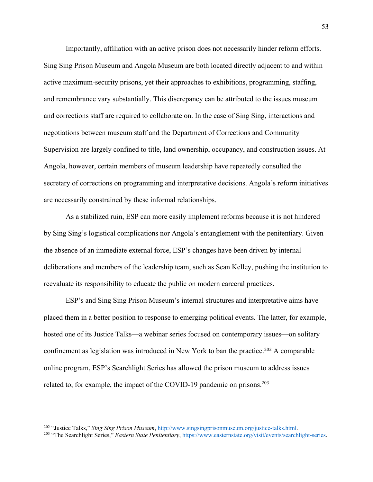Importantly, affiliation with an active prison does not necessarily hinder reform efforts. Sing Sing Prison Museum and Angola Museum are both located directly adjacent to and within active maximum-security prisons, yet their approaches to exhibitions, programming, staffing, and remembrance vary substantially. This discrepancy can be attributed to the issues museum and corrections staff are required to collaborate on. In the case of Sing Sing, interactions and negotiations between museum staff and the Department of Corrections and Community Supervision are largely confined to title, land ownership, occupancy, and construction issues. At Angola, however, certain members of museum leadership have repeatedly consulted the secretary of corrections on programming and interpretative decisions. Angola's reform initiatives are necessarily constrained by these informal relationships.

As a stabilized ruin, ESP can more easily implement reforms because it is not hindered by Sing Sing's logistical complications nor Angola's entanglement with the penitentiary. Given the absence of an immediate external force, ESP's changes have been driven by internal deliberations and members of the leadership team, such as Sean Kelley, pushing the institution to reevaluate its responsibility to educate the public on modern carceral practices.

ESP's and Sing Sing Prison Museum's internal structures and interpretative aims have placed them in a better position to response to emerging political events. The latter, for example, hosted one of its Justice Talks—a webinar series focused on contemporary issues—on solitary confinement as legislation was introduced in New York to ban the practice.<sup>202</sup> A comparable online program, ESP's Searchlight Series has allowed the prison museum to address issues related to, for example, the impact of the COVID-19 pandemic on prisons.<sup>203</sup>

<sup>&</sup>lt;sup>202</sup> "Justice Talks," Sing Sing Prison Museum, http://www.singsingprisonmuseum.org/justice-talks.html.<br><sup>203</sup> "The Searchlight Series," *Eastern State Penitentiary*, https://www.easternstate.org/visit/events/searchlight-se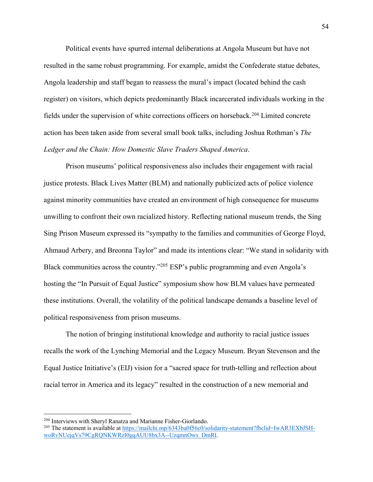Political events have spurred internal deliberations at Angola Museum but have not resulted in the same robust programming. For example, amidst the Confederate statue debates, Angola leadership and staff began to reassess the mural's impact (located behind the cash register) on visitors, which depicts predominantly Black incarcerated individuals working in the fields under the supervision of white corrections officers on horseback.204 Limited concrete action has been taken aside from several small book talks, including Joshua Rothman's *The Ledger and the Chain: How Domestic Slave Traders Shaped America*.

Prison museums' political responsiveness also includes their engagement with racial justice protests. Black Lives Matter (BLM) and nationally publicized acts of police violence against minority communities have created an environment of high consequence for museums unwilling to confront their own racialized history. Reflecting national museum trends, the Sing Sing Prison Museum expressed its "sympathy to the families and communities of George Floyd, Ahmaud Arbery, and Breonna Taylor" and made its intentions clear: "We stand in solidarity with Black communities across the country."205 ESP's public programming and even Angola's hosting the "In Pursuit of Equal Justice" symposium show how BLM values have permeated these institutions. Overall, the volatility of the political landscape demands a baseline level of political responsiveness from prison museums.

The notion of bringing institutional knowledge and authority to racial justice issues recalls the work of the Lynching Memorial and the Legacy Museum. Bryan Stevenson and the Equal Justice Initiative's (EIJ) vision for a "sacred space for truth-telling and reflection about racial terror in America and its legacy" resulted in the construction of a new memorial and

<sup>204</sup> Interviews with Sheryl Ranatza and Marianne Fisher-Giorlando.

<sup>&</sup>lt;sup>205</sup> The statement is available at https://mailchi.mp/6343ba0f56c0/solidarity-statement?fbclid=IwAR3EXbJSHwoRvNUejqVs79CgRQNKWRzI0gqAUU8bx3A--UzqmnOws\_DmRI.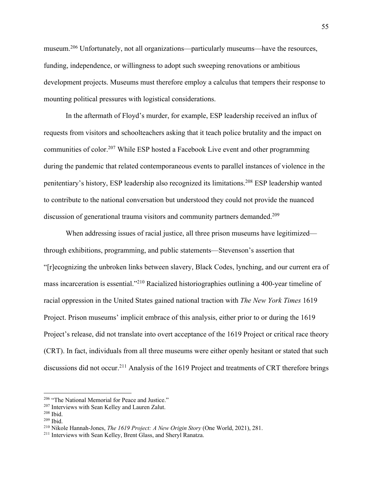museum.206 Unfortunately, not all organizations—particularly museums—have the resources, funding, independence, or willingness to adopt such sweeping renovations or ambitious development projects. Museums must therefore employ a calculus that tempers their response to mounting political pressures with logistical considerations.

In the aftermath of Floyd's murder, for example, ESP leadership received an influx of requests from visitors and schoolteachers asking that it teach police brutality and the impact on communities of color.<sup>207</sup> While ESP hosted a Facebook Live event and other programming during the pandemic that related contemporaneous events to parallel instances of violence in the penitentiary's history, ESP leadership also recognized its limitations.208 ESP leadership wanted to contribute to the national conversation but understood they could not provide the nuanced discussion of generational trauma visitors and community partners demanded.<sup>209</sup>

When addressing issues of racial justice, all three prison museums have legitimized through exhibitions, programming, and public statements—Stevenson's assertion that "[r]ecognizing the unbroken links between slavery, Black Codes, lynching, and our current era of mass incarceration is essential."210 Racialized historiographies outlining a 400-year timeline of racial oppression in the United States gained national traction with *The New York Times* 1619 Project. Prison museums' implicit embrace of this analysis, either prior to or during the 1619 Project's release, did not translate into overt acceptance of the 1619 Project or critical race theory (CRT). In fact, individuals from all three museums were either openly hesitant or stated that such discussions did not occur.<sup>211</sup> Analysis of the 1619 Project and treatments of CRT therefore brings

<sup>206</sup> "The National Memorial for Peace and Justice."

 $^{207}$  Interviews with Sean Kelley and Lauren Zalut.  $^{208}$  Ibid.

<sup>209</sup> Ibid.

<sup>210</sup> Nikole Hannah-Jones, *The 1619 Project: A New Origin Story* (One World, 2021), 281.

<sup>211</sup> Interviews with Sean Kelley, Brent Glass, and Sheryl Ranatza.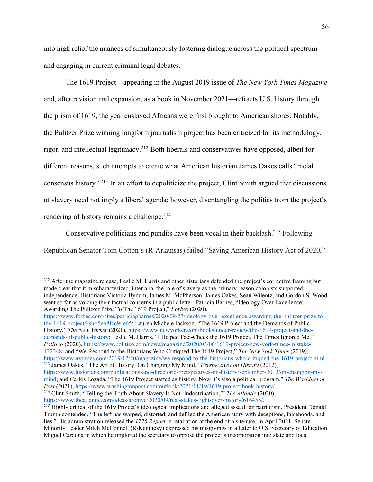into high relief the nuances of simultaneously fostering dialogue across the political spectrum and engaging in current criminal legal debates.

The 1619 Project—appearing in the August 2019 issue of *The New York Times Magazine* and, after revision and expansion, as a book in November 2021—refracts U.S. history through the prism of 1619, the year enslaved Africans were first brought to American shores. Notably, the Pulitzer Prize winning longform journalism project has been criticized for its methodology, rigor, and intellectual legitimacy.212 Both liberals and conservatives have opposed, albeit for different reasons, such attempts to create what American historian James Oakes calls "racial consensus history."213 In an effort to depoliticize the project, Clint Smith argued that discussions of slavery need not imply a liberal agenda; however, disentangling the politics from the project's rendering of history remains a challenge.<sup>214</sup>

Conservative politicians and pundits have been vocal in their backlash.215 Following Republican Senator Tom Cotton's (R-Arkansas) failed "Saving American History Act of 2020,"

https://www.forbes.com/sites/patriciagbarnes/2020/09/27/ideology-over-excellence-awarding-the-pulitzer-prize-tothe-1619-project/?sh=5e68fcc94e65; Lauren Michele Jackson, "The 1619 Project and the Demands of Public History," *The New Yorker* (2021), https://www.newyorker.com/books/under-review/the-1619-project-and-thedemands-of-public-history; Leslie M. Harris, "I Helped Fact-Check the 1619 Project. The Times Ignored Me," *Politico* (2020), https://www.politico.com/news/magazine/2020/03/06/1619-project-new-york-times-mistake-122248; and "We Respond to the Historians Who Critiqued The 1619 Project," *The New York Times* (2019), https://www.nytimes.com/2019/12/20/magazine/we-respond-to-the-historians-who-critiqued-the-1619-project.html. <sup>213</sup> James Oakes, "The Art of History: On Changing My Mind," *Perspectives on History* (2012), https://www.historians.org/publications-and-directories/perspectives-on-history/september-2012/on-changing-my-

<sup>&</sup>lt;sup>212</sup> After the magazine release, Leslie M. Harris and other historians defended the project's corrective framing but made clear that it mischaracterized, inter alia, the role of slavery as the primary reason colonists supported independence. Historians Victoria Bynum, James M. McPherson, James Oakes, Sean Wilentz, and Gordon S. Wood went so far as voicing their factual concerns in a public letter. Patricia Barnes, "Ideology Over Excellence: Awarding The Pulitzer Prize To The 1619 Project," *Forbes* (2020),

mind; and Carlos Lozada, "The 1619 Project started as history. Now it's also a political program." *The Washington Post* (2021), https://www.washingtonpost.com/outlook/2021/11/19/1619-project-book-history/.

<sup>214</sup> Clint Smith, "Telling the Truth About Slavery Is Not 'Indoctrination,'" *The Atlantic* (2020), https://www.theatlantic.com/ideas/archive/2020/09/real-stakes-fight-over-history/616455/.

<sup>&</sup>lt;sup>215</sup> Highly critical of the 1619 Project's ideological implications and alleged assault on patriotism, President Donald Trump contended, "The left has warped, distorted, and defiled the American story with deceptions, falsehoods, and lies." His administration released the *1776 Report* in retaliation at the end of his tenure. In April 2021, Senate Minority Leader Mitch McConnell (R-Kentucky) expressed his misgivings in a letter to U.S. Secretary of Education Miguel Cardona in which he implored the secretary to oppose the project's incorporation into state and local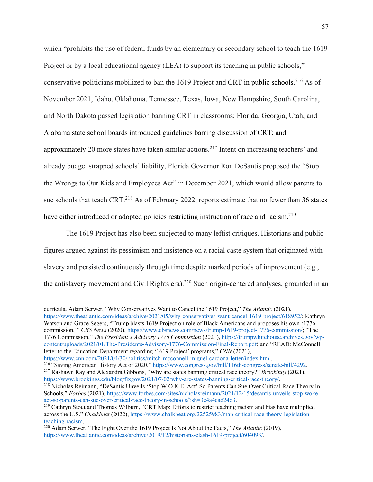which "prohibits the use of federal funds by an elementary or secondary school to teach the 1619 Project or by a local educational agency (LEA) to support its teaching in public schools," conservative politicians mobilized to ban the 1619 Project and CRT in public schools. <sup>216</sup> As of November 2021, Idaho, Oklahoma, Tennessee, Texas, Iowa, New Hampshire, South Carolina, and North Dakota passed legislation banning CRT in classrooms; Florida, Georgia, Utah, and Alabama state school boards introduced guidelines barring discussion of CRT; and approximately 20 more states have taken similar actions.217 Intent on increasing teachers' and already budget strapped schools' liability, Florida Governor Ron DeSantis proposed the "Stop the Wrongs to Our Kids and Employees Act" in December 2021, which would allow parents to sue schools that teach CRT.<sup>218</sup> As of February 2022, reports estimate that no fewer than 36 states have either introduced or adopted policies restricting instruction of race and racism.<sup>219</sup>

The 1619 Project has also been subjected to many leftist critiques. Historians and public figures argued against its pessimism and insistence on a racial caste system that originated with slavery and persisted continuously through time despite marked periods of improvement (e.g., the antislavery movement and Civil Rights era).<sup>220</sup> Such origin-centered analyses, grounded in an

curricula. Adam Serwer, "Why Conservatives Want to Cancel the 1619 Project," *The Atlantic* (2021), https://www.theatlantic.com/ideas/archive/2021/05/why-conservatives-want-cancel-1619-project/618952/; Kathryn Watson and Grace Segers, "Trump blasts 1619 Project on role of Black Americans and proposes his own '1776 commission,'" *CBS News* (2020), https://www.cbsnews.com/news/trump-1619-project-1776-commission/; "The 1776 Commission," *The President's Advisory 1776 Commission* (2021), https://trumpwhitehouse.archives.gov/wpcontent/uploads/2021/01/The-Presidents-Advisory-1776-Commission-Final-Report.pdf; and "READ: McConnell letter to the Education Department regarding '1619 Project' programs," *CNN* (2021),

https://www.cnn.com/2021/04/30/politics/mitch-mcconnell-miguel-cardona-letter/index.html<br><sup>216</sup> "Saving American History Act of 2020," https://www.congress.gov/bill/116th-congress/senate-bill/4292.

217 Rashawn Ray and Alexandra Gibbons, "Why are states banning critical race theory?" *Brookings* (2021), https://www.brookings.edu/blog/fixgov/2021/07/02/why-are-states-banning-critical-race-theory/.

<sup>&</sup>lt;sup>218</sup> Nicholas Reimann, "DeSantis Unveils 'Stop W.O.K.E. Act' So Parents Can Sue Over Critical Race Theory In Schools," *Forbes* (2021), https://www.forbes.com/sites/nicholasreimann/2021/12/15/desantis-unveils-stop-wokeact-so-parents-can-sue-over-critical-race-theory-in-schools/?sh=3e4a4cad24d3.<br><sup>219</sup> Cathryn Stout and Thomas Wilburn, "CRT Map: Efforts to restrict teaching racism and bias have multiplied

across the U.S." *Chalkbeat* (2022), https://www.chalkbeat.org/22525983/map-critical-race-theory-legislation-teaching-racism.

<sup>&</sup>lt;sup>220</sup> Adam Serwer, "The Fight Over the 1619 Project Is Not About the Facts," *The Atlantic* (2019), https://www.theatlantic.com/ideas/archive/2019/12/historians-clash-1619-project/604093/.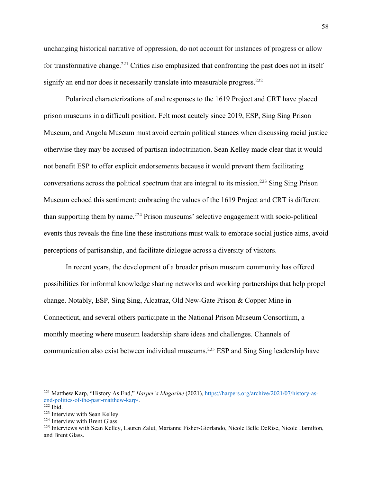unchanging historical narrative of oppression, do not account for instances of progress or allow for transformative change.<sup>221</sup> Critics also emphasized that confronting the past does not in itself signify an end nor does it necessarily translate into measurable progress.<sup>222</sup>

Polarized characterizations of and responses to the 1619 Project and CRT have placed prison museums in a difficult position. Felt most acutely since 2019, ESP, Sing Sing Prison Museum, and Angola Museum must avoid certain political stances when discussing racial justice otherwise they may be accused of partisan indoctrination. Sean Kelley made clear that it would not benefit ESP to offer explicit endorsements because it would prevent them facilitating conversations across the political spectrum that are integral to its mission.223 Sing Sing Prison Museum echoed this sentiment: embracing the values of the 1619 Project and CRT is different than supporting them by name.224 Prison museums' selective engagement with socio-political events thus reveals the fine line these institutions must walk to embrace social justice aims, avoid perceptions of partisanship, and facilitate dialogue across a diversity of visitors.

In recent years, the development of a broader prison museum community has offered possibilities for informal knowledge sharing networks and working partnerships that help propel change. Notably, ESP, Sing Sing, Alcatraz, Old New-Gate Prison & Copper Mine in Connecticut, and several others participate in the National Prison Museum Consortium, a monthly meeting where museum leadership share ideas and challenges. Channels of communication also exist between individual museums.225 ESP and Sing Sing leadership have

<sup>221</sup> Matthew Karp, "History As End," *Harper's Magazine* (2021), https://harpers.org/archive/2021/07/history-asend-politics-of-the-past-matthew-karp/.

 $\frac{222}{222}$  Ibid.<br><sup>223</sup> Interview with Sean Kelley.

<sup>&</sup>lt;sup>224</sup> Interview with Brent Glass.<br><sup>225</sup> Interviews with Sean Kelley, Lauren Zalut, Marianne Fisher-Giorlando, Nicole Belle DeRise, Nicole Hamilton, and Brent Glass.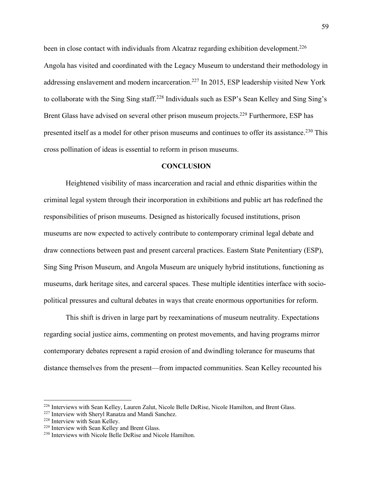been in close contact with individuals from Alcatraz regarding exhibition development.<sup>226</sup> Angola has visited and coordinated with the Legacy Museum to understand their methodology in addressing enslavement and modern incarceration.<sup>227</sup> In 2015, ESP leadership visited New York to collaborate with the Sing Sing staff.228 Individuals such as ESP's Sean Kelley and Sing Sing's Brent Glass have advised on several other prison museum projects.<sup>229</sup> Furthermore, ESP has presented itself as a model for other prison museums and continues to offer its assistance.<sup>230</sup> This cross pollination of ideas is essential to reform in prison museums.

## **CONCLUSION**

Heightened visibility of mass incarceration and racial and ethnic disparities within the criminal legal system through their incorporation in exhibitions and public art has redefined the responsibilities of prison museums. Designed as historically focused institutions, prison museums are now expected to actively contribute to contemporary criminal legal debate and draw connections between past and present carceral practices. Eastern State Penitentiary (ESP), Sing Sing Prison Museum, and Angola Museum are uniquely hybrid institutions, functioning as museums, dark heritage sites, and carceral spaces. These multiple identities interface with sociopolitical pressures and cultural debates in ways that create enormous opportunities for reform.

This shift is driven in large part by reexaminations of museum neutrality. Expectations regarding social justice aims, commenting on protest movements, and having programs mirror contemporary debates represent a rapid erosion of and dwindling tolerance for museums that distance themselves from the present—from impacted communities. Sean Kelley recounted his

<sup>&</sup>lt;sup>226</sup> Interviews with Sean Kelley, Lauren Zalut, Nicole Belle DeRise, Nicole Hamilton, and Brent Glass.

<sup>227</sup> Interview with Sheryl Ranatza and Mandi Sanchez.

<sup>228</sup> Interview with Sean Kelley.

<sup>229</sup> Interview with Sean Kelley and Brent Glass.

<sup>230</sup> Interviews with Nicole Belle DeRise and Nicole Hamilton.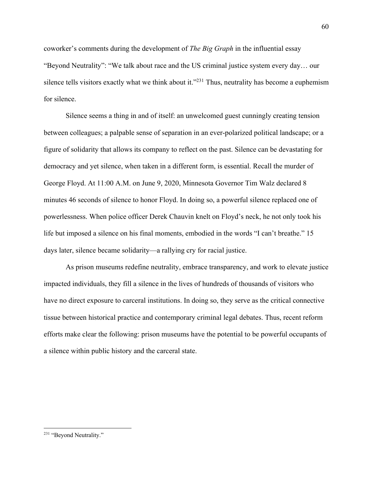coworker's comments during the development of *The Big Graph* in the influential essay "Beyond Neutrality": "We talk about race and the US criminal justice system every day… our silence tells visitors exactly what we think about it."<sup>231</sup> Thus, neutrality has become a euphemism for silence.

Silence seems a thing in and of itself: an unwelcomed guest cunningly creating tension between colleagues; a palpable sense of separation in an ever-polarized political landscape; or a figure of solidarity that allows its company to reflect on the past. Silence can be devastating for democracy and yet silence, when taken in a different form, is essential. Recall the murder of George Floyd. At 11:00 A.M. on June 9, 2020, Minnesota Governor Tim Walz declared 8 minutes 46 seconds of silence to honor Floyd. In doing so, a powerful silence replaced one of powerlessness. When police officer Derek Chauvin knelt on Floyd's neck, he not only took his life but imposed a silence on his final moments, embodied in the words "I can't breathe." 15 days later, silence became solidarity—a rallying cry for racial justice.

As prison museums redefine neutrality, embrace transparency, and work to elevate justice impacted individuals, they fill a silence in the lives of hundreds of thousands of visitors who have no direct exposure to carceral institutions. In doing so, they serve as the critical connective tissue between historical practice and contemporary criminal legal debates. Thus, recent reform efforts make clear the following: prison museums have the potential to be powerful occupants of a silence within public history and the carceral state.

<sup>&</sup>lt;sup>231</sup> "Beyond Neutrality."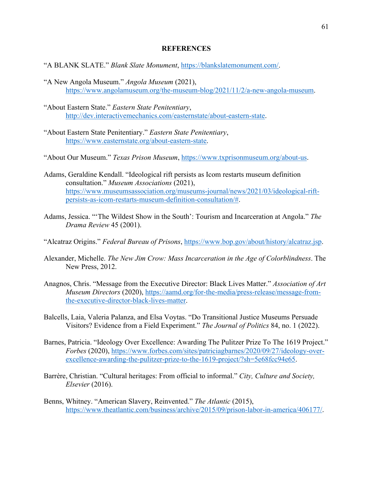## **REFERENCES**

- "A BLANK SLATE." *Blank Slate Monument*, https://blankslatemonument.com/.
- "A New Angola Museum." *Angola Museum* (2021), https://www.angolamuseum.org/the-museum-blog/2021/11/2/a-new-angola-museum.
- "About Eastern State." *Eastern State Penitentiary*, http://dev.interactivemechanics.com/easternstate/about-eastern-state.
- "About Eastern State Penitentiary." *Eastern State Penitentiary*, https://www.easternstate.org/about-eastern-state.
- "About Our Museum." *Texas Prison Museum*, https://www.txprisonmuseum.org/about-us.
- Adams, Geraldine Kendall. "Ideological rift persists as Icom restarts museum definition consultation." *Museum Associations* (2021), https://www.museumsassociation.org/museums-journal/news/2021/03/ideological-riftpersists-as-icom-restarts-museum-definition-consultation/#.
- Adams, Jessica. "'The Wildest Show in the South': Tourism and Incarceration at Angola." *The Drama Review* 45 (2001).
- "Alcatraz Origins." *Federal Bureau of Prisons*, https://www.bop.gov/about/history/alcatraz.jsp.
- Alexander, Michelle. *The New Jim Crow: Mass Incarceration in the Age of Colorblindness*. The New Press, 2012.
- Anagnos, Chris. "Message from the Executive Director: Black Lives Matter." *Association of Art Museum Directors* (2020), https://aamd.org/for-the-media/press-release/message-fromthe-executive-director-black-lives-matter.
- Balcells, Laia, Valeria Palanza, and Elsa Voytas. "Do Transitional Justice Museums Persuade Visitors? Evidence from a Field Experiment." *The Journal of Politics* 84, no. 1 (2022).
- Barnes, Patricia. "Ideology Over Excellence: Awarding The Pulitzer Prize To The 1619 Project." *Forbes* (2020), https://www.forbes.com/sites/patriciagbarnes/2020/09/27/ideology-overexcellence-awarding-the-pulitzer-prize-to-the-1619-project/?sh=5e68fcc94e65.
- Barrère, Christian. "Cultural heritages: From official to informal." *City, Culture and Society, Elsevier* (2016).
- Benns, Whitney. "American Slavery, Reinvented." *The Atlantic* (2015), https://www.theatlantic.com/business/archive/2015/09/prison-labor-in-america/406177/.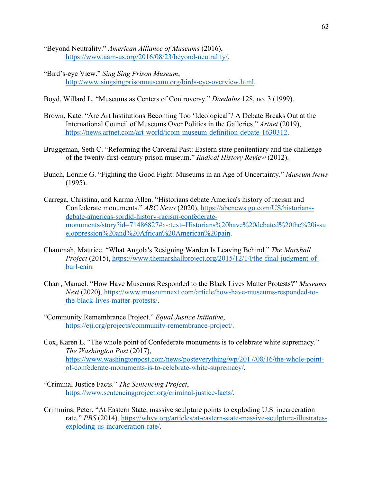- "Beyond Neutrality." *American Alliance of Museums* (2016), https://www.aam-us.org/2016/08/23/beyond-neutrality/.
- "Bird's-eye View." *Sing Sing Prison Museum*, http://www.singsingprisonmuseum.org/birds-eye-overview.html.
- Boyd, Willard L. "Museums as Centers of Controversy." *Daedalus* 128, no. 3 (1999).
- Brown, Kate. "Are Art Institutions Becoming Too 'Ideological'? A Debate Breaks Out at the International Council of Museums Over Politics in the Galleries." *Artnet* (2019), https://news.artnet.com/art-world/icom-museum-definition-debate-1630312.
- Bruggeman, Seth C. "Reforming the Carceral Past: Eastern state penitentiary and the challenge of the twenty-first-century prison museum." *Radical History Review* (2012).
- Bunch, Lonnie G. "Fighting the Good Fight: Museums in an Age of Uncertainty." *Museum News* (1995).
- Carrega, Christina, and Karma Allen. "Historians debate America's history of racism and Confederate monuments." *ABC News* (2020), https://abcnews.go.com/US/historiansdebate-americas-sordid-history-racism-confederatemonuments/story?id=71486827#:~:text=Historians%20have%20debated%20the%20issu e,oppression%20and%20African%20American%20pain.
- Chammah, Maurice. "What Angola's Resigning Warden Is Leaving Behind." *The Marshall Project* (2015), https://www.themarshallproject.org/2015/12/14/the-final-judgment-ofburl-cain.
- Charr, Manuel. "How Have Museums Responded to the Black Lives Matter Protests?" *Museums Next* (2020), https://www.museumnext.com/article/how-have-museums-responded-tothe-black-lives-matter-protests/.
- "Community Remembrance Project." *Equal Justice Initiative*, https://eji.org/projects/community-remembrance-project/.
- Cox, Karen L. "The whole point of Confederate monuments is to celebrate white supremacy." *The Washington Post* (2017), https://www.washingtonpost.com/news/posteverything/wp/2017/08/16/the-whole-pointof-confederate-monuments-is-to-celebrate-white-supremacy/.
- "Criminal Justice Facts." *The Sentencing Project*, https://www.sentencingproject.org/criminal-justice-facts/.
- Crimmins, Peter. "At Eastern State, massive sculpture points to exploding U.S. incarceration rate." *PBS* (2014), https://whyy.org/articles/at-eastern-state-massive-sculpture-illustratesexploding-us-incarceration-rate/.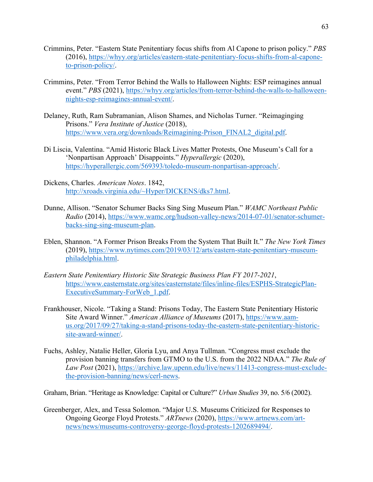- Crimmins, Peter. "Eastern State Penitentiary focus shifts from Al Capone to prison policy." *PBS* (2016), https://whyy.org/articles/eastern-state-penitentiary-focus-shifts-from-al-caponeto-prison-policy/.
- Crimmins, Peter. "From Terror Behind the Walls to Halloween Nights: ESP reimagines annual event." *PBS* (2021), https://whyy.org/articles/from-terror-behind-the-walls-to-halloweennights-esp-reimagines-annual-event/.
- Delaney, Ruth, Ram Subramanian, Alison Shames, and Nicholas Turner. "Reimaginging Prisons." *Vera Institute of Justice* (2018), https://www.vera.org/downloads/Reimagining-Prison\_FINAL2\_digital.pdf.
- Di Liscia, Valentina. "Amid Historic Black Lives Matter Protests, One Museum's Call for a 'Nonpartisan Approach' Disappoints." *Hyperallergic* (2020), https://hyperallergic.com/569393/toledo-museum-nonpartisan-approach/.
- Dickens, Charles. *American Notes*. 1842, http://xroads.virginia.edu/~Hyper/DICKENS/dks7.html.
- Dunne, Allison. "Senator Schumer Backs Sing Sing Museum Plan." *WAMC Northeast Public Radio* (2014), https://www.wamc.org/hudson-valley-news/2014-07-01/senator-schumerbacks-sing-sing-museum-plan.
- Eblen, Shannon. "A Former Prison Breaks From the System That Built It." *The New York Times* (2019), https://www.nytimes.com/2019/03/12/arts/eastern-state-penitentiary-museumphiladelphia.html.
- *Eastern State Penitentiary Historic Site Strategic Business Plan FY 2017-2021*, https://www.easternstate.org/sites/easternstate/files/inline-files/ESPHS-StrategicPlan-ExecutiveSummary-ForWeb\_1.pdf.
- Frankhouser, Nicole. "Taking a Stand: Prisons Today, The Eastern State Penitentiary Historic Site Award Winner." *American Alliance of Museums* (2017), https://www.aamus.org/2017/09/27/taking-a-stand-prisons-today-the-eastern-state-penitentiary-historicsite-award-winner/.
- Fuchs, Ashley, Natalie Heller, Gloria Lyu, and Anya Tullman. "Congress must exclude the provision banning transfers from GTMO to the U.S. from the 2022 NDAA." *The Rule of Law Post* (2021), https://archive.law.upenn.edu/live/news/11413-congress-must-excludethe-provision-banning/news/cerl-news.

Graham, Brian. "Heritage as Knowledge: Capital or Culture?" *Urban Studies* 39, no. 5/6 (2002).

Greenberger, Alex, and Tessa Solomon. "Major U.S. Museums Criticized for Responses to Ongoing George Floyd Protests." *ARTnews* (2020), https://www.artnews.com/artnews/news/museums-controversy-george-floyd-protests-1202689494/.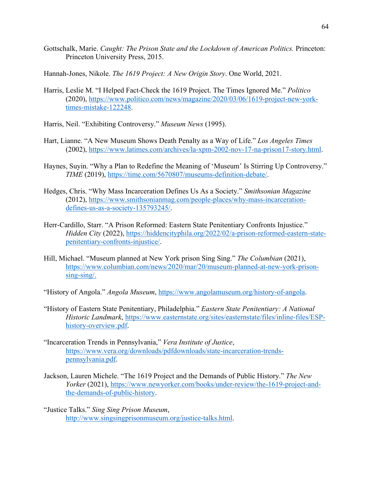- Gottschalk, Marie. *Caught: The Prison State and the Lockdown of American Politics.* Princeton: Princeton University Press, 2015.
- Hannah-Jones, Nikole. *The 1619 Project: A New Origin Story*. One World, 2021.
- Harris, Leslie M. "I Helped Fact-Check the 1619 Project. The Times Ignored Me." *Politico*  (2020), https://www.politico.com/news/magazine/2020/03/06/1619-project-new-yorktimes-mistake-122248.
- Harris, Neil. "Exhibiting Controversy." *Museum News* (1995).
- Hart, Lianne. "A New Museum Shows Death Penalty as a Way of Life." *Los Angeles Times* (2002), https://www.latimes.com/archives/la-xpm-2002-nov-17-na-prison17-story.html.
- Haynes, Suyin. "Why a Plan to Redefine the Meaning of 'Museum' Is Stirring Up Controversy." *TIME* (2019), https://time.com/5670807/museums-definition-debate/.
- Hedges, Chris. "Why Mass Incarceration Defines Us As a Society." *Smithsonian Magazine* (2012), https://www.smithsonianmag.com/people-places/why-mass-incarcerationdefines-us-as-a-society-135793245/.
- Herr-Cardillo, Starr. "A Prison Reformed: Eastern State Penitentiary Confronts Injustice." *Hidden City* (2022), https://hiddencityphila.org/2022/02/a-prison-reformed-eastern-statepenitentiary-confronts-injustice/.
- Hill, Michael. "Museum planned at New York prison Sing Sing." *The Columbian* (2021), https://www.columbian.com/news/2020/mar/20/museum-planned-at-new-york-prisonsing-sing/.
- "History of Angola." *Angola Museum*, https://www.angolamuseum.org/history-of-angola.
- "History of Eastern State Penitentiary, Philadelphia." *Eastern State Penitentiary: A National Historic Landmark*, https://www.easternstate.org/sites/easternstate/files/inline-files/ESPhistory-overview.pdf.
- "Incarceration Trends in Pennsylvania," *Vera Institute of Justice*, https://www.vera.org/downloads/pdfdownloads/state-incarceration-trendspennsylvania.pdf.
- Jackson, Lauren Michele. "The 1619 Project and the Demands of Public History." *The New Yorker* (2021), https://www.newyorker.com/books/under-review/the-1619-project-andthe-demands-of-public-history.
- "Justice Talks." *Sing Sing Prison Museum*, http://www.singsingprisonmuseum.org/justice-talks.html.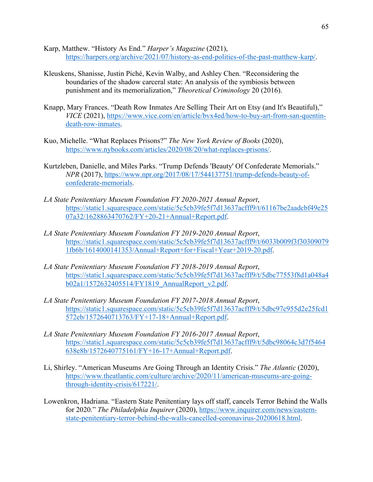- Karp, Matthew. "History As End." *Harper's Magazine* (2021), https://harpers.org/archive/2021/07/history-as-end-politics-of-the-past-matthew-karp/.
- Kleuskens, Shanisse, Justin Piché, Kevin Walby, and Ashley Chen. "Reconsidering the boundaries of the shadow carceral state: An analysis of the symbiosis between punishment and its memorialization," *Theoretical Criminology* 20 (2016).
- Knapp, Mary Frances. "Death Row Inmates Are Selling Their Art on Etsy (and It's Beautiful)," *VICE* (2021), https://www.vice.com/en/article/bvx4ed/how-to-buy-art-from-san-quentindeath-row-inmates.
- Kuo, Michelle. "What Replaces Prisons?" *The New York Review of Books* (2020), https://www.nybooks.com/articles/2020/08/20/what-replaces-prisons/.
- Kurtzleben, Danielle, and Miles Parks. "Trump Defends 'Beauty' Of Confederate Memorials." *NPR* (2017), https://www.npr.org/2017/08/17/544137751/trump-defends-beauty-ofconfederate-memorials.
- *LA State Penitentiary Museum Foundation FY 2020-2021 Annual Report*, https://static1.squarespace.com/static/5c5cb39fe5f7d13637acfff9/t/61167be2aadcbf49e25 07a32/1628863470762/FY+20-21+Annual+Report.pdf.
- *LA State Penitentiary Museum Foundation FY 2019-2020 Annual Report*, https://static1.squarespace.com/static/5c5cb39fe5f7d13637acfff9/t/6033b009f3f30309079 1fb6b/1614000141353/Annual+Report+for+Fiscal+Year+2019-20.pdf.
- *LA State Penitentiary Museum Foundation FY 2018-2019 Annual Report*, https://static1.squarespace.com/static/5c5cb39fe5f7d13637acfff9/t/5dbc77553f8d1a048a4 b02a1/1572632405514/FY1819\_AnnualReport\_v2.pdf.
- *LA State Penitentiary Museum Foundation FY 2017-2018 Annual Report*, https://static1.squarespace.com/static/5c5cb39fe5f7d13637acfff9/t/5dbc97c955d2e25fcd1 572eb/1572640713763/FY+17-18+Annual+Report.pdf.
- *LA State Penitentiary Museum Foundation FY 2016-2017 Annual Report*, https://static1.squarespace.com/static/5c5cb39fe5f7d13637acfff9/t/5dbc98064c3d7f5464 638e8b/1572640775161/FY+16-17+Annual+Report.pdf.
- Li, Shirley. "American Museums Are Going Through an Identity Crisis." *The Atlantic* (2020), https://www.theatlantic.com/culture/archive/2020/11/american-museums-are-goingthrough-identity-crisis/617221/.
- Lowenkron, Hadriana. "Eastern State Penitentiary lays off staff, cancels Terror Behind the Walls for 2020." *The Philadelphia Inquirer* (2020), https://www.inquirer.com/news/easternstate-penitentiary-terror-behind-the-walls-cancelled-coronavirus-20200618.html.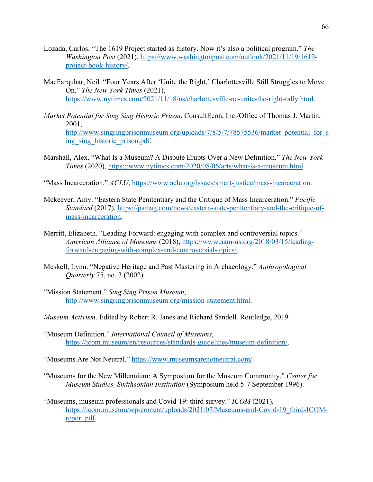- Lozada, Carlos. "The 1619 Project started as history. Now it's also a political program." *The Washington Post* (2021), https://www.washingtonpost.com/outlook/2021/11/19/1619 project-book-history/.
- MacFarquhar, Neil. "Four Years After 'Unite the Right,' Charlottesville Still Struggles to Move On." *The New York Times* (2021), https://www.nytimes.com/2021/11/18/us/charlottesville-nc-unite-the-right-rally.html.
- *Market Potential for Sing Sing Historic Prison*. ConsultEcon, Inc./Office of Thomas J. Martin, 2001, http://www.singsingprisonmuseum.org/uploads/7/8/5/7/78575536/market\_potential\_for\_s ing sing historic prison.pdf.
- Marshall, Alex. "What Is a Museum? A Dispute Erupts Over a New Definition." *The New York Times* (2020), https://www.nytimes.com/2020/08/06/arts/what-is-a-museum.html.
- "Mass Incarceration." *ACLU*, https://www.aclu.org/issues/smart-justice/mass-incarceration.
- Mckeever, Amy. "Eastern State Penitentiary and the Critique of Mass Incarceration." *Pacific Standard* (2017), https://psmag.com/news/eastern-state-penitentiary-and-the-critique-ofmass-incarceration.
- Merritt, Elizabeth. "Leading Forward: engaging with complex and controversial topics." *American Alliance of Museums* (2018), https://www.aam-us.org/2018/03/15/leadingforward-engaging-with-complex-and-controversial-topics/.
- Meskell, Lynn. "Negative Heritage and Past Mastering in Archaeology." *Anthropological Quarterly* 75, no. 3 (2002).
- "Mission Statement." *Sing Sing Prison Museum*, http://www.singsingprisonmuseum.org/mission-statement.html.
- *Museum Activism*. Edited by Robert R. Janes and Richard Sandell. Routledge, 2019.
- "Museum Definition." *International Council of Museums*, https://icom.museum/en/resources/standards-guidelines/museum-definition/.

"Museums Are Not Neutral." https://www.museumsarenotneutral.com/.

- "Museums for the New Millennium: A Symposium for the Museum Community." *Center for Museum Studies, Smithsonian Institution* (Symposium held 5-7 September 1996).
- "Museums, museum professionals and Covid-19: third survey." *ICOM* (2021), https://icom.museum/wp-content/uploads/2021/07/Museums-and-Covid-19\_third-ICOMreport.pdf.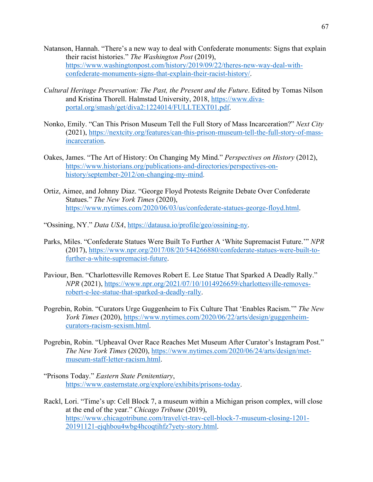- Natanson, Hannah. "There's a new way to deal with Confederate monuments: Signs that explain their racist histories." *The Washington Post* (2019), https://www.washingtonpost.com/history/2019/09/22/theres-new-way-deal-withconfederate-monuments-signs-that-explain-their-racist-history/.
- *Cultural Heritage Preservation: The Past, the Present and the Future*. Edited by Tomas Nilson and Kristina Thorell. Halmstad University, 2018, https://www.divaportal.org/smash/get/diva2:1224014/FULLTEXT01.pdf.
- Nonko, Emily. "Can This Prison Museum Tell the Full Story of Mass Incarceration?" *Next City*  (2021), https://nextcity.org/features/can-this-prison-museum-tell-the-full-story-of-massincarceration.
- Oakes, James. "The Art of History: On Changing My Mind." *Perspectives on History* (2012), https://www.historians.org/publications-and-directories/perspectives-onhistory/september-2012/on-changing-my-mind.
- Ortiz, Aimee, and Johnny Diaz. "George Floyd Protests Reignite Debate Over Confederate Statues." *The New York Times* (2020), https://www.nytimes.com/2020/06/03/us/confederate-statues-george-floyd.html.
- "Ossining, NY." *Data USA*, https://datausa.io/profile/geo/ossining-ny.
- Parks, Miles. "Confederate Statues Were Built To Further A 'White Supremacist Future.'" *NPR*  (2017), https://www.npr.org/2017/08/20/544266880/confederate-statues-were-built-tofurther-a-white-supremacist-future.
- Paviour, Ben. "Charlottesville Removes Robert E. Lee Statue That Sparked A Deadly Rally." *NPR* (2021), https://www.npr.org/2021/07/10/1014926659/charlottesville-removesrobert-e-lee-statue-that-sparked-a-deadly-rally.
- Pogrebin, Robin. "Curators Urge Guggenheim to Fix Culture That 'Enables Racism.'" *The New York Times* (2020), https://www.nytimes.com/2020/06/22/arts/design/guggenheimcurators-racism-sexism.html.
- Pogrebin, Robin. "Upheaval Over Race Reaches Met Museum After Curator's Instagram Post." *The New York Times* (2020), https://www.nytimes.com/2020/06/24/arts/design/metmuseum-staff-letter-racism.html.
- "Prisons Today." *Eastern State Penitentiary*, https://www.easternstate.org/explore/exhibits/prisons-today.
- Rackl, Lori. "Time's up: Cell Block 7, a museum within a Michigan prison complex, will close at the end of the year." *Chicago Tribune* (2019), https://www.chicagotribune.com/travel/ct-trav-cell-block-7-museum-closing-1201- 20191121-ejqhbou4wbg4hcoqtihfz7yety-story.html.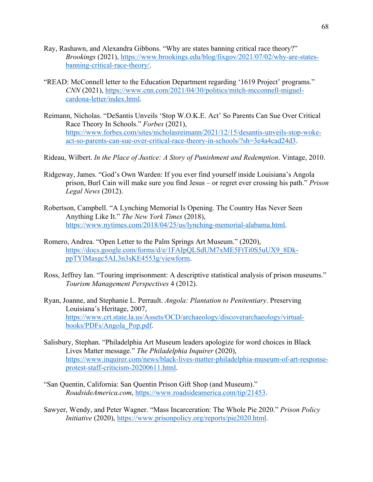- Ray, Rashawn, and Alexandra Gibbons. "Why are states banning critical race theory?" *Brookings* (2021), https://www.brookings.edu/blog/fixgov/2021/07/02/why-are-statesbanning-critical-race-theory/.
- "READ: McConnell letter to the Education Department regarding '1619 Project' programs." *CNN* (2021), https://www.cnn.com/2021/04/30/politics/mitch-mcconnell-miguelcardona-letter/index.html.
- Reimann, Nicholas. "DeSantis Unveils 'Stop W.O.K.E. Act' So Parents Can Sue Over Critical Race Theory In Schools." *Forbes* (2021), https://www.forbes.com/sites/nicholasreimann/2021/12/15/desantis-unveils-stop-wokeact-so-parents-can-sue-over-critical-race-theory-in-schools/?sh=3e4a4cad24d3.
- Rideau, Wilbert. *In the Place of Justice: A Story of Punishment and Redemption*. Vintage, 2010.
- Ridgeway, James. "God's Own Warden: If you ever find yourself inside Louisiana's Angola prison, Burl Cain will make sure you find Jesus – or regret ever crossing his path." *Prison Legal News* (2012).
- Robertson, Campbell. "A Lynching Memorial Is Opening. The Country Has Never Seen Anything Like It." *The New York Times* (2018), https://www.nytimes.com/2018/04/25/us/lynching-memorial-alabama.html.
- Romero, Andrea. "Open Letter to the Palm Springs Art Museum." (2020), https://docs.google.com/forms/d/e/1FAIpQLSdUM7xME5FtTi0S5uUX9\_8DkppTYlMasgc5AL3n3sKE4553g/viewform.
- Ross, Jeffrey Ian. "Touring imprisonment: A descriptive statistical analysis of prison museums." *Tourism Management Perspectives* 4 (2012).
- Ryan, Joanne, and Stephanie L. Perrault. *Angola: Plantation to Penitentiary*. Preserving Louisiana's Heritage, 2007, https://www.crt.state.la.us/Assets/OCD/archaeology/discoverarchaeology/virtualbooks/PDFs/Angola\_Pop.pdf.
- Salisbury, Stephan. "Philadelphia Art Museum leaders apologize for word choices in Black Lives Matter message." *The Philadelphia Inquirer* (2020), https://www.inquirer.com/news/black-lives-matter-philadelphia-museum-of-art-responseprotest-staff-criticism-20200611.html.
- "San Quentin, California: San Quentin Prison Gift Shop (and Museum)." *RoadsideAmerica.com*, https://www.roadsideamerica.com/tip/21453.
- Sawyer, Wendy, and Peter Wagner. "Mass Incarceration: The Whole Pie 2020." *Prison Policy Initiative* (2020), https://www.prisonpolicy.org/reports/pie2020.html.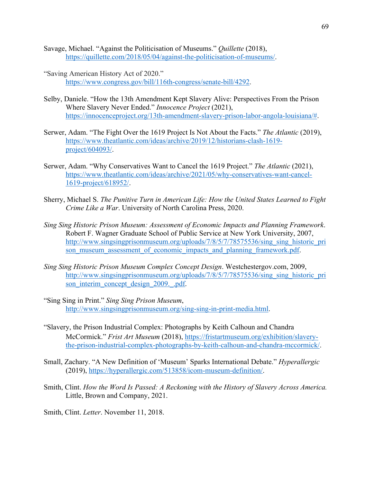- Savage, Michael. "Against the Politicisation of Museums." *Quillette* (2018), https://quillette.com/2018/05/04/against-the-politicisation-of-museums/.
- "Saving American History Act of 2020." https://www.congress.gov/bill/116th-congress/senate-bill/4292.
- Selby, Daniele. "How the 13th Amendment Kept Slavery Alive: Perspectives From the Prison Where Slavery Never Ended." *Innocence Project* (2021), https://innocenceproject.org/13th-amendment-slavery-prison-labor-angola-louisiana/#.
- Serwer, Adam. "The Fight Over the 1619 Project Is Not About the Facts." *The Atlantic* (2019), https://www.theatlantic.com/ideas/archive/2019/12/historians-clash-1619 project/604093/.
- Serwer, Adam. "Why Conservatives Want to Cancel the 1619 Project." *The Atlantic* (2021), https://www.theatlantic.com/ideas/archive/2021/05/why-conservatives-want-cancel-1619-project/618952/.
- Sherry, Michael S. *The Punitive Turn in American Life: How the United States Learned to Fight Crime Like a War*. University of North Carolina Press, 2020.
- *Sing Sing Historic Prison Museum: Assessment of Economic Impacts and Planning Framework*. Robert F. Wagner Graduate School of Public Service at New York University, 2007, http://www.singsingprisonmuseum.org/uploads/7/8/5/7/78575536/sing\_sing\_historic\_pri son museum assessment of economic impacts and planning framework.pdf.
- *Sing Sing Historic Prison Museum Complex Concept Design*. Westchestergov.com, 2009, http://www.singsingprisonmuseum.org/uploads/7/8/5/7/78575536/sing\_sing\_historic\_pri son interim concept design 2009. pdf.
- "Sing Sing in Print." *Sing Sing Prison Museum*, http://www.singsingprisonmuseum.org/sing-sing-in-print-media.html.
- "Slavery, the Prison Industrial Complex: Photographs by Keith Calhoun and Chandra McCormick." *Frist Art Museum* (2018), https://fristartmuseum.org/exhibition/slaverythe-prison-industrial-complex-photographs-by-keith-calhoun-and-chandra-mccormick/.
- Small, Zachary. "A New Definition of 'Museum' Sparks International Debate." *Hyperallergic* (2019), https://hyperallergic.com/513858/icom-museum-definition/.
- Smith, Clint. *How the Word Is Passed: A Reckoning with the History of Slavery Across America.*  Little, Brown and Company, 2021.
- Smith, Clint. *Letter*. November 11, 2018.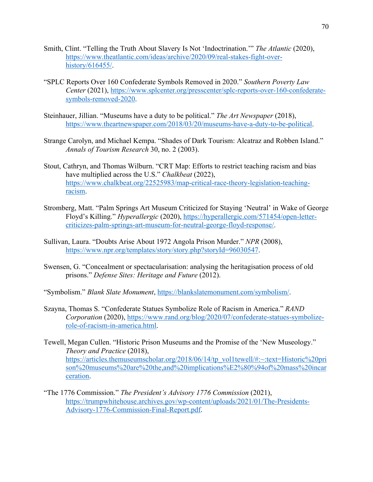- Smith, Clint. "Telling the Truth About Slavery Is Not 'Indoctrination.'" *The Atlantic* (2020), https://www.theatlantic.com/ideas/archive/2020/09/real-stakes-fight-overhistory/616455/.
- "SPLC Reports Over 160 Confederate Symbols Removed in 2020." *Southern Poverty Law Center* (2021), https://www.splcenter.org/presscenter/splc-reports-over-160-confederatesymbols-removed-2020.
- Steinhauer, Jillian. "Museums have a duty to be political." *The Art Newspaper* (2018), https://www.theartnewspaper.com/2018/03/20/museums-have-a-duty-to-be-political.
- Strange Carolyn, and Michael Kempa. "Shades of Dark Tourism: Alcatraz and Robben Island." *Annals of Tourism Research* 30, no. 2 (2003).
- Stout, Cathryn, and Thomas Wilburn. "CRT Map: Efforts to restrict teaching racism and bias have multiplied across the U.S." *Chalkbeat* (2022), https://www.chalkbeat.org/22525983/map-critical-race-theory-legislation-teachingracism.
- Stromberg, Matt. "Palm Springs Art Museum Criticized for Staying 'Neutral' in Wake of George Floyd's Killing." *Hyperallergic* (2020), https://hyperallergic.com/571454/open-lettercriticizes-palm-springs-art-museum-for-neutral-george-floyd-response/.
- Sullivan, Laura. "Doubts Arise About 1972 Angola Prison Murder." *NPR* (2008), https://www.npr.org/templates/story/story.php?storyId=96030547.
- Swensen, G. "Concealment or spectacularisation: analysing the heritagisation process of old prisons." *Defense Sites: Heritage and Future* (2012).
- "Symbolism." *Blank Slate Monument*, https://blankslatemonument.com/symbolism/.
- Szayna, Thomas S. "Confederate Statues Symbolize Role of Racism in America." *RAND Corporation* (2020), https://www.rand.org/blog/2020/07/confederate-statues-symbolizerole-of-racism-in-america.html.
- Tewell, Megan Cullen. "Historic Prison Museums and the Promise of the 'New Museology." *Theory and Practice* (2018), https://articles.themuseumscholar.org/2018/06/14/tp\_vol1tewell/#:~:text=Historic%20pri son%20museums%20are%20the,and%20implications%E2%80%94of%20mass%20incar ceration.
- "The 1776 Commission." *The President's Advisory 1776 Commission* (2021), https://trumpwhitehouse.archives.gov/wp-content/uploads/2021/01/The-Presidents-Advisory-1776-Commission-Final-Report.pdf.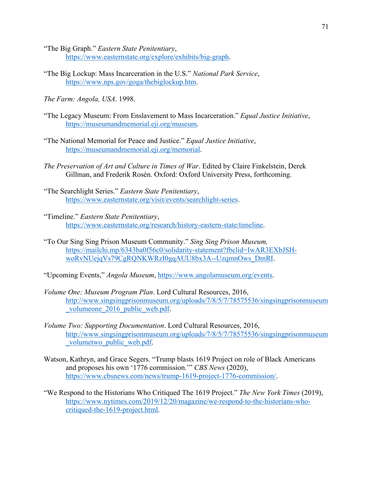- "The Big Graph." *Eastern State Penitentiary*, https://www.easternstate.org/explore/exhibits/big-graph.
- "The Big Lockup: Mass Incarceration in the U.S." *National Park Service*, https://www.nps.gov/goga/thebiglockup.htm.
- *The Farm: Angola, USA*. 1998.
- "The Legacy Museum: From Enslavement to Mass Incarceration." *Equal Justice Initiative*, https://museumandmemorial.eji.org/museum.
- "The National Memorial for Peace and Justice." *Equal Justice Initiative*, https://museumandmemorial.eji.org/memorial.
- *The Preservation of Art and Culture in Times of War*. Edited by Claire Finkelstein, Derek Gillman, and Frederik Rosén. Oxford: Oxford University Press, forthcoming.
- "The Searchlight Series." *Eastern State Penitentiary*, https://www.easternstate.org/visit/events/searchlight-series.
- "Timeline." *Eastern State Penitentiary*, https://www.easternstate.org/research/history-eastern-state/timeline.
- "To Our Sing Sing Prison Museum Community." *Sing Sing Prison Museum,*  https://mailchi.mp/6343ba0f56c0/solidarity-statement?fbclid=IwAR3EXbJSHwoRvNUejqVs79CgRQNKWRzI0gqAUU8bx3A--UzqmnOws\_DmRI.

"Upcoming Events," *Angola Museum*, https://www.angolamuseum.org/events.

- *Volume One: Museum Program Plan*. Lord Cultural Resources, 2016, http://www.singsingprisonmuseum.org/uploads/7/8/5/7/78575536/singsingprisonmuseum volumeone 2016 public web.pdf.
- *Volume Two: Supporting Documentation*. Lord Cultural Resources, 2016, http://www.singsingprisonmuseum.org/uploads/7/8/5/7/78575536/singsingprisonmuseum \_volumetwo\_public\_web.pdf.
- Watson, Kathryn, and Grace Segers. "Trump blasts 1619 Project on role of Black Americans and proposes his own '1776 commission.'" *CBS News* (2020), https://www.cbsnews.com/news/trump-1619-project-1776-commission/.
- "We Respond to the Historians Who Critiqued The 1619 Project." *The New York Times* (2019), https://www.nytimes.com/2019/12/20/magazine/we-respond-to-the-historians-whocritiqued-the-1619-project.html.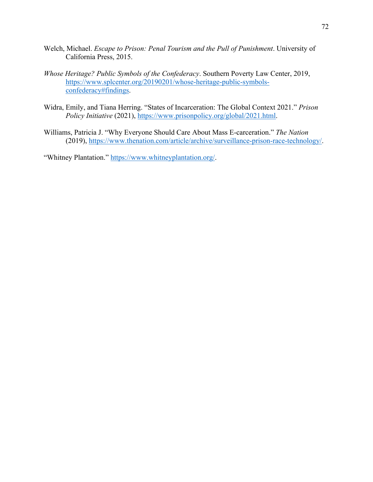- Welch, Michael. *Escape to Prison: Penal Tourism and the Pull of Punishment*. University of California Press, 2015.
- *Whose Heritage? Public Symbols of the Confederacy*. Southern Poverty Law Center, 2019, https://www.splcenter.org/20190201/whose-heritage-public-symbolsconfederacy#findings.
- Widra, Emily, and Tiana Herring. "States of Incarceration: The Global Context 2021." *Prison Policy Initiative* (2021), https://www.prisonpolicy.org/global/2021.html.
- Williams, Patricia J. "Why Everyone Should Care About Mass E-carceration." *The Nation*  (2019), https://www.thenation.com/article/archive/surveillance-prison-race-technology/.

"Whitney Plantation." https://www.whitneyplantation.org/.